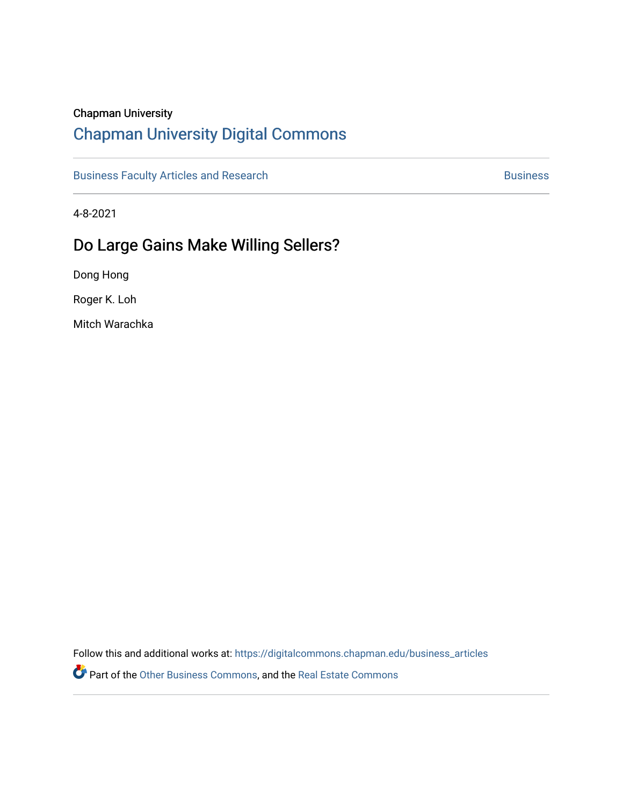# Chapman University

# [Chapman University Digital Commons](https://digitalcommons.chapman.edu/)

[Business Faculty Articles and Research](https://digitalcommons.chapman.edu/business_articles) [Business](https://digitalcommons.chapman.edu/business) **Business** Business

4-8-2021

# Do Large Gains Make Willing Sellers?

Dong Hong

Roger K. Loh

Mitch Warachka

Follow this and additional works at: [https://digitalcommons.chapman.edu/business\\_articles](https://digitalcommons.chapman.edu/business_articles?utm_source=digitalcommons.chapman.edu%2Fbusiness_articles%2F132&utm_medium=PDF&utm_campaign=PDFCoverPages) 

Part of the [Other Business Commons](http://network.bepress.com/hgg/discipline/647?utm_source=digitalcommons.chapman.edu%2Fbusiness_articles%2F132&utm_medium=PDF&utm_campaign=PDFCoverPages), and the [Real Estate Commons](http://network.bepress.com/hgg/discipline/641?utm_source=digitalcommons.chapman.edu%2Fbusiness_articles%2F132&utm_medium=PDF&utm_campaign=PDFCoverPages)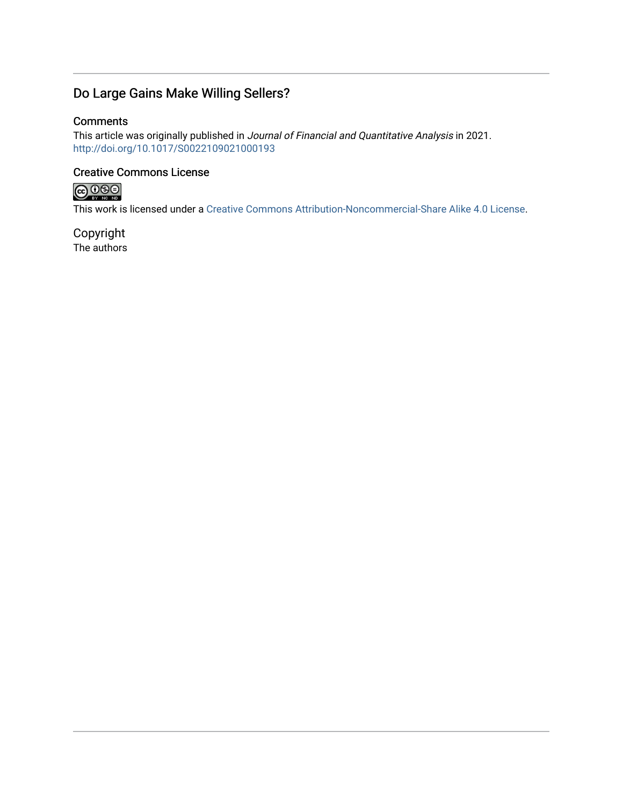# Do Large Gains Make Willing Sellers?

# **Comments**

This article was originally published in Journal of Financial and Quantitative Analysis in 2021. <http://doi.org/10.1017/S0022109021000193>

# Creative Commons License



This work is licensed under a [Creative Commons Attribution-Noncommercial-Share Alike 4.0 License](https://creativecommons.org/licenses/by-nc-sa/4.0/).

Copyright The authors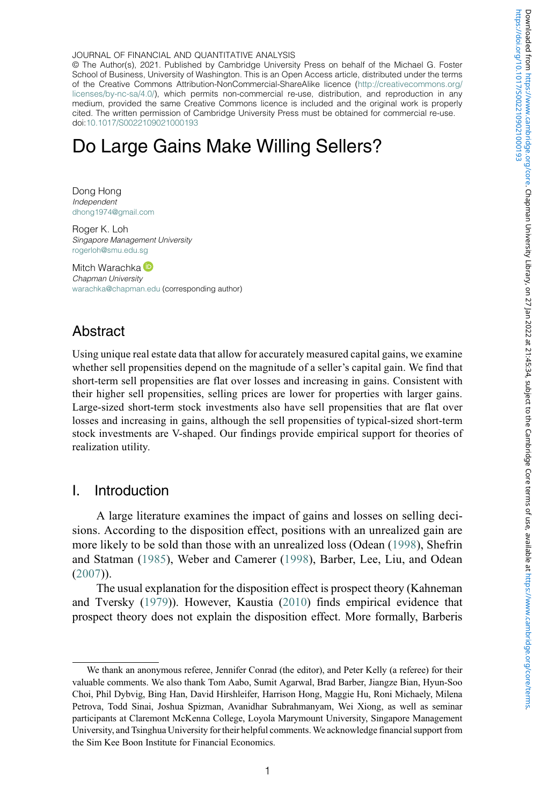© The Author(s), 2021. Published by Cambridge University Press on behalf of the Michael G. Foster School of Business, University of Washington. This is an Open Access article, distributed under the terms of the Creative Commons Attribution-NonCommercial-ShareAlike licence [\(http://creativecommons.org/](http://creativecommons.org/licenses/by-nc-sa/4.0/) [licenses/by-nc-sa/4.0/\)](http://creativecommons.org/licenses/by-nc-sa/4.0/), which permits non-commercial re-use, distribution, and reproduction in any medium, provided the same Creative Commons licence is included and the original work is properly cited. The written permission of Cambridge University Press must be obtained for commercial re-use. doi[:10.1017/S0022109021000193](https://doi.org/10.1017/S0022109021000193)

# Do Large Gains Make Willing Sellers?

Dong Hong Independent [dhong1974@gmail.com](mailto:dhong1974@gmail.com)

Roger K. Loh Singapore Management University [rogerloh@smu.edu.sg](mailto:rogerloh@smu.edu.sg)

Mitch Warachka<sup>D</sup> Chapman University [warachka@chapman.edu](mailto:warachka@chapman.edu) (corresponding author)

# Abstract

Using unique real estate data that allow for accurately measured capital gains, we examine whether sell propensities depend on the magnitude of a seller's capital gain. We find that short-term sell propensities are flat over losses and increasing in gains. Consistent with their higher sell propensities, selling prices are lower for properties with larger gains. Large-sized short-term stock investments also have sell propensities that are flat over losses and increasing in gains, although the sell propensities of typical-sized short-term stock investments are V-shaped. Our findings provide empirical support for theories of realization utility.

# I. Introduction

A large literature examines the impact of gains and losses on selling decisions. According to the disposition effect, positions with an unrealized gain are more likely to be sold than those with an unrealized loss (Odean (1998), Shefrin and Statman (1985), Weber and Camerer (1998), Barber, Lee, Liu, and Odean (2007)).

The usual explanation for the disposition effect is prospect theory (Kahneman and Tversky (1979)). However, Kaustia (2010) finds empirical evidence that prospect theory does not explain the disposition effect. More formally, Barberis

We thank an anonymous referee, Jennifer Conrad (the editor), and Peter Kelly (a referee) for their valuable comments. We also thank Tom Aabo, Sumit Agarwal, Brad Barber, Jiangze Bian, Hyun-Soo Choi, Phil Dybvig, Bing Han, David Hirshleifer, Harrison Hong, Maggie Hu, Roni Michaely, Milena Petrova, Todd Sinai, Joshua Spizman, Avanidhar Subrahmanyam, Wei Xiong, as well as seminar participants at Claremont McKenna College, Loyola Marymount University, Singapore Management University, and Tsinghua University for their helpful comments. We acknowledge financial support from the Sim Kee Boon Institute for Financial Economics.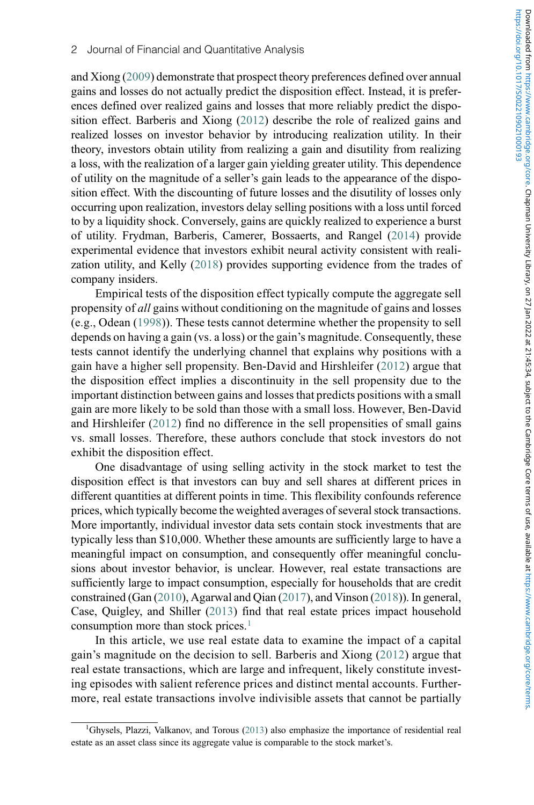and Xiong (2009) demonstrate that prospect theory preferences defined over annual gains and losses do not actually predict the disposition effect. Instead, it is preferences defined over realized gains and losses that more reliably predict the disposition effect. Barberis and Xiong (2012) describe the role of realized gains and realized losses on investor behavior by introducing realization utility. In their theory, investors obtain utility from realizing a gain and disutility from realizing a loss, with the realization of a larger gain yielding greater utility. This dependence of utility on the magnitude of a seller's gain leads to the appearance of the disposition effect. With the discounting of future losses and the disutility of losses only occurring upon realization, investors delay selling positions with a loss until forced to by a liquidity shock. Conversely, gains are quickly realized to experience a burst of utility. Frydman, Barberis, Camerer, Bossaerts, and Rangel (2014) provide experimental evidence that investors exhibit neural activity consistent with realization utility, and Kelly (2018) provides supporting evidence from the trades of company insiders.

Empirical tests of the disposition effect typically compute the aggregate sell propensity of all gains without conditioning on the magnitude of gains and losses (e.g., Odean (1998)). These tests cannot determine whether the propensity to sell depends on having a gain (vs. a loss) or the gain's magnitude. Consequently, these tests cannot identify the underlying channel that explains why positions with a gain have a higher sell propensity. Ben-David and Hirshleifer (2012) argue that the disposition effect implies a discontinuity in the sell propensity due to the important distinction between gains and losses that predicts positions with a small gain are more likely to be sold than those with a small loss. However, Ben-David and Hirshleifer (2012) find no difference in the sell propensities of small gains vs. small losses. Therefore, these authors conclude that stock investors do not exhibit the disposition effect.

One disadvantage of using selling activity in the stock market to test the disposition effect is that investors can buy and sell shares at different prices in different quantities at different points in time. This flexibility confounds reference prices, which typically become the weighted averages of several stock transactions. More importantly, individual investor data sets contain stock investments that are typically less than \$10,000. Whether these amounts are sufficiently large to have a meaningful impact on consumption, and consequently offer meaningful conclusions about investor behavior, is unclear. However, real estate transactions are sufficiently large to impact consumption, especially for households that are credit constrained (Gan (2010), Agarwal and Qian (2017), and Vinson (2018)). In general, Case, Quigley, and Shiller (2013) find that real estate prices impact household consumption more than stock prices.<sup>[1](#page-3-0)</sup>

In this article, we use real estate data to examine the impact of a capital gain's magnitude on the decision to sell. Barberis and Xiong (2012) argue that real estate transactions, which are large and infrequent, likely constitute investing episodes with salient reference prices and distinct mental accounts. Furthermore, real estate transactions involve indivisible assets that cannot be partially

<span id="page-3-0"></span><sup>&</sup>lt;sup>1</sup>Ghysels, Plazzi, Valkanov, and Torous (2013) also emphasize the importance of residential real estate as an asset class since its aggregate value is comparable to the stock market's.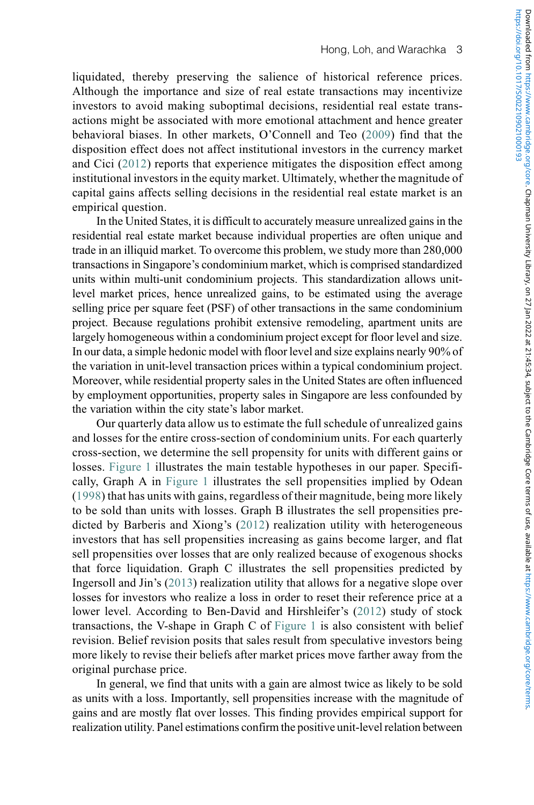liquidated, thereby preserving the salience of historical reference prices. Although the importance and size of real estate transactions may incentivize investors to avoid making suboptimal decisions, residential real estate transactions might be associated with more emotional attachment and hence greater behavioral biases. In other markets, O'Connell and Teo (2009) find that the disposition effect does not affect institutional investors in the currency market and Cici (2012) reports that experience mitigates the disposition effect among institutional investors in the equity market. Ultimately, whether the magnitude of capital gains affects selling decisions in the residential real estate market is an empirical question.

In the United States, it is difficult to accurately measure unrealized gains in the residential real estate market because individual properties are often unique and trade in an illiquid market. To overcome this problem, we study more than 280,000 transactions in Singapore's condominium market, which is comprised standardized units within multi-unit condominium projects. This standardization allows unitlevel market prices, hence unrealized gains, to be estimated using the average selling price per square feet (PSF) of other transactions in the same condominium project. Because regulations prohibit extensive remodeling, apartment units are largely homogeneous within a condominium project except for floor level and size. In our data, a simple hedonic model with floor level and size explains nearly 90% of the variation in unit-level transaction prices within a typical condominium project. Moreover, while residential property sales in the United States are often influenced by employment opportunities, property sales in Singapore are less confounded by the variation within the city state's labor market.

Our quarterly data allow us to estimate the full schedule of unrealized gains and losses for the entire cross-section of condominium units. For each quarterly cross-section, we determine the sell propensity for units with different gains or losses. [Figure 1](#page-5-0) illustrates the main testable hypotheses in our paper. Specifically, Graph A in [Figure 1](#page-5-0) illustrates the sell propensities implied by Odean (1998) that has units with gains, regardless of their magnitude, being more likely to be sold than units with losses. Graph B illustrates the sell propensities predicted by Barberis and Xiong's (2012) realization utility with heterogeneous investors that has sell propensities increasing as gains become larger, and flat sell propensities over losses that are only realized because of exogenous shocks that force liquidation. Graph C illustrates the sell propensities predicted by Ingersoll and Jin's (2013) realization utility that allows for a negative slope over losses for investors who realize a loss in order to reset their reference price at a lower level. According to Ben-David and Hirshleifer's (2012) study of stock transactions, the V-shape in Graph C of [Figure 1](#page-5-0) is also consistent with belief revision. Belief revision posits that sales result from speculative investors being more likely to revise their beliefs after market prices move farther away from the original purchase price.

In general, we find that units with a gain are almost twice as likely to be sold as units with a loss. Importantly, sell propensities increase with the magnitude of gains and are mostly flat over losses. This finding provides empirical support for realization utility. Panel estimations confirm the positive unit-level relation between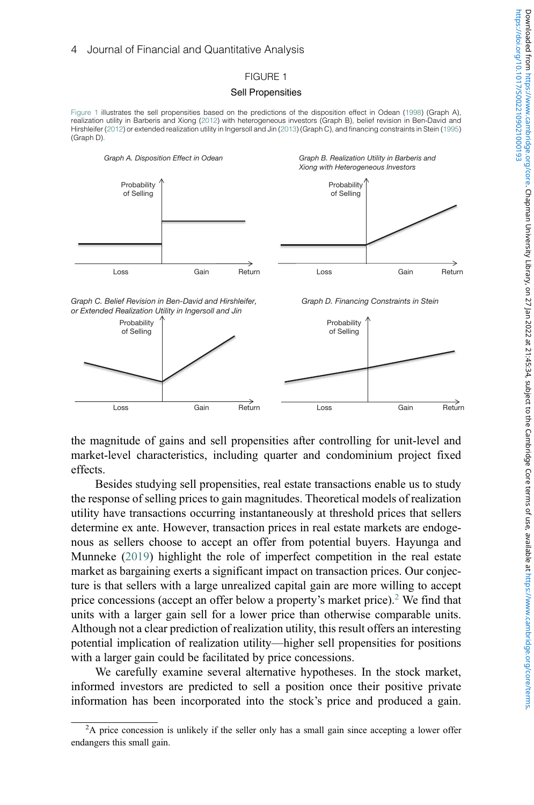## FIGURE 1

### Sell Propensities

<span id="page-5-0"></span>[Figure 1](#page-5-0) illustrates the sell propensities based on the predictions of the disposition effect in Odean (1998) (Graph A), realization utility in Barberis and Xiong (2012) with heterogeneous investors (Graph B), belief revision in Ben-David and Hirshleifer (2012) or extended realization utility in Ingersoll and Jin (2013) (Graph C), and financing constraints in Stein (1995) (Graph D).



the magnitude of gains and sell propensities after controlling for unit-level and market-level characteristics, including quarter and condominium project fixed effects.

Besides studying sell propensities, real estate transactions enable us to study the response of selling prices to gain magnitudes. Theoretical models of realization utility have transactions occurring instantaneously at threshold prices that sellers determine ex ante. However, transaction prices in real estate markets are endogenous as sellers choose to accept an offer from potential buyers. Hayunga and Munneke (2019) highlight the role of imperfect competition in the real estate market as bargaining exerts a significant impact on transaction prices. Our conjecture is that sellers with a large unrealized capital gain are more willing to accept price concessions (accept an offer below a property's market price).[2](#page-5-1) We find that units with a larger gain sell for a lower price than otherwise comparable units. Although not a clear prediction of realization utility, this result offers an interesting potential implication of realization utility—higher sell propensities for positions with a larger gain could be facilitated by price concessions.

We carefully examine several alternative hypotheses. In the stock market, informed investors are predicted to sell a position once their positive private information has been incorporated into the stock's price and produced a gain.

<span id="page-5-1"></span><sup>&</sup>lt;sup>2</sup>A price concession is unlikely if the seller only has a small gain since accepting a lower offer endangers this small gain.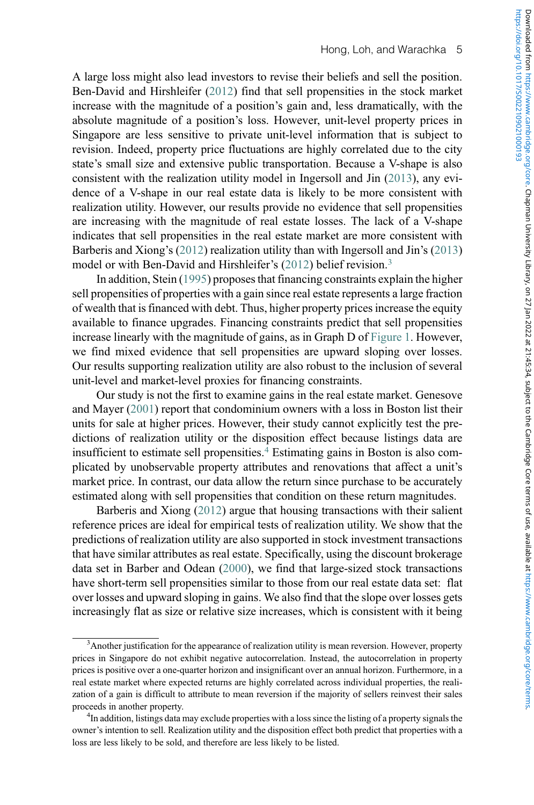A large loss might also lead investors to revise their beliefs and sell the position. Ben-David and Hirshleifer (2012) find that sell propensities in the stock market increase with the magnitude of a position's gain and, less dramatically, with the absolute magnitude of a position's loss. However, unit-level property prices in Singapore are less sensitive to private unit-level information that is subject to revision. Indeed, property price fluctuations are highly correlated due to the city state's small size and extensive public transportation. Because a V-shape is also consistent with the realization utility model in Ingersoll and Jin (2013), any evidence of a V-shape in our real estate data is likely to be more consistent with realization utility. However, our results provide no evidence that sell propensities are increasing with the magnitude of real estate losses. The lack of a V-shape indicates that sell propensities in the real estate market are more consistent with Barberis and Xiong's (2012) realization utility than with Ingersoll and Jin's (2013) model or with Ben-David and Hirshleifer's (2012) belief revision.<sup>[3](#page-6-0)</sup>

In addition, Stein (1995) proposes that financing constraints explain the higher sell propensities of properties with a gain since real estate represents a large fraction of wealth that is financed with debt. Thus, higher property prices increase the equity available to finance upgrades. Financing constraints predict that sell propensities increase linearly with the magnitude of gains, as in Graph D of [Figure 1.](#page-5-0) However, we find mixed evidence that sell propensities are upward sloping over losses. Our results supporting realization utility are also robust to the inclusion of several unit-level and market-level proxies for financing constraints.

Our study is not the first to examine gains in the real estate market. Genesove and Mayer (2001) report that condominium owners with a loss in Boston list their units for sale at higher prices. However, their study cannot explicitly test the predictions of realization utility or the disposition effect because listings data are insufficient to estimate sell propensities.[4](#page-6-1) Estimating gains in Boston is also complicated by unobservable property attributes and renovations that affect a unit's market price. In contrast, our data allow the return since purchase to be accurately estimated along with sell propensities that condition on these return magnitudes.

Barberis and Xiong (2012) argue that housing transactions with their salient reference prices are ideal for empirical tests of realization utility. We show that the predictions of realization utility are also supported in stock investment transactions that have similar attributes as real estate. Specifically, using the discount brokerage data set in Barber and Odean (2000), we find that large-sized stock transactions have short-term sell propensities similar to those from our real estate data set: flat over losses and upward sloping in gains. We also find that the slope over losses gets increasingly flat as size or relative size increases, which is consistent with it being

<span id="page-6-0"></span><sup>&</sup>lt;sup>3</sup> Another justification for the appearance of realization utility is mean reversion. However, property prices in Singapore do not exhibit negative autocorrelation. Instead, the autocorrelation in property prices is positive over a one-quarter horizon and insignificant over an annual horizon. Furthermore, in a real estate market where expected returns are highly correlated across individual properties, the realization of a gain is difficult to attribute to mean reversion if the majority of sellers reinvest their sales proceeds in another property. <sup>4</sup>

<span id="page-6-1"></span><sup>&</sup>lt;sup>4</sup>In addition, listings data may exclude properties with a loss since the listing of a property signals the owner's intention to sell. Realization utility and the disposition effect both predict that properties with a loss are less likely to be sold, and therefore are less likely to be listed.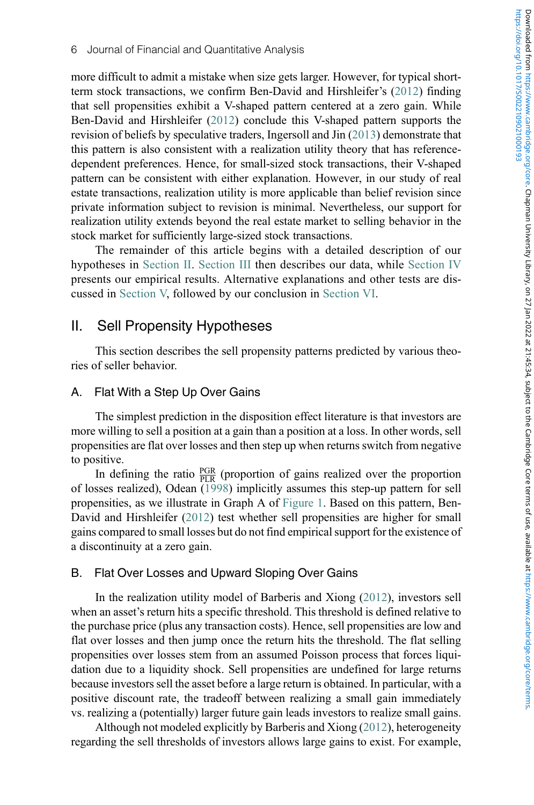more difficult to admit a mistake when size gets larger. However, for typical shortterm stock transactions, we confirm Ben-David and Hirshleifer's (2012) finding that sell propensities exhibit a V-shaped pattern centered at a zero gain. While Ben-David and Hirshleifer (2012) conclude this V-shaped pattern supports the revision of beliefs by speculative traders, Ingersoll and Jin (2013) demonstrate that this pattern is also consistent with a realization utility theory that has referencedependent preferences. Hence, for small-sized stock transactions, their V-shaped pattern can be consistent with either explanation. However, in our study of real estate transactions, realization utility is more applicable than belief revision since private information subject to revision is minimal. Nevertheless, our support for realization utility extends beyond the real estate market to selling behavior in the stock market for sufficiently large-sized stock transactions.

The remainder of this article begins with a detailed description of our hypotheses in [Section II](#page-7-0). [Section III](#page-9-0) then describes our data, while [Section IV](#page-13-0) presents our empirical results. Alternative explanations and other tests are discussed in [Section V,](#page-38-0) followed by our conclusion in [Section VI.](#page-42-0)

## <span id="page-7-0"></span>II. Sell Propensity Hypotheses

This section describes the sell propensity patterns predicted by various theories of seller behavior.

## A. Flat With a Step Up Over Gains

The simplest prediction in the disposition effect literature is that investors are more willing to sell a position at a gain than a position at a loss. In other words, sell propensities are flat over losses and then step up when returns switch from negative to positive.

In defining the ratio  $\frac{PGR}{PLR}$  (proportion of gains realized over the proportion of losses realized), Odean (1998) implicitly assumes this step-up pattern for sell propensities, as we illustrate in Graph A of [Figure 1](#page-5-0). Based on this pattern, Ben-David and Hirshleifer (2012) test whether sell propensities are higher for small gains compared to small losses but do not find empirical support for the existence of a discontinuity at a zero gain.

## B. Flat Over Losses and Upward Sloping Over Gains

In the realization utility model of Barberis and Xiong (2012), investors sell when an asset's return hits a specific threshold. This threshold is defined relative to the purchase price (plus any transaction costs). Hence, sell propensities are low and flat over losses and then jump once the return hits the threshold. The flat selling propensities over losses stem from an assumed Poisson process that forces liquidation due to a liquidity shock. Sell propensities are undefined for large returns because investors sell the asset before a large return is obtained. In particular, with a positive discount rate, the tradeoff between realizing a small gain immediately vs. realizing a (potentially) larger future gain leads investors to realize small gains.

Although not modeled explicitly by Barberis and Xiong (2012), heterogeneity regarding the sell thresholds of investors allows large gains to exist. For example,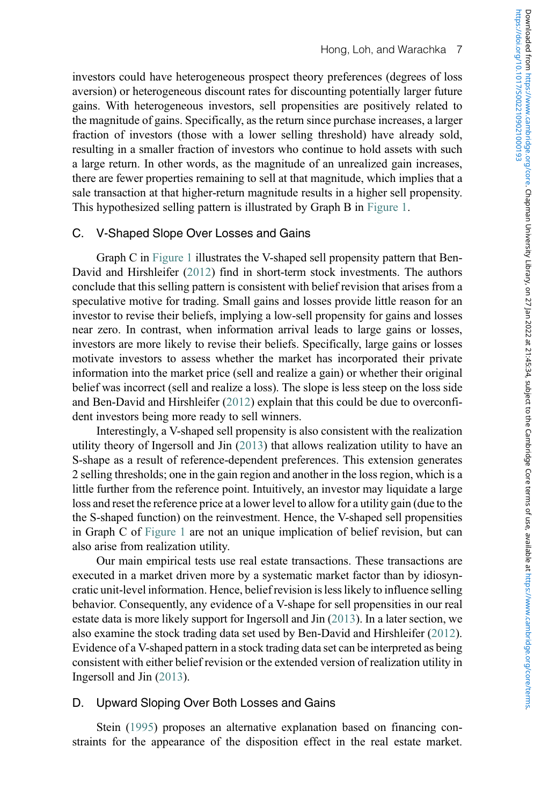investors could have heterogeneous prospect theory preferences (degrees of loss aversion) or heterogeneous discount rates for discounting potentially larger future gains. With heterogeneous investors, sell propensities are positively related to the magnitude of gains. Specifically, as the return since purchase increases, a larger fraction of investors (those with a lower selling threshold) have already sold, resulting in a smaller fraction of investors who continue to hold assets with such a large return. In other words, as the magnitude of an unrealized gain increases, there are fewer properties remaining to sell at that magnitude, which implies that a sale transaction at that higher-return magnitude results in a higher sell propensity. This hypothesized selling pattern is illustrated by Graph B in [Figure 1](#page-5-0).

## C. V-Shaped Slope Over Losses and Gains

Graph C in [Figure 1](#page-5-0) illustrates the V-shaped sell propensity pattern that Ben-David and Hirshleifer (2012) find in short-term stock investments. The authors conclude that this selling pattern is consistent with belief revision that arises from a speculative motive for trading. Small gains and losses provide little reason for an investor to revise their beliefs, implying a low-sell propensity for gains and losses near zero. In contrast, when information arrival leads to large gains or losses, investors are more likely to revise their beliefs. Specifically, large gains or losses motivate investors to assess whether the market has incorporated their private information into the market price (sell and realize a gain) or whether their original belief was incorrect (sell and realize a loss). The slope is less steep on the loss side and Ben-David and Hirshleifer (2012) explain that this could be due to overconfident investors being more ready to sell winners.

Interestingly, a V-shaped sell propensity is also consistent with the realization utility theory of Ingersoll and Jin (2013) that allows realization utility to have an S-shape as a result of reference-dependent preferences. This extension generates 2 selling thresholds; one in the gain region and another in the loss region, which is a little further from the reference point. Intuitively, an investor may liquidate a large loss and reset the reference price at a lower level to allow for a utility gain (due to the the S-shaped function) on the reinvestment. Hence, the V-shaped sell propensities in Graph C of [Figure 1](#page-5-0) are not an unique implication of belief revision, but can also arise from realization utility.

Our main empirical tests use real estate transactions. These transactions are executed in a market driven more by a systematic market factor than by idiosyncratic unit-level information. Hence, belief revision is less likely to influence selling behavior. Consequently, any evidence of a V-shape for sell propensities in our real estate data is more likely support for Ingersoll and Jin (2013). In a later section, we also examine the stock trading data set used by Ben-David and Hirshleifer (2012). Evidence of a V-shaped pattern in a stock trading data set can be interpreted as being consistent with either belief revision or the extended version of realization utility in Ingersoll and Jin (2013).

## D. Upward Sloping Over Both Losses and Gains

Stein (1995) proposes an alternative explanation based on financing constraints for the appearance of the disposition effect in the real estate market.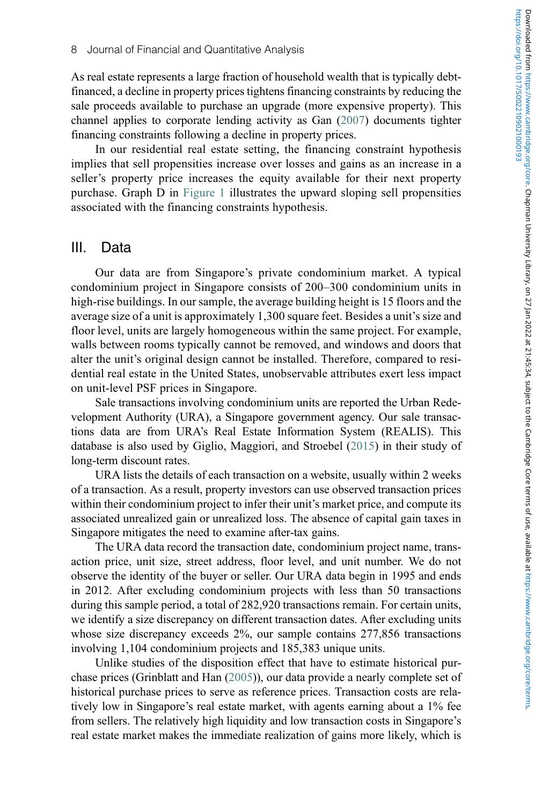As real estate represents a large fraction of household wealth that is typically debtfinanced, a decline in property prices tightens financing constraints by reducing the sale proceeds available to purchase an upgrade (more expensive property). This channel applies to corporate lending activity as Gan (2007) documents tighter financing constraints following a decline in property prices.

In our residential real estate setting, the financing constraint hypothesis implies that sell propensities increase over losses and gains as an increase in a seller's property price increases the equity available for their next property purchase. Graph D in [Figure 1](#page-5-0) illustrates the upward sloping sell propensities associated with the financing constraints hypothesis.

## <span id="page-9-0"></span>III. Data

Our data are from Singapore's private condominium market. A typical condominium project in Singapore consists of 200–300 condominium units in high-rise buildings. In our sample, the average building height is 15 floors and the average size of a unit is approximately 1,300 square feet. Besides a unit's size and floor level, units are largely homogeneous within the same project. For example, walls between rooms typically cannot be removed, and windows and doors that alter the unit's original design cannot be installed. Therefore, compared to residential real estate in the United States, unobservable attributes exert less impact on unit-level PSF prices in Singapore.

Sale transactions involving condominium units are reported the Urban Redevelopment Authority (URA), a Singapore government agency. Our sale transactions data are from URA's Real Estate Information System (REALIS). This database is also used by Giglio, Maggiori, and Stroebel (2015) in their study of long-term discount rates.

URA lists the details of each transaction on a website, usually within 2 weeks of a transaction. As a result, property investors can use observed transaction prices within their condominium project to infer their unit's market price, and compute its associated unrealized gain or unrealized loss. The absence of capital gain taxes in Singapore mitigates the need to examine after-tax gains.

The URA data record the transaction date, condominium project name, transaction price, unit size, street address, floor level, and unit number. We do not observe the identity of the buyer or seller. Our URA data begin in 1995 and ends in 2012. After excluding condominium projects with less than 50 transactions during this sample period, a total of 282,920 transactions remain. For certain units, we identify a size discrepancy on different transaction dates. After excluding units whose size discrepancy exceeds 2%, our sample contains 277,856 transactions involving 1,104 condominium projects and 185,383 unique units.

Unlike studies of the disposition effect that have to estimate historical purchase prices (Grinblatt and Han (2005)), our data provide a nearly complete set of historical purchase prices to serve as reference prices. Transaction costs are relatively low in Singapore's real estate market, with agents earning about a 1% fee from sellers. The relatively high liquidity and low transaction costs in Singapore's real estate market makes the immediate realization of gains more likely, which is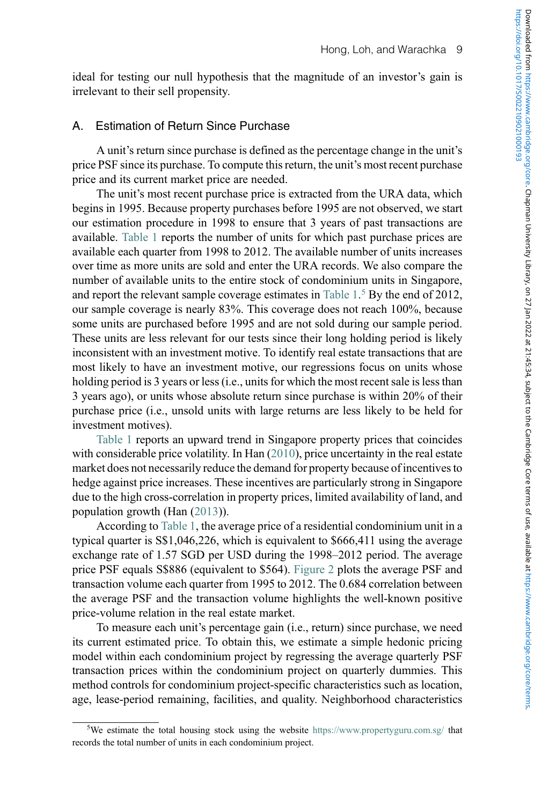ideal for testing our null hypothesis that the magnitude of an investor's gain is irrelevant to their sell propensity.

## A. Estimation of Return Since Purchase

A unit's return since purchase is defined as the percentage change in the unit's price PSF since its purchase. To compute this return, the unit's most recent purchase price and its current market price are needed.

The unit's most recent purchase price is extracted from the URA data, which begins in 1995. Because property purchases before 1995 are not observed, we start our estimation procedure in 1998 to ensure that 3 years of past transactions are available. [Table 1](#page-11-0) reports the number of units for which past purchase prices are available each quarter from 1998 to 2012. The available number of units increases over time as more units are sold and enter the URA records. We also compare the number of available units to the entire stock of condominium units in Singapore, and report the relevant sample coverage estimates in [Table 1](#page-11-0). [5](#page-10-0) By the end of 2012, our sample coverage is nearly 83%. This coverage does not reach 100%, because some units are purchased before 1995 and are not sold during our sample period. These units are less relevant for our tests since their long holding period is likely inconsistent with an investment motive. To identify real estate transactions that are most likely to have an investment motive, our regressions focus on units whose holding period is 3 years or less (i.e., units for which the most recent sale is less than 3 years ago), or units whose absolute return since purchase is within 20% of their purchase price (i.e., unsold units with large returns are less likely to be held for investment motives).

[Table 1](#page-11-0) reports an upward trend in Singapore property prices that coincides with considerable price volatility. In Han (2010), price uncertainty in the real estate market does not necessarily reduce the demand for property because of incentives to hedge against price increases. These incentives are particularly strong in Singapore due to the high cross-correlation in property prices, limited availability of land, and population growth (Han (2013)).

According to [Table 1,](#page-11-0) the average price of a residential condominium unit in a typical quarter is S\$1,046,226, which is equivalent to \$666,411 using the average exchange rate of 1.57 SGD per USD during the 1998–2012 period. The average price PSF equals S\$886 (equivalent to \$564). [Figure 2](#page-12-0) plots the average PSF and transaction volume each quarter from 1995 to 2012. The 0.684 correlation between the average PSF and the transaction volume highlights the well-known positive price-volume relation in the real estate market.

To measure each unit's percentage gain (i.e., return) since purchase, we need its current estimated price. To obtain this, we estimate a simple hedonic pricing model within each condominium project by regressing the average quarterly PSF transaction prices within the condominium project on quarterly dummies. This method controls for condominium project-specific characteristics such as location, age, lease-period remaining, facilities, and quality. Neighborhood characteristics

<span id="page-10-0"></span><sup>&</sup>lt;sup>5</sup>We estimate the total housing stock using the website <https://www.propertyguru.com.sg/> that records the total number of units in each condominium project.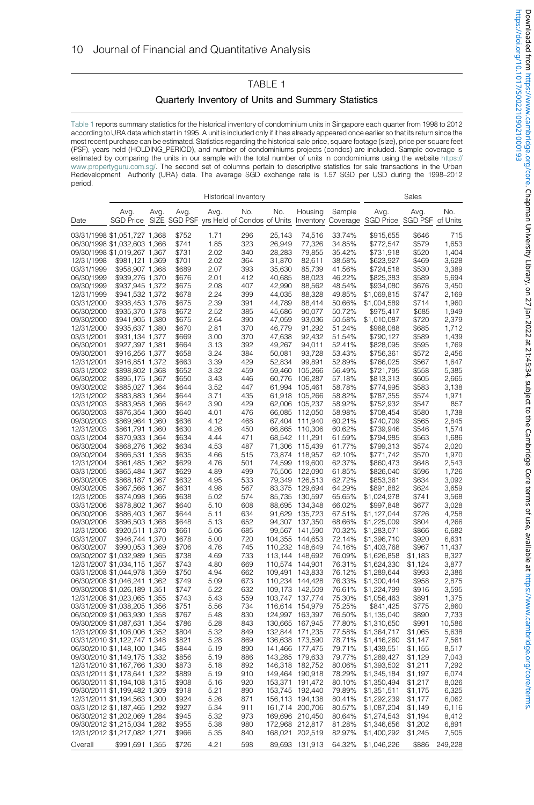## TABLE 1 Quarterly Inventory of Units and Summary Statistics

<span id="page-11-0"></span>[Table 1](#page-11-0) reports summary statistics for the historical inventory of condominium units in Singapore each quarter from 1998 to 2012 according to URA data which start in 1995. A unit is included only if it has already appeared once earlier so that its return since the most recent purchase can be estimated. Statistics regarding the historical sale price, square footage (size), price per square feet (PSF), years held (HOLDING\_PERIOD), and number of condominiums projects (condos) are included. Sample coverage is estimated by comparing the units in our sample with the total number of units in condominiums using the website [https://](https://www.propertyguru.com.sg/) [www.propertyguru.com.sg/.](https://www.propertyguru.com.sg/) The second set of columns pertain to descriptive statistics for sale transactions in the Urban Redevelopment Authority (URA) data. The average SGD exchange rate is 1.57 SGD per USD during the 1998–2012 period.

|                          | <b>Historical Inventory</b>                                          |      |                |              |            |                    |                            | Sales            |                                             |                    |                |
|--------------------------|----------------------------------------------------------------------|------|----------------|--------------|------------|--------------------|----------------------------|------------------|---------------------------------------------|--------------------|----------------|
| Date                     | Avg.<br>SGD Price SIZE SGD PSF yrs Held of Condos of Units Inventory | Avg. | Avg.           | Avg.         | No.        | No.                | Housing                    | Sample           | Avg.<br>Coverage SGD Price SGD PSF of Units | Avg.               | No.            |
|                          | 03/31/1998 \$1,051,727 1,368                                         |      | \$752          | 1.71         | 296        | 25,143             | 74,516                     | 33.74%           | \$915,655                                   | \$646              | 715            |
|                          | 06/30/1998 \$1,032,603 1,366                                         |      | \$741          | 1.85         | 323        | 26,949             | 77,326                     | 34.85%           | \$772,547                                   | \$579              | 1,653          |
|                          | 09/30/1998 \$1,019,267 1,367                                         |      | \$731          | 2.02         | 340        | 28,283             | 79,855                     | 35.42%           | \$731,918                                   | \$520              | 1,404          |
| 12/31/1998               | \$981,121 1,369                                                      |      | \$701          | 2.02         | 364        | 31,870             | 82,611                     | 38.58%           | \$623,927                                   | \$469              | 3,628          |
| 03/31/1999               | \$958,907 1,368                                                      |      | \$689          | 2.07         | 393        | 35,630             | 85,739                     | 41.56%           | \$724,518                                   | \$530              | 3,389          |
| 06/30/1999               | \$939,276 1,370                                                      |      | \$676          | 2.01         | 412        | 40,685             | 88,023                     | 46.22%           | \$825,383                                   | \$589              | 5,694          |
| 09/30/1999               | \$937,945 1,372                                                      |      | \$675          | 2.08         | 407        | 42,990             | 88,562                     | 48.54%           | \$934,080                                   | \$676              | 3,450          |
| 12/31/1999               | \$941,532 1,372                                                      |      | \$678          | 2.24         | 399        | 44,035             | 88,328                     | 49.85%           | \$1,069,815                                 | \$747              | 2,169          |
| 03/31/2000               | \$938,453 1,376                                                      |      | \$675          | 2.39         | 391        | 44,789             | 88,414                     | 50.66%           | \$1,004,589                                 | \$714              | 1,960          |
| 06/30/2000               | \$935,370 1,378                                                      |      | \$672          | 2.52         | 385        | 45,686             | 90,077                     | 50.72%           | \$975,417                                   | \$685              | 1,949          |
| 09/30/2000               | \$941,905 1,380                                                      |      | \$675          | 2.64         | 390        | 47,059             | 93,036                     | 50.58%           | \$1,010,087                                 | \$720              | 2,379          |
| 12/31/2000               | \$935,637 1,380                                                      |      | \$670          | 2.81         | 370        | 46,779             | 91,292                     | 51.24%           | \$988,088                                   | \$685              | 1,712          |
| 03/31/2001               | \$931,134 1,377                                                      |      | \$669          | 3.00         | 370        | 47,638             | 92,432                     | 51.54%           | \$790,127                                   | \$589              | 1,439          |
| 06/30/2001               | \$927,397 1,381                                                      |      | \$664          | 3.13         | 392        | 49,267             | 94,011                     | 52.41%           | \$828,095                                   | \$595              | 1,769          |
| 09/30/2001<br>12/31/2001 | \$916,256 1,377<br>\$916,851 1,372                                   |      | \$658<br>\$663 | 3.24<br>3.39 | 384<br>429 | 50,081<br>52,834   | 93,728<br>99,891           | 53.43%<br>52.89% | \$756,361<br>\$766,025                      | \$572<br>\$567     | 2,456<br>1,647 |
| 03/31/2002               | \$898,802 1,368                                                      |      | \$652          | 3.32         | 459        | 59,460             | 105,266                    | 56.49%           | \$721,795                                   | \$558              | 5,385          |
| 06/30/2002               | \$895,175 1,367                                                      |      | \$650          | 3.43         | 446        | 60,776             | 106,287                    | 57.18%           | \$813,313                                   | \$605              | 2,665          |
| 09/30/2002               | \$885,027 1,364                                                      |      | \$644          | 3.52         | 447        | 61,994             | 105,461                    | 58.78%           | \$774,995                                   | \$583              | 3,138          |
| 12/31/2002               | \$883,883 1,364                                                      |      | \$644          | 3.71         | 435        | 61,918             | 105,266                    | 58.82%           | \$787,355                                   | \$574              | 1,971          |
| 03/31/2003               | \$883,958 1,366                                                      |      | \$642          | 3.90         | 429        | 62,006             | 105,237                    | 58.92%           | \$752,932                                   | \$547              | 857            |
| 06/30/2003               | \$876,354 1,360                                                      |      | \$640          | 4.01         | 476        | 66,085             | 112,050                    | 58.98%           | \$708,454                                   | \$580              | 1,738          |
| 09/30/2003               | \$869,964 1,360                                                      |      | \$636          | 4.12         | 468        | 67,404             | 111,940                    | 60.21%           | \$740,709                                   | \$565              | 2,845          |
| 12/31/2003               | \$861,791 1,360                                                      |      | \$630          | 4.26         | 450        | 66,865             | 110,306                    | 60.62%           | \$739,946                                   | \$546              | 1,574          |
| 03/31/2004               | \$870,933 1,364                                                      |      | \$634          | 4.44         | 471        | 68,542             | 111,291                    | 61.59%           | \$794,985                                   | \$563              | 1,686          |
| 06/30/2004               | \$868,276 1,362                                                      |      | \$634          | 4.53         | 487        | 71,306             | 115,439                    | 61.77%           | \$799,313                                   | \$574              | 2,020          |
| 09/30/2004               | \$866,531 1,358                                                      |      | \$635          | 4.66         | 515        | 73.874             | 118,957                    | 62.10%           | \$771,742                                   | \$570              | 1,970          |
| 12/31/2004               | \$861,485 1,362                                                      |      | \$629          | 4.76         | 501        |                    | 74,599 119,600             | 62.37%           | \$860,473                                   | \$648              | 2,543          |
| 03/31/2005               | \$865,484 1,367                                                      |      | \$629          | 4.89<br>4.95 | 499        | 75,506<br>79,349   | 122,090                    | 61.85%           | \$826,040                                   | \$596              | 1,726          |
| 06/30/2005<br>09/30/2005 | \$868,187 1,367<br>\$867,566 1,367                                   |      | \$632<br>\$631 | 4.98         | 533<br>567 | 83,375             | 126,513<br>129,694         | 62.72%<br>64.29% | \$853,361<br>\$891,882                      | \$634<br>\$624     | 3,092<br>3,659 |
| 12/31/2005               | \$874,098 1,366                                                      |      | \$638          | 5.02         | 574        | 85,735             | 130,597                    | 65.65%           | \$1,024,978                                 | \$741              | 3,568          |
| 03/31/2006               | \$878,802 1,367                                                      |      | \$640          | 5.10         | 608        | 88,695             | 134,348                    | 66.02%           | \$997,848                                   | \$677              | 3,028          |
| 06/30/2006               | \$886,403 1,367                                                      |      | \$644          | 5.11         | 634        | 91,629             | 135,723                    | 67.51%           | \$1,127,044                                 | \$726              | 4,258          |
| 09/30/2006               | \$896,503 1,368                                                      |      | \$648          | 5.13         | 652        | 94,307             | 137,350                    | 68.66%           | \$1,225,009                                 | \$804              | 4,266          |
| 12/31/2006               | \$920,511 1,370                                                      |      | \$661          | 5.06         | 685        | 99,567             | 141,590                    | 70.32%           | \$1,283,071                                 | \$866              | 6,682          |
| 03/31/2007               | \$946,744 1,370                                                      |      | \$678          | 5.00         | 720        | 104,355            | 144,653                    | 72.14%           | \$1,396,710                                 | \$920              | 6,631          |
| 06/30/2007               | \$990,053 1,369                                                      |      | \$706          | 4.76         | 745        | 110,232            | 148,649                    | 74.16%           | \$1,403,768                                 | \$967              | 11,437         |
|                          | 09/30/2007 \$1,032,989 1,365                                         |      | \$738          | 4.69         | 733        | 113,144            | 148,692                    | 76.09%           | \$1,626,858                                 | \$1,183            | 8,327          |
|                          | 12/31/2007 \$1,034,115 1,357                                         |      | \$743          | 4.80         | 669        | 110,574            | 144,901                    | 76.31%           | \$1,624,330                                 | \$1,124            | 3,877          |
|                          | 03/31/2008 \$1,044,978 1,359                                         |      | \$750          | 4.94         | 662        | 109,491            | 143,833                    | 76.12%           | \$1,289,644                                 | \$993              | 2,386          |
|                          | 06/30/2008 \$1,046,241 1,362                                         |      | \$749          | 5.09         | 673        | 110,234            | 144,428                    | 76.33%           | \$1,300,444                                 | \$958              | 2,875          |
|                          | 09/30/2008 \$1,026,189 1,351<br>12/31/2008 \$1,023,065 1,355         |      | \$747<br>\$743 | 5.22<br>5.43 | 632<br>559 | 109,173<br>103,747 | 142,509<br>137,774         | 76.61%<br>75.30% | \$1,224,799<br>\$1,056,463                  | \$916<br>\$891     | 3,595<br>1,375 |
|                          | 03/31/2009 \$1,038,205 1,356                                         |      | \$751          | 5.56         | 734        | 116,614            | 154,979                    | 75.25%           | \$841,425                                   | \$775              | 2,860          |
|                          | 06/30/2009 \$1,063,930 1,358                                         |      | \$767          | 5.48         | 830        | 124,997            | 163,397                    | 76.50%           | \$1,135,040                                 | \$890              | 7,733          |
|                          | 09/30/2009 \$1,087,631 1,354                                         |      | \$786          | 5.28         | 843        | 130,665            | 167,945                    | 77.80%           | \$1,310,650                                 | \$991              | 10,586         |
|                          | 12/31/2009 \$1,106,006 1,352                                         |      | \$804          | 5.32         | 849        | 132,844            | 171,235                    | 77.58%           | \$1,364,717                                 | \$1,065            | 5,638          |
|                          | 03/31/2010 \$1,122,747 1,348                                         |      | \$821          | 5.28         | 869        | 136,638            | 173,590                    | 78.71%           | \$1,416,260                                 | \$1,147            | 7,561          |
|                          | 06/30/2010 \$1,148,100 1,345                                         |      | \$844          | 5.19         | 890        | 141,466            | 177,475                    | 79.71%           | \$1,439,551                                 | \$1,155            | 8,517          |
|                          | 09/30/2010 \$1,149,175 1,332                                         |      | \$856          | 5.19         | 886        | 143,285            | 179,633                    | 79.77%           | \$1,289,427                                 | \$1,129            | 7,043          |
|                          | 12/31/2010 \$1,167,766 1,330                                         |      | \$873          | 5.18         | 892        | 146,318            | 182,752                    | 80.06%           | \$1,393,502                                 | \$1,211            | 7,292          |
|                          | 03/31/2011 \$1,178,641 1,322                                         |      | \$889          | 5.19         | 910        | 149,464            | 190,918                    | 78.29%           | \$1,345,184                                 | \$1,197            | 6,074          |
|                          | 06/30/2011 \$1,194,108 1,315                                         |      | \$908          | 5.16         | 920        | 153,371            | 191,472                    | 80.10%           | \$1,350,494                                 | \$1,217            | 8,026          |
|                          | 09/30/2011 \$1,199,482 1,309                                         |      | \$918          | 5.21         | 890        | 153,745            | 192,440                    | 79.89%           | \$1,351,511                                 | \$1,175            | 6,325          |
|                          | 12/31/2011 \$1,194,563 1,300                                         |      | \$924          | 5.26         | 871        | 156,113            | 194,138                    | 80.41%           | \$1,292,239                                 | \$1,177            | 6,062          |
|                          | 03/31/2012 \$1,187,465 1,292                                         |      | \$927<br>\$945 | 5.34<br>5.32 | 911<br>973 | 161,714            | 200,706<br>169,696 210,450 | 80.57%<br>80.64% | \$1,087,204                                 | \$1,149<br>\$1,194 | 6,116          |
|                          | 06/30/2012 \$1,202,069 1,284<br>09/30/2012 \$1,215,034 1,282         |      | \$955          | 5.38         | 980        |                    | 172,968 212,817            | 81.28%           | \$1,274,543<br>\$1,346,656                  | \$1,202            | 8,412<br>6,891 |
|                          | 12/31/2012 \$1,217,082 1,271                                         |      | \$966          | 5.35         | 840        |                    | 168,021 202,519            | 82.97%           | \$1,400,292                                 | \$1,245            | 7,505          |
| Overall                  | \$991,691 1,355                                                      |      | \$726          | 4.21         | 598        | 89,693             | 131,913                    | 64.32%           | \$1,046,226                                 | \$886              | 249,228        |
|                          |                                                                      |      |                |              |            |                    |                            |                  |                                             |                    |                |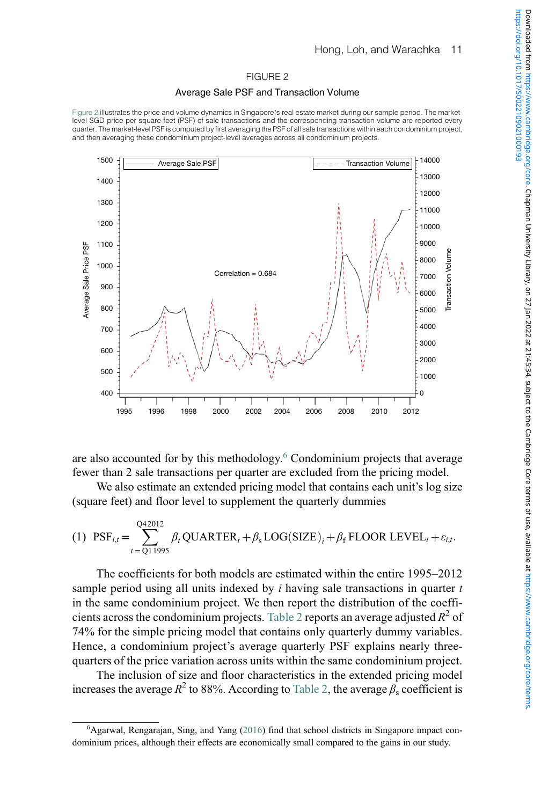### FIGURE 2

### Average Sale PSF and Transaction Volume

<span id="page-12-0"></span>[Figure 2](#page-12-0) illustrates the price and volume dynamics in Singapore's real estate market during our sample period. The marketlevel SGD price per square feet (PSF) of sale transactions and the corresponding transaction volume are reported every quarter. The market-level PSF is computed by first averaging the PSF of all sale transactions within each condominium project, and then averaging these condominium project-level averages across all condominium projects.



are also accounted for by this methodology.[6](#page-12-1) Condominium projects that average fewer than 2 sale transactions per quarter are excluded from the pricing model.

We also estimate an extended pricing model that contains each unit's log size (square feet) and floor level to supplement the quarterly dummies

<span id="page-12-2"></span>(1) 
$$
\text{PSF}_{i,t} = \sum_{t=Q11995}^{Q42012} \beta_t \text{QUARTER}_t + \beta_s \text{LOG}(\text{SIZE})_i + \beta_f \text{FLOOR LEVEL}_i + \varepsilon_{i,t}.
$$

The coefficients for both models are estimated within the entire 1995–2012 sample period using all units indexed by  $i$  having sale transactions in quarter  $t$ in the same condominium project. We then report the distribution of the coeffi-cients across the condominium projects. [Table 2](#page-13-1) reports an average adjusted  $R^2$  of 74% for the simple pricing model that contains only quarterly dummy variables. Hence, a condominium project's average quarterly PSF explains nearly threequarters of the price variation across units within the same condominium project.

The inclusion of size and floor characteristics in the extended pricing model increases the average  $R^2$  to 88%. According to [Table 2](#page-13-1), the average  $\beta_s$  coefficient is

<span id="page-12-1"></span><sup>6</sup> Agarwal, Rengarajan, Sing, and Yang (2016) find that school districts in Singapore impact condominium prices, although their effects are economically small compared to the gains in our study.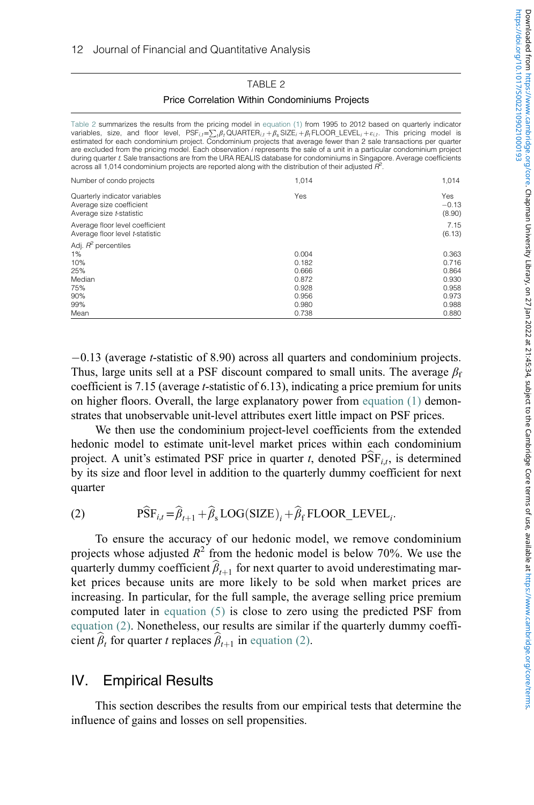## <span id="page-13-4"></span><span id="page-13-3"></span>TABLE 2 Price Correlation Within Condominiums Projects

<span id="page-13-1"></span>

| Table 2 summarizes the results from the pricing model in equation (1) from 1995 to 2012 based on quarterly indicator<br>variables, size, and floor level, $PSF_{i,t} = \sum_i \beta_i QUARTER_{i,t} + \beta_s SZE_i + \beta_t FLOOR LEVEL_i + \varepsilon_i t$ . This pricing model is<br>estimated for each condominium project. Condominium projects that average fewer than 2 sale transactions per quarter<br>are excluded from the pricing model. Each observation <i>i</i> represents the sale of a unit in a particular condominium project<br>during quarter t. Sale transactions are from the URA REALIS database for condominiums in Singapore. Average coefficients<br>across all 1,014 condominium projects are reported along with the distribution of their adjusted $\mathbb{H}^2$ . |                                                             |                                                             |
|-----------------------------------------------------------------------------------------------------------------------------------------------------------------------------------------------------------------------------------------------------------------------------------------------------------------------------------------------------------------------------------------------------------------------------------------------------------------------------------------------------------------------------------------------------------------------------------------------------------------------------------------------------------------------------------------------------------------------------------------------------------------------------------------------------|-------------------------------------------------------------|-------------------------------------------------------------|
| Number of condo projects                                                                                                                                                                                                                                                                                                                                                                                                                                                                                                                                                                                                                                                                                                                                                                            | 1,014                                                       | 1,014                                                       |
| Quarterly indicator variables<br>Average size coefficient<br>Average size t-statistic                                                                                                                                                                                                                                                                                                                                                                                                                                                                                                                                                                                                                                                                                                               | Yes                                                         | Yes<br>$-0.13$<br>(8.90)                                    |
| Average floor level coefficient<br>Average floor level t-statistic                                                                                                                                                                                                                                                                                                                                                                                                                                                                                                                                                                                                                                                                                                                                  |                                                             | 7.15<br>(6.13)                                              |
| Adj. $R^2$ percentiles<br>$1\%$<br>10%<br>25%<br>Median<br>75%<br>90%<br>99%                                                                                                                                                                                                                                                                                                                                                                                                                                                                                                                                                                                                                                                                                                                        | 0.004<br>0.182<br>0.666<br>0.872<br>0.928<br>0.956<br>0.980 | 0.363<br>0.716<br>0.864<br>0.93C<br>0.958<br>0.973<br>0.988 |
| Mean                                                                                                                                                                                                                                                                                                                                                                                                                                                                                                                                                                                                                                                                                                                                                                                                | 0.738                                                       | 0.880                                                       |

-0.13 (average t-statistic of 8.90) across all quarters and condominium projects. Thus, large units sell at a PSF discount compared to small units. The average  $\beta_f$ coefficient is 7.15 (average t-statistic of 6.13), indicating a price premium for units on higher floors. Overall, the large explanatory power from [equation \(1\)](#page-12-2) demonstrates that unobservable unit-level attributes exert little impact on PSF prices.

We then use the condominium project-level coefficients from the extended hedonic model to estimate unit-level market prices within each condominium project. A unit's estimated PSF price in quarter t, denoted  $PSF<sub>it</sub>$ , is determined by its size and floor level in addition to the quarterly dummy coefficient for next quarter

<span id="page-13-2"></span>(2) 
$$
\widehat{PSF}_{i,t} = \widehat{\beta}_{t+1} + \widehat{\beta}_s \text{LOG}(SIZE)_i + \widehat{\beta}_f \text{FLOOR\_LEVEL}_i.
$$

To ensure the accuracy of our hedonic model, we remove condominium projects whose adjusted  $R^2$  from the hedonic model is below 70%. We use the quarterly dummy coefficient  $\widehat{\beta}_{t+1}$  for next quarter to avoid underestimating market prices because units are more likely to be sold when market prices are increasing. In particular, for the full sample, the average selling price premium computed later in [equation \(5\)](#page-20-0) is close to zero using the predicted PSF from [equation \(2\)](#page-13-2). Nonetheless, our results are similar if the quarterly dummy coefficient  $\beta_t$  for quarter t replaces  $\beta_{t+1}$  in [equation \(2\)](#page-13-2).

# <span id="page-13-0"></span>IV. Empirical Results

This section describes the results from our empirical tests that determine the influence of gains and losses on sell propensities.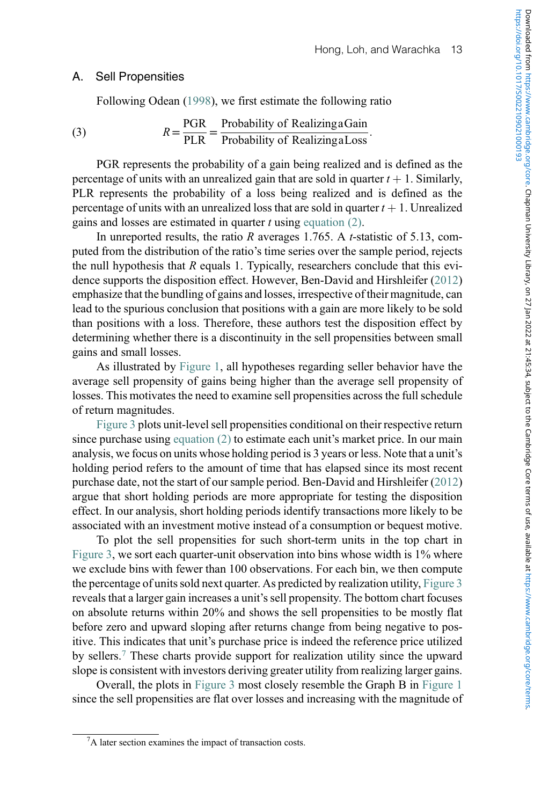## A. Sell Propensities

Following Odean (1998), we first estimate the following ratio

(3) 
$$
R = \frac{PGR}{PLR} = \frac{Probability \space of \space Realizing a Gain}{Probability \space of \space Realizing a Loss}.
$$

PGR represents the probability of a gain being realized and is defined as the percentage of units with an unrealized gain that are sold in quarter  $t + 1$ . Similarly, PLR represents the probability of a loss being realized and is defined as the percentage of units with an unrealized loss that are sold in quarter  $t + 1$ . Unrealized gains and losses are estimated in quarter  $t$  using [equation \(2\)](#page-13-2).

In unreported results, the ratio R averages 1.765. A t-statistic of 5.13, computed from the distribution of the ratio's time series over the sample period, rejects the null hypothesis that  $R$  equals 1. Typically, researchers conclude that this evidence supports the disposition effect. However, Ben-David and Hirshleifer (2012) emphasize that the bundling of gains and losses, irrespective of their magnitude, can lead to the spurious conclusion that positions with a gain are more likely to be sold than positions with a loss. Therefore, these authors test the disposition effect by determining whether there is a discontinuity in the sell propensities between small gains and small losses.

As illustrated by [Figure 1](#page-5-0), all hypotheses regarding seller behavior have the average sell propensity of gains being higher than the average sell propensity of losses. This motivates the need to examine sell propensities across the full schedule of return magnitudes.

[Figure 3](#page-15-0) plots unit-level sell propensities conditional on their respective return since purchase using [equation \(2\)](#page-13-2) to estimate each unit's market price. In our main analysis, we focus on units whose holding period is 3 years or less. Note that a unit's holding period refers to the amount of time that has elapsed since its most recent purchase date, not the start of our sample period. Ben-David and Hirshleifer (2012) argue that short holding periods are more appropriate for testing the disposition effect. In our analysis, short holding periods identify transactions more likely to be associated with an investment motive instead of a consumption or bequest motive.

To plot the sell propensities for such short-term units in the top chart in [Figure 3,](#page-15-0) we sort each quarter-unit observation into bins whose width is 1% where we exclude bins with fewer than 100 observations. For each bin, we then compute the percentage of units sold next quarter. As predicted by realization utility, [Figure 3](#page-15-0) reveals that a larger gain increases a unit's sell propensity. The bottom chart focuses on absolute returns within 20% and shows the sell propensities to be mostly flat before zero and upward sloping after returns change from being negative to positive. This indicates that unit's purchase price is indeed the reference price utilized by sellers.[7](#page-14-0) These charts provide support for realization utility since the upward slope is consistent with investors deriving greater utility from realizing larger gains.

Overall, the plots in [Figure 3](#page-15-0) most closely resemble the Graph B in [Figure 1](#page-5-0) since the sell propensities are flat over losses and increasing with the magnitude of

<span id="page-14-0"></span><sup>7</sup> A later section examines the impact of transaction costs.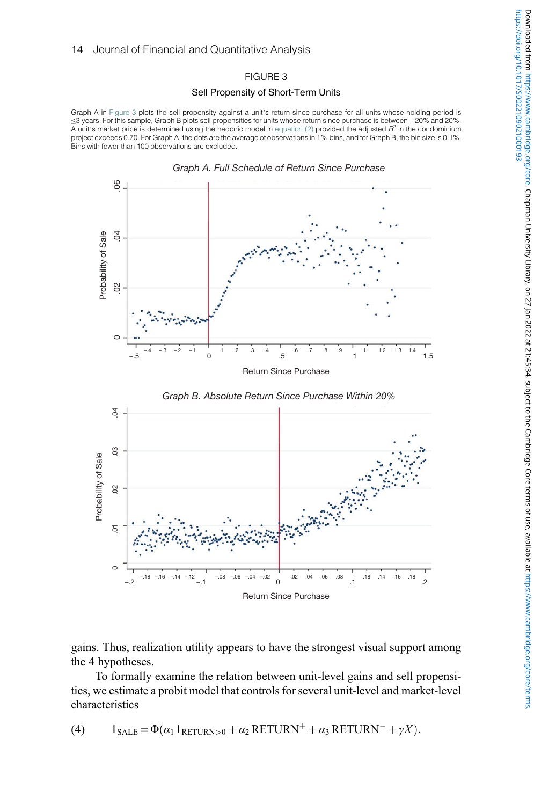## FIGURE 3

### Sell Propensity of Short-Term Units

<span id="page-15-0"></span>Graph A in [Figure 3](#page-15-0) plots the sell propensity against a unit's return since purchase for all units whose holding period is ≤3 years. For this sample, Graph B plots sell propensities for units whose return since purchase is between -20% and 20%. A unit's market price is determined using the hedonic model in [equation \(2\)](#page-13-2) provided the adjusted  $R^2$  in the condominium project exceeds 0.70. For Graph A, the dots are the average of observations in 1%-bins, and for Graph B, the bin size is 0.1%. Bins with fewer than 100 observations are excluded.





*Graph B. Absolute Return Since Purchase Within 20%*

https://doi.org/10.1017/S0022109021000193

gains. Thus, realization utility appears to have the strongest visual support among the 4 hypotheses.

To formally examine the relation between unit-level gains and sell propensities, we estimate a probit model that controls for several unit-level and market-level characteristics

(4) 
$$
1_{\text{SALE}} = \Phi(\alpha_1 1_{\text{RETURN}>0} + \alpha_2 \text{RETURN}^+ + \alpha_3 \text{RETURN}^- + \gamma X).
$$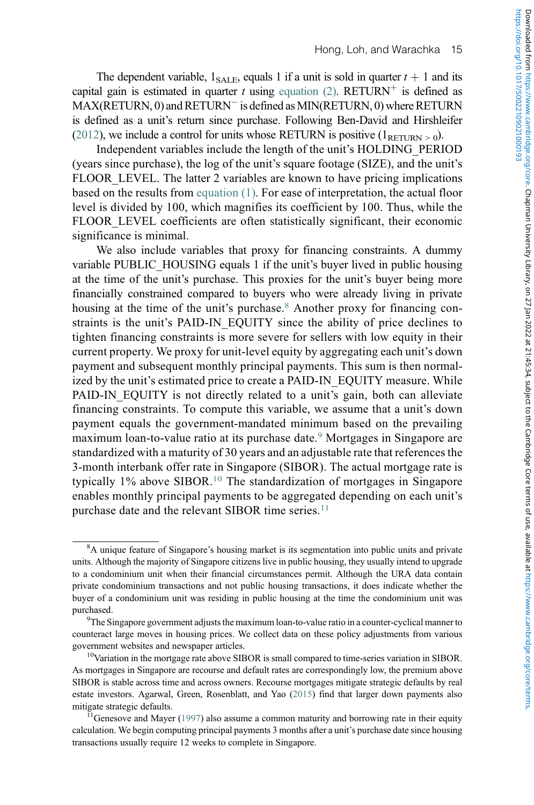The dependent variable,  $1_{\text{SALE}}$ , equals 1 if a unit is sold in quarter  $t + 1$  and its capital gain is estimated in quarter t using [equation \(2\)](#page-13-2). RETURN<sup>+</sup> is defined as  $\mathrm{MAX}(\mathrm{RETURN},0)$  and  $\mathrm{RETURN}^-$  is defined as  $\mathrm{MIN}(\mathrm{RETURN},0)$  where  $\mathrm{RETURN}$ is defined as a unit's return since purchase. Following Ben-David and Hirshleifer (2012), we include a control for units whose RETURN is positive  $(1_{RETIRN > 0})$ .

Independent variables include the length of the unit's HOLDING\_PERIOD (years since purchase), the log of the unit's square footage (SIZE), and the unit's FLOOR LEVEL. The latter 2 variables are known to have pricing implications based on the results from [equation \(1\)](#page-12-2). For ease of interpretation, the actual floor level is divided by 100, which magnifies its coefficient by 100. Thus, while the FLOOR\_LEVEL coefficients are often statistically significant, their economic significance is minimal.

We also include variables that proxy for financing constraints. A dummy variable PUBLIC\_HOUSING equals 1 if the unit's buyer lived in public housing at the time of the unit's purchase. This proxies for the unit's buyer being more financially constrained compared to buyers who were already living in private housing at the time of the unit's purchase.<sup>[8](#page-16-0)</sup> Another proxy for financing constraints is the unit's PAID-IN\_EQUITY since the ability of price declines to tighten financing constraints is more severe for sellers with low equity in their current property. We proxy for unit-level equity by aggregating each unit's down payment and subsequent monthly principal payments. This sum is then normalized by the unit's estimated price to create a PAID-IN\_EQUITY measure. While PAID-IN\_EQUITY is not directly related to a unit's gain, both can alleviate financing constraints. To compute this variable, we assume that a unit's down payment equals the government-mandated minimum based on the prevailing maximum loan-to-value ratio at its purchase date.<sup>[9](#page-16-1)</sup> Mortgages in Singapore are standardized with a maturity of 30 years and an adjustable rate that references the 3-month interbank offer rate in Singapore (SIBOR). The actual mortgage rate is typically 1% above SIBOR.[10](#page-16-2) The standardization of mortgages in Singapore enables monthly principal payments to be aggregated depending on each unit's purchase date and the relevant SIBOR time series.<sup>[11](#page-16-3)</sup>

<span id="page-16-0"></span><sup>&</sup>lt;sup>8</sup>A unique feature of Singapore's housing market is its segmentation into public units and private units. Although the majority of Singapore citizens live in public housing, they usually intend to upgrade to a condominium unit when their financial circumstances permit. Although the URA data contain private condominium transactions and not public housing transactions, it does indicate whether the buyer of a condominium unit was residing in public housing at the time the condominium unit was purchased.

<span id="page-16-1"></span>The Singapore government adjusts the maximum loan-to-value ratio in a counter-cyclical manner to counteract large moves in housing prices. We collect data on these policy adjustments from various government websites and newspaper articles.

<span id="page-16-2"></span><sup>&</sup>lt;sup>10</sup>Variation in the mortgage rate above SIBOR is small compared to time-series variation in SIBOR. As mortgages in Singapore are recourse and default rates are correspondingly low, the premium above SIBOR is stable across time and across owners. Recourse mortgages mitigate strategic defaults by real estate investors. Agarwal, Green, Rosenblatt, and Yao (2015) find that larger down payments also mitigate strategic defaults.<br><sup>11</sup>Genesove and Mayer (1997) also assume a common maturity and borrowing rate in their equity

<span id="page-16-3"></span>calculation. We begin computing principal payments 3 months after a unit's purchase date since housing transactions usually require 12 weeks to complete in Singapore.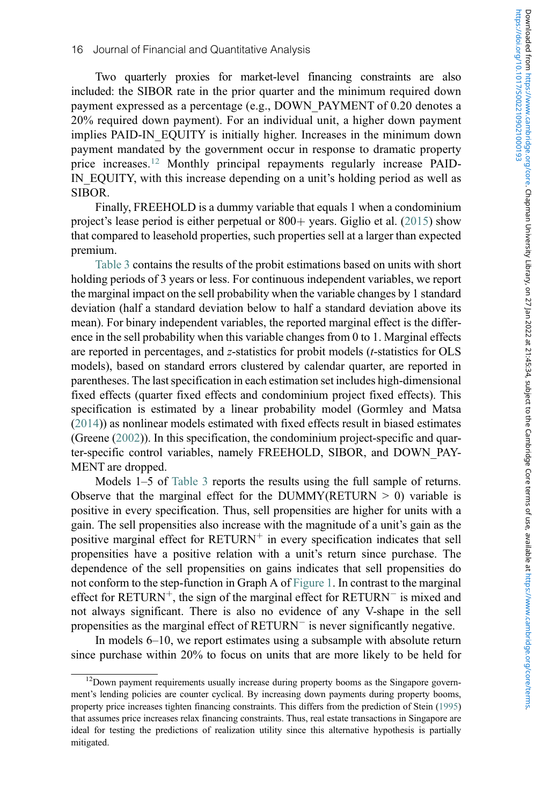Two quarterly proxies for market-level financing constraints are also included: the SIBOR rate in the prior quarter and the minimum required down payment expressed as a percentage (e.g., DOWN\_PAYMENT of 0.20 denotes a 20% required down payment). For an individual unit, a higher down payment implies PAID-IN\_EQUITY is initially higher. Increases in the minimum down payment mandated by the government occur in response to dramatic property price increases.<sup>[12](#page-17-0)</sup> Monthly principal repayments regularly increase PAID-IN EQUITY, with this increase depending on a unit's holding period as well as SIBOR.

Finally, FREEHOLD is a dummy variable that equals 1 when a condominium project's lease period is either perpetual or  $800+$  years. Giglio et al. (2015) show that compared to leasehold properties, such properties sell at a larger than expected premium.

[Table 3](#page-18-0) contains the results of the probit estimations based on units with short holding periods of 3 years or less. For continuous independent variables, we report the marginal impact on the sell probability when the variable changes by 1 standard deviation (half a standard deviation below to half a standard deviation above its mean). For binary independent variables, the reported marginal effect is the difference in the sell probability when this variable changes from 0 to 1. Marginal effects are reported in percentages, and z-statistics for probit models (t-statistics for OLS models), based on standard errors clustered by calendar quarter, are reported in parentheses. The last specification in each estimation set includes high-dimensional fixed effects (quarter fixed effects and condominium project fixed effects). This specification is estimated by a linear probability model (Gormley and Matsa (2014)) as nonlinear models estimated with fixed effects result in biased estimates (Greene (2002)). In this specification, the condominium project-specific and quarter-specific control variables, namely FREEHOLD, SIBOR, and DOWN\_PAY-MENT are dropped.

Models 1–5 of [Table 3](#page-18-0) reports the results using the full sample of returns. Observe that the marginal effect for the DUMMY(RETURN  $> 0$ ) variable is positive in every specification. Thus, sell propensities are higher for units with a gain. The sell propensities also increase with the magnitude of a unit's gain as the positive marginal effect for  $RETURN^+$  in every specification indicates that sell propensities have a positive relation with a unit's return since purchase. The dependence of the sell propensities on gains indicates that sell propensities do not conform to the step-function in Graph A of [Figure 1](#page-5-0). In contrast to the marginal effect for  $RETURN^+$ , the sign of the marginal effect for  $RETURN^-$  is mixed and not always significant. There is also no evidence of any V-shape in the sell propensities as the marginal effect of  $RETURN^-$  is never significantly negative.

In models 6–10, we report estimates using a subsample with absolute return since purchase within 20% to focus on units that are more likely to be held for

<span id="page-17-0"></span><sup>&</sup>lt;sup>12</sup>Down payment requirements usually increase during property booms as the Singapore government's lending policies are counter cyclical. By increasing down payments during property booms, property price increases tighten financing constraints. This differs from the prediction of Stein (1995) that assumes price increases relax financing constraints. Thus, real estate transactions in Singapore are ideal for testing the predictions of realization utility since this alternative hypothesis is partially mitigated.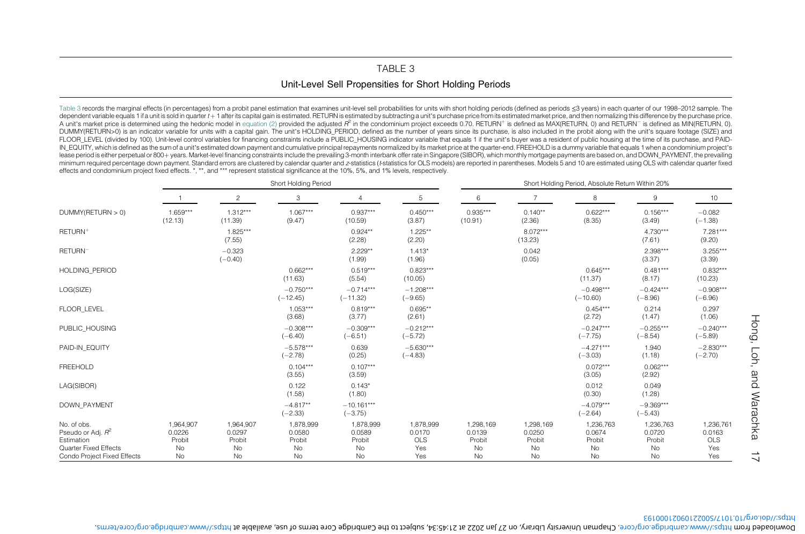## <span id="page-18-1"></span>TABLE 3Unit-Level Sell Propensities for Short Holding Periods

<span id="page-18-0"></span>[Table](#page-18-1) 3 records the marginal effects (in percentages) from a probit panel estimation that examines unit-level sell probabilities for units with short holding periods (defined as periods ≤3 years) in each quarter of our 19 dependent variable equals 1 if a unit is sold in quarter t+1 after its capital gain is estimated. RETURN is estimated by subtracting a unit's purchase price from its estimated market price, and then normalizing this differ A unit's market price is determined using the hedonic model in [equation](#page-13-3) (2) provided the adjusted  $R^2$  in the condominium project exceeds 0.70. RETURN<sup>+</sup> is defined as MAX(RETURN, 0) and RETURN<sup>-</sup> is defined as MIN(RETUR DUMMY(RETURN>0) is an indicator variable for units with a capital gain. The unit's HOLDING PERIOD, defined as the number of years since its purchase, is also included in the probit along with the unit's square footage (SIZ FLOOR\_LEVEL (divided by 100). Unit-level control variables for financing constraints include a PUBLIC\_HOUSING indicator variable that equals 1 if the unit's buyer was a resident of public housing at the time of its purchas IN EQUITY, which is defined as the sum of a unit's estimated down payment and cumulative principal repayments normalized by its market price at the quarter-end. FREEHOLD is a dummy variable that equals 1 when a condominium lease period is either perpetual or 800+ years. Market-level financing constraints include the prevailing 3-month interbank offer rate in Singapore (SIBOR), which monthly mortgage payments are based on, and DOWN PAYMENT, t minimum required percentage down payment. Standard errors are clustered by calendar quarter and z-statistics (t-statistics for OLS models) are reported in parentheses. Models 5 and 10 are estimated using OLS with calendar effects and condominium project fixed effects. \*, \*\*, and \*\*\* represent statistical significance at the 10%, 5%, and 1% levels, respectively.

|                                                                                                           |                                           |                                           | Short Holding Period                      |                                           |                                                 | Short Holding Period, Absolute Return Within 20% |                                           |                                           |                                           |                                          |  |
|-----------------------------------------------------------------------------------------------------------|-------------------------------------------|-------------------------------------------|-------------------------------------------|-------------------------------------------|-------------------------------------------------|--------------------------------------------------|-------------------------------------------|-------------------------------------------|-------------------------------------------|------------------------------------------|--|
|                                                                                                           |                                           | 2                                         | 3                                         | 4                                         | 5                                               | 6                                                | $\overline{7}$                            | 8                                         | 9                                         | 10                                       |  |
| DUMMY(RETURN > 0)                                                                                         | 1.659***<br>(12.13)                       | $1.312***$<br>(11.39)                     | $1.067***$<br>(9.47)                      | $0.937***$<br>(10.59)                     | $0.450***$<br>(3.87)                            | $0.935***$<br>(10.91)                            | $0.140**$<br>(2.36)                       | $0.622***$<br>(8.35)                      | $0.156***$<br>(3.49)                      | $-0.082$<br>$(-1.38)$                    |  |
| RETURN <sup>+</sup>                                                                                       |                                           | $1.825***$<br>(7.55)                      |                                           | $0.924**$<br>(2.28)                       | $1.225**$<br>(2.20)                             |                                                  | $8.072***$<br>(13.23)                     |                                           | $4.730***$<br>(7.61)                      | 7.281***<br>(9.20)                       |  |
| RETURN <sup>-</sup>                                                                                       |                                           | $-0.323$<br>$(-0.40)$                     |                                           | $2.229**$<br>(1.99)                       | $1.413*$<br>(1.96)                              |                                                  | 0.042<br>(0.05)                           |                                           | 2.398***<br>(3.37)                        | $3.255***$<br>(3.39)                     |  |
| <b>HOLDING PERIOD</b>                                                                                     |                                           |                                           | $0.662***$<br>(11.63)                     | $0.519***$<br>(5.54)                      | $0.823***$<br>(10.05)                           |                                                  |                                           | $0.645***$<br>(11.37)                     | $0.481***$<br>(8.17)                      | $0.832***$<br>(10.23)                    |  |
| LOG(SIZE)                                                                                                 |                                           |                                           | $-0.750***$<br>$(-12.45)$                 | $-0.714***$<br>$(-11.32)$                 | $-1.208***$<br>$(-9.65)$                        |                                                  |                                           | $-0.498***$<br>$(-10.60)$                 | $-0.424***$<br>$(-8.96)$                  | $-0.908***$<br>$(-6.96)$                 |  |
| FLOOR LEVEL                                                                                               |                                           |                                           | $1.053***$<br>(3.68)                      | $0.819***$<br>(3.77)                      | $0.695**$<br>(2.61)                             |                                                  |                                           | $0.454***$<br>(2.72)                      | 0.214<br>(1.47)                           | 0.297<br>(1.06)                          |  |
| PUBLIC HOUSING                                                                                            |                                           |                                           | $-0.308***$<br>$(-6.40)$                  | $-0.309***$<br>$(-6.51)$                  | $-0.212***$<br>$(-5.72)$                        |                                                  |                                           | $-0.247***$<br>$(-7.75)$                  | $-0.255***$<br>$(-8.54)$                  | $-0.240***$<br>$(-5.89)$                 |  |
| PAID-IN EQUITY                                                                                            |                                           |                                           | $-5.578***$<br>$(-2.78)$                  | 0.639<br>(0.25)                           | $-5.630***$<br>$(-4.83)$                        |                                                  |                                           | $-4.271***$<br>$(-3.03)$                  | 1.940<br>(1.18)                           | $-2.830***$<br>$(-2.70)$                 |  |
| <b>FREEHOLD</b>                                                                                           |                                           |                                           | $0.104***$<br>(3.55)                      | $0.107***$<br>(3.59)                      |                                                 |                                                  |                                           | $0.072***$<br>(3.05)                      | $0.062***$<br>(2.92)                      |                                          |  |
| LAG(SIBOR)                                                                                                |                                           |                                           | 0.122<br>(1.58)                           | $0.143*$<br>(1.80)                        |                                                 |                                                  |                                           | 0.012<br>(0.30)                           | 0.049<br>(1.28)                           |                                          |  |
| <b>DOWN PAYMENT</b>                                                                                       |                                           |                                           | $-4.817**$<br>$(-2.33)$                   | $-10.161***$<br>$(-3.75)$                 |                                                 |                                                  |                                           | $-4.079***$<br>$(-2.64)$                  | $-9.369***$<br>$(-5.43)$                  |                                          |  |
| No. of obs.<br>Pseudo or Adj. $R^2$<br>Estimation<br>Quarter Fixed Effects<br>Condo Project Fixed Effects | 1,964,907<br>0.0226<br>Probit<br>No<br>No | 1,964,907<br>0.0297<br>Probit<br>No<br>No | 1,878,999<br>0.0580<br>Probit<br>No<br>No | 1,878,999<br>0.0589<br>Probit<br>No<br>No | 1,878,999<br>0.0170<br><b>OLS</b><br>Yes<br>Yes | 1,298,169<br>0.0139<br>Probit<br>No<br>No        | 1,298,169<br>0.0250<br>Probit<br>No<br>No | 1,236,763<br>0.0674<br>Probit<br>No<br>No | 1,236,763<br>0.0720<br>Probit<br>No<br>No | 1,236,761<br>0.0163<br>OLS<br>Yes<br>Yes |  |

https://doi.org/10.1017/S0022109021000193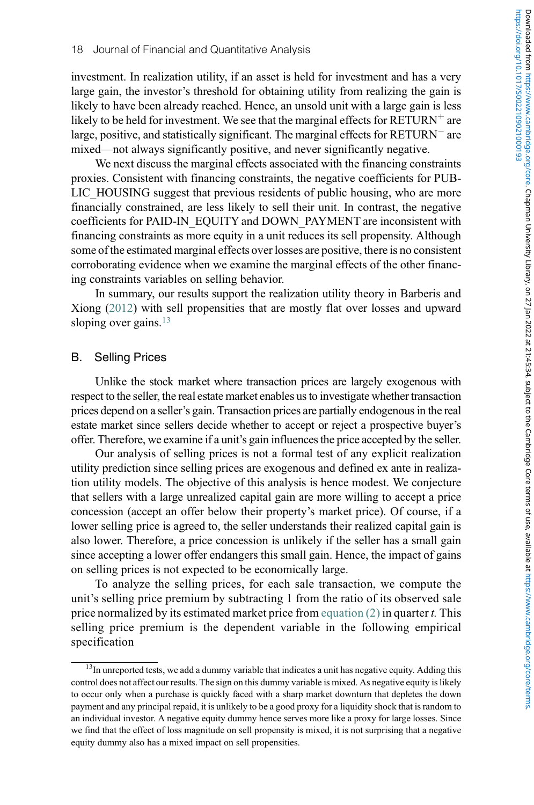investment. In realization utility, if an asset is held for investment and has a very large gain, the investor's threshold for obtaining utility from realizing the gain is likely to have been already reached. Hence, an unsold unit with a large gain is less likely to be held for investment. We see that the marginal effects for  $RETURN^+$  are large, positive, and statistically significant. The marginal effects for  $RETURN^-$  are mixed—not always significantly positive, and never significantly negative.

We next discuss the marginal effects associated with the financing constraints proxies. Consistent with financing constraints, the negative coefficients for PUB-LIC\_HOUSING suggest that previous residents of public housing, who are more financially constrained, are less likely to sell their unit. In contrast, the negative coefficients for PAID-IN\_EQUITY and DOWN\_PAYMENT are inconsistent with financing constraints as more equity in a unit reduces its sell propensity. Although some of the estimated marginal effects over losses are positive, there is no consistent corroborating evidence when we examine the marginal effects of the other financing constraints variables on selling behavior.

In summary, our results support the realization utility theory in Barberis and Xiong (2012) with sell propensities that are mostly flat over losses and upward sloping over gains. $13$ 

## B. Selling Prices

Unlike the stock market where transaction prices are largely exogenous with respect to the seller, the real estate market enables us to investigate whether transaction prices depend on a seller's gain. Transaction prices are partially endogenous in the real estate market since sellers decide whether to accept or reject a prospective buyer's offer. Therefore, we examine if a unit's gain influences the price accepted by the seller.

Our analysis of selling prices is not a formal test of any explicit realization utility prediction since selling prices are exogenous and defined ex ante in realization utility models. The objective of this analysis is hence modest. We conjecture that sellers with a large unrealized capital gain are more willing to accept a price concession (accept an offer below their property's market price). Of course, if a lower selling price is agreed to, the seller understands their realized capital gain is also lower. Therefore, a price concession is unlikely if the seller has a small gain since accepting a lower offer endangers this small gain. Hence, the impact of gains on selling prices is not expected to be economically large.

To analyze the selling prices, for each sale transaction, we compute the unit's selling price premium by subtracting 1 from the ratio of its observed sale price normalized by its estimated market price from equation  $(2)$  in quarter t. This selling price premium is the dependent variable in the following empirical specification

<span id="page-19-0"></span><sup>&</sup>lt;sup>13</sup>In unreported tests, we add a dummy variable that indicates a unit has negative equity. Adding this control does not affect our results. The sign on this dummy variable is mixed. As negative equity is likely to occur only when a purchase is quickly faced with a sharp market downturn that depletes the down payment and any principal repaid, it is unlikely to be a good proxy for a liquidity shock that is random to an individual investor. A negative equity dummy hence serves more like a proxy for large losses. Since we find that the effect of loss magnitude on sell propensity is mixed, it is not surprising that a negative equity dummy also has a mixed impact on sell propensities.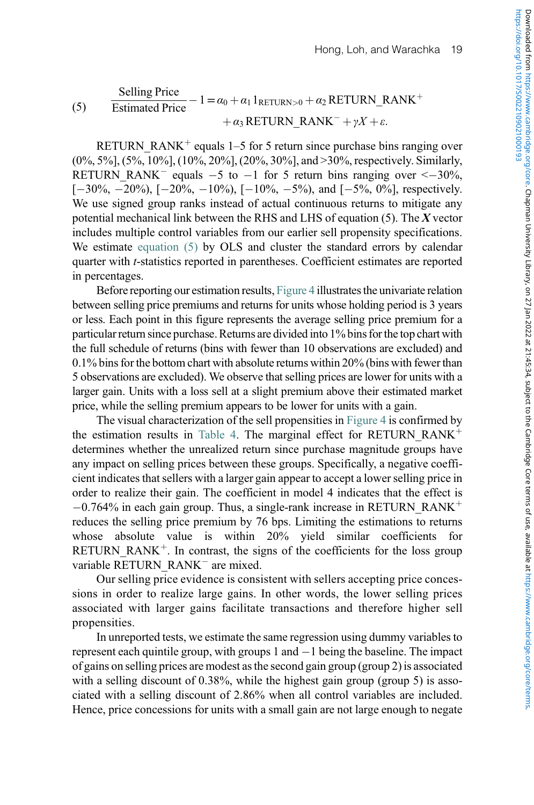#### <span id="page-20-0"></span>Selling Price **Estimated Price**  $-1=\alpha_0 + \alpha_1 1_{\text{RETURN}>0} + \alpha_2 \text{RETURN}$  RANK<sup>+</sup>  $+\alpha_3$  RETURN\_RANK<sup>-</sup> +  $\gamma X + \varepsilon$ . (5)

RETURN RANK<sup>+</sup> equals 1–5 for 5 return since purchase bins ranging over (0%, 5%], (5%, 10%], (10%, 20%], (20%, 30%], and >30%, respectively. Similarly, RETURN\_RANK<sup>-</sup> equals  $-5$  to  $-1$  for 5 return bins ranging over  $\leq -30\%$ ,  $[-30\%, -20\%, [-20\%, -10\%, [-10\%, -5\%, \text{and } [-5\%, 0\%],$  respectively. We use signed group ranks instead of actual continuous returns to mitigate any potential mechanical link between the RHS and LHS of equation  $(5)$ . The X vector includes multiple control variables from our earlier sell propensity specifications. We estimate [equation \(5\)](#page-20-0) by OLS and cluster the standard errors by calendar quarter with t-statistics reported in parentheses. Coefficient estimates are reported in percentages.

Before reporting our estimation results, [Figure 4](#page-21-0) illustrates the univariate relation between selling price premiums and returns for units whose holding period is 3 years or less. Each point in this figure represents the average selling price premium for a particular return since purchase. Returns are divided into 1% bins for the top chart with the full schedule of returns (bins with fewer than 10 observations are excluded) and 0.1% bins for the bottom chart with absolute returns within 20% (bins with fewer than 5 observations are excluded). We observe that selling prices are lower for units with a larger gain. Units with a loss sell at a slight premium above their estimated market price, while the selling premium appears to be lower for units with a gain.

The visual characterization of the sell propensities in [Figure 4](#page-21-0) is confirmed by the estimation results in [Table 4](#page-22-0). The marginal effect for RETURN RANK<sup>+</sup> determines whether the unrealized return since purchase magnitude groups have any impact on selling prices between these groups. Specifically, a negative coefficient indicates that sellers with a larger gain appear to accept a lower selling price in order to realize their gain. The coefficient in model 4 indicates that the effect is  $-0.764\%$  in each gain group. Thus, a single-rank increase in RETURN\_RANK<sup>+</sup> reduces the selling price premium by 76 bps. Limiting the estimations to returns whose absolute value is within 20% yield similar coefficients for RETURN\_RANK<sup> $+$ </sup>. In contrast, the signs of the coefficients for the loss group variable RETURN\_RANK<sup>-</sup> are mixed.

Our selling price evidence is consistent with sellers accepting price concessions in order to realize large gains. In other words, the lower selling prices associated with larger gains facilitate transactions and therefore higher sell propensities.

In unreported tests, we estimate the same regression using dummy variables to represent each quintile group, with groups 1 and  $-1$  being the baseline. The impact of gains on selling prices are modest as the second gain group (group 2) is associated with a selling discount of 0.38%, while the highest gain group (group 5) is associated with a selling discount of 2.86% when all control variables are included. Hence, price concessions for units with a small gain are not large enough to negate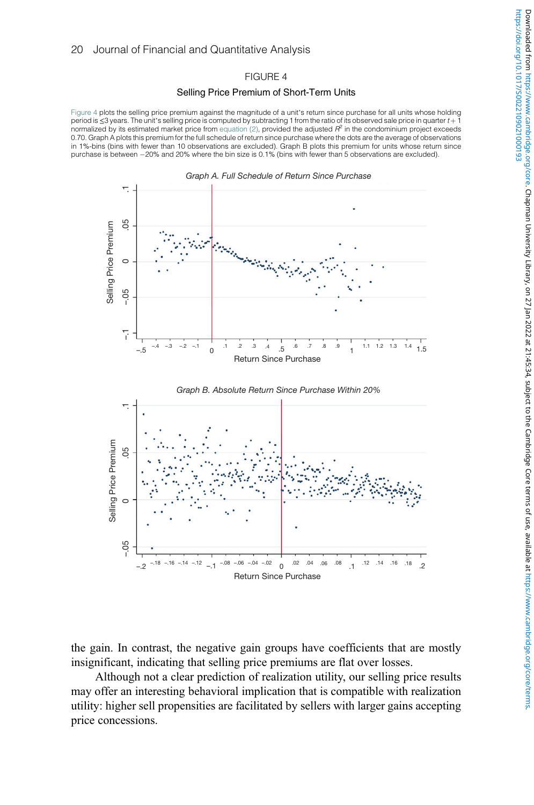## FIGURE 4

## Selling Price Premium of Short-Term Units

<span id="page-21-0"></span>[Figure 4](#page-21-0) plots the selling price premium against the magnitude of a unit's return since purchase for all units whose holding period is ≤3 years. The unit's selling price is computed by subtracting 1 from the ratio of its observed sale price in quarter t + 1 normalized by its estimated market price from [equation \(2\),](#page-13-2) provided the adjusted  $R^2$  in the condominium project exceeds 0.70. Graph A plots this premium for the full schedule of return since purchase where the dots are the average of observations in 1%-bins (bins with fewer than 10 observations are excluded). Graph B plots this premium for units whose return since purchase is between -20% and 20% where the bin size is 0.1% (bins with fewer than 5 observations are excluded).



the gain. In contrast, the negative gain groups have coefficients that are mostly insignificant, indicating that selling price premiums are flat over losses.

Although not a clear prediction of realization utility, our selling price results may offer an interesting behavioral implication that is compatible with realization utility: higher sell propensities are facilitated by sellers with larger gains accepting price concessions.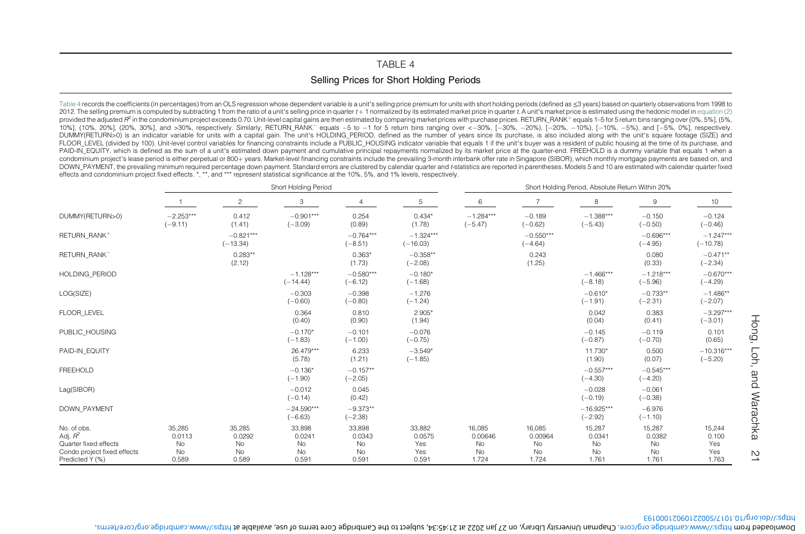# <span id="page-22-1"></span>TABLE 4Selling Prices for Short Holding Periods

<span id="page-22-0"></span>[Table](#page-22-1) 4 records the coefficients (in percentages) from an OLS regression whose dependent variable is a unit's selling price premium for units with short holding periods (defined as ≤3 years) based on quarterly observation 2012. The selling premium is computed by subtracting 1 from the ratio of a unit's selling price in quarter t +1 normalized by its estimated market price in quarter t.A unit's market price is estimated using the hedonic mod provided the adjusted  $R^2$  in the condominium project exceeds 0.70. Unit-level capital gains are then estimated by comparing market prices with purchase prices. RETURN RANK+ equals 1-5 for 5 return bins ranging over (0%, 10%], (10%, 20%], (20%, 30%], and >30%, respectively. Similarly, RETURN\_RANK<sup>-</sup> equals -5 to -1 for 5 return bins ranging over <-30%, [-20%, -20%), [-20%, -10%, -5%), and [-5%, 0%], respectively. DUMMY(RETURN>0) is an indicator variable for units with a capital gain. The unit's HOLDING PERIOD, defined as the number of years since its purchase, is also included along with the unit's square footage (SIZE) and FLOOR LEVEL (divided by 100). Unit-level control variables for financing constraints include a PUBLIC HOUSING indicator variable that equals 1 if the unit's buyer was a resident of public housing at the time of its purchas PAID-IN\_EQUITY, which is defined as the sum of a unit's estimated down payment and cumulative principal repayments normalized by its market price at the quarter-end. FREEHOLD is a dummy variable that equals 1 when a condominium project's lease period is either perpetual or 800+ years. Market-level financing constraints include the prevailing 3-month interbank offer rate in Singapore (SIBOR), which monthly mortgage payments are based o DOWN\_PAYMENT, the prevailing minimum required percentage down payment. Standard errors are clustered by calendar quarter and t-statistics are reported in parentheses. Models 5 and 10 are estimated with calendar quarter fix effects and condominium project fixed effects. \*, \*\*, and \*\*\* represent statistical significance at the 10%, 5%, and 1% levels, respectively.

|                                                                                                      |                                              |                                       | Short Holding Period                  |                                       |                                         | Short Holding Period, Absolute Return Within 20% |                                        |                                       |                                              |                                        |  |
|------------------------------------------------------------------------------------------------------|----------------------------------------------|---------------------------------------|---------------------------------------|---------------------------------------|-----------------------------------------|--------------------------------------------------|----------------------------------------|---------------------------------------|----------------------------------------------|----------------------------------------|--|
|                                                                                                      |                                              | $\overline{c}$                        | 3                                     |                                       | 5                                       | 6                                                | $\overline{7}$                         | 8                                     | 9                                            | 10                                     |  |
| DUMMY(RETURN>0)                                                                                      | $-2.253***$<br>$(-9.11)$                     | 0.412<br>(1.41)                       | $-0.901***$<br>$(-3.09)$              | 0.254<br>(0.89)                       | $0.434*$<br>(1.78)                      | $-1.284***$<br>$(-5.47)$                         | $-0.189$<br>$(-0.62)$                  | $-1.388***$<br>$(-5.43)$              | $-0.150$<br>$(-0.50)$                        | $-0.124$<br>$(-0.46)$                  |  |
| RETURN RANK+                                                                                         |                                              | $-0.821***$<br>$(-13.34)$             |                                       | $-0.764***$<br>$(-8.51)$              | $-1.324***$<br>$(-16.03)$               |                                                  | $-0.550***$<br>$(-4.64)$               |                                       | $-0.696***$<br>$(-4.95)$                     | $-1.247***$<br>$(-10.78)$              |  |
| RETURN RANK <sup>-</sup>                                                                             |                                              | $0.283**$<br>(2.12)                   |                                       | $0.363*$<br>(1.73)                    | $-0.358**$<br>$(-2.08)$                 |                                                  | 0.243<br>(1.25)                        |                                       | 0.080<br>(0.33)                              | $-0.471**$<br>$(-2.34)$                |  |
| <b>HOLDING PERIOD</b>                                                                                |                                              |                                       | $-1.128***$<br>$(-14.44)$             | $-0.580***$<br>$(-6.12)$              | $-0.180*$<br>$(-1.68)$                  |                                                  |                                        | $-1.466***$<br>$(-8.18)$              | $-1.218***$<br>$(-5.96)$                     | $-0.670***$<br>$(-4.29)$               |  |
| LOG(SIZE)                                                                                            |                                              |                                       | $-0.303$<br>$(-0.60)$                 | $-0.398$<br>$(-0.80)$                 | $-1.276$<br>$(-1.24)$                   |                                                  |                                        | $-0.610*$<br>$(-1.91)$                | $-0.733**$<br>$(-2.31)$                      | $-1.486**$<br>$(-2.07)$                |  |
| FLOOR LEVEL                                                                                          |                                              |                                       | 0.364<br>(0.40)                       | 0.810<br>(0.90)                       | $2.905*$<br>(1.94)                      |                                                  |                                        | 0.042<br>(0.04)                       | 0.383<br>(0.41)                              | $-3.297***$<br>$(-3.01)$               |  |
| PUBLIC HOUSING                                                                                       |                                              |                                       | $-0.170*$<br>$(-1.83)$                | $-0.101$<br>$(-1.00)$                 | $-0.076$<br>$(-0.75)$                   |                                                  |                                        | $-0.145$<br>$(-0.87)$                 | $-0.119$<br>$(-0.70)$                        | 0.101<br>(0.65)                        |  |
| PAID-IN EQUITY                                                                                       |                                              |                                       | 26.479***<br>(5.78)                   | 6.233<br>(1.21)                       | $-3.549*$<br>$(-1.85)$                  |                                                  |                                        | 11.730*<br>(1.90)                     | 0.500<br>(0.07)                              | $-10.316***$<br>$(-5.20)$              |  |
| <b>FREEHOLD</b>                                                                                      |                                              |                                       | $-0.136*$<br>$(-1.90)$                | $-0.157**$<br>$(-2.05)$               |                                         |                                                  |                                        | $-0.557***$<br>$(-4.30)$              | $-0.545***$<br>$(-4.20)$                     |                                        |  |
| Lag(SIBOR)                                                                                           |                                              |                                       | $-0.012$<br>$(-0.14)$                 | 0.045<br>(0.42)                       |                                         |                                                  |                                        | $-0.028$<br>$(-0.19)$                 | $-0.061$<br>$(-0.38)$                        |                                        |  |
| <b>DOWN PAYMENT</b>                                                                                  |                                              |                                       | $-24.590***$<br>$(-6.63)$             | $-9.373**$<br>$(-2.38)$               |                                         |                                                  |                                        | $-16.925***$<br>$(-2.92)$             | $-6.976$<br>$(-1.10)$                        |                                        |  |
| No. of obs.<br>Adj. $R^2$<br>Quarter fixed effects<br>Condo project fixed effects<br>Predicted Y (%) | 35,285<br>0.0113<br><b>No</b><br>No<br>0.589 | 35,285<br>0.0292<br>No<br>No<br>0.589 | 33,898<br>0.0241<br>No<br>No<br>0.591 | 33,898<br>0.0343<br>No<br>No<br>0.591 | 33,882<br>0.0575<br>Yes<br>Yes<br>0.591 | 16.085<br>0.00646<br>No<br>No<br>1.724           | 16,085<br>0.00964<br>No<br>No<br>1.724 | 15,287<br>0.0341<br>No<br>No<br>1.761 | 15,287<br>0.0382<br><b>No</b><br>No<br>1.761 | 15,244<br>0.100<br>Yes<br>Yes<br>1.763 |  |

https://doi.org/10.1017/S0022109021000193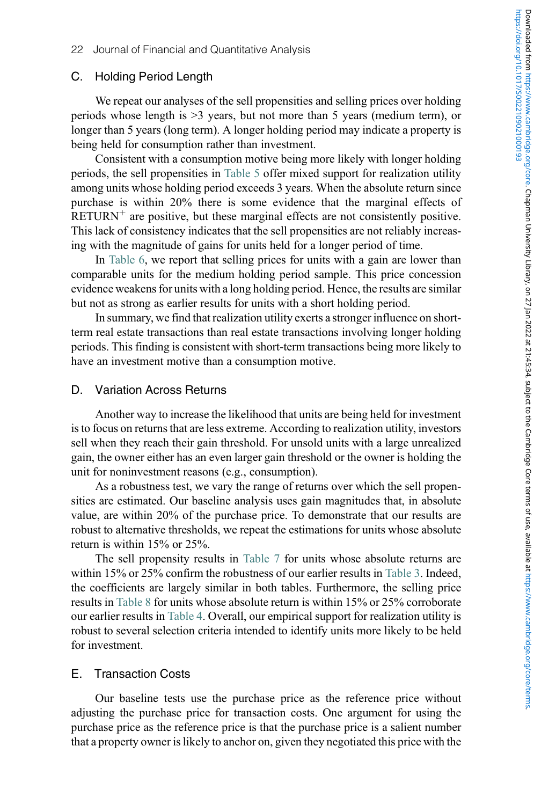## C. Holding Period Length

We repeat our analyses of the sell propensities and selling prices over holding periods whose length is >3 years, but not more than 5 years (medium term), or longer than 5 years (long term). A longer holding period may indicate a property is being held for consumption rather than investment.

Consistent with a consumption motive being more likely with longer holding periods, the sell propensities in [Table 5](#page-24-0) offer mixed support for realization utility among units whose holding period exceeds 3 years. When the absolute return since purchase is within 20% there is some evidence that the marginal effects of  $RETURN<sup>+</sup>$  are positive, but these marginal effects are not consistently positive. This lack of consistency indicates that the sell propensities are not reliably increasing with the magnitude of gains for units held for a longer period of time.

In [Table 6,](#page-27-0) we report that selling prices for units with a gain are lower than comparable units for the medium holding period sample. This price concession evidence weakens for units with a long holding period. Hence, the results are similar but not as strong as earlier results for units with a short holding period.

In summary, we find that realization utility exerts a stronger influence on shortterm real estate transactions than real estate transactions involving longer holding periods. This finding is consistent with short-term transactions being more likely to have an investment motive than a consumption motive.

## D. Variation Across Returns

Another way to increase the likelihood that units are being held for investment is to focus on returns that are less extreme. According to realization utility, investors sell when they reach their gain threshold. For unsold units with a large unrealized gain, the owner either has an even larger gain threshold or the owner is holding the unit for noninvestment reasons (e.g., consumption).

As a robustness test, we vary the range of returns over which the sell propensities are estimated. Our baseline analysis uses gain magnitudes that, in absolute value, are within 20% of the purchase price. To demonstrate that our results are robust to alternative thresholds, we repeat the estimations for units whose absolute return is within 15% or 25%.

The sell propensity results in [Table 7](#page-30-0) for units whose absolute returns are within 15% or 25% confirm the robustness of our earlier results in [Table 3.](#page-18-0) Indeed, the coefficients are largely similar in both tables. Furthermore, the selling price results in [Table 8](#page-31-0) for units whose absolute return is within 15% or 25% corroborate our earlier results in [Table 4.](#page-22-0) Overall, our empirical support for realization utility is robust to several selection criteria intended to identify units more likely to be held for investment.

## E. Transaction Costs

Our baseline tests use the purchase price as the reference price without adjusting the purchase price for transaction costs. One argument for using the purchase price as the reference price is that the purchase price is a salient number that a property owner is likely to anchor on, given they negotiated this price with the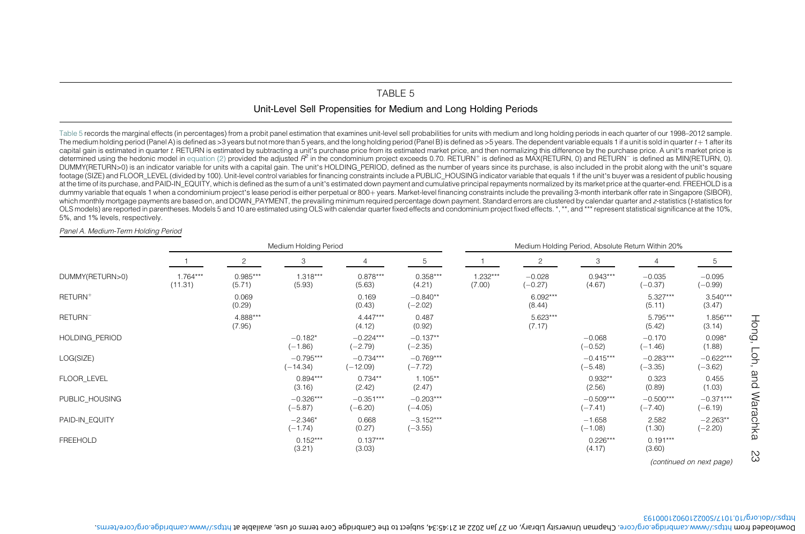# TABLE 5

Unit-Level Sell Propensities for Medium and Long Holding Periods

<span id="page-24-0"></span>[Table](#page-24-1) 5 records the marginal effects (in percentages) from <sup>a</sup> probit panel estimation that examines unit-level sell probabilities for units with medium and long holding periods in each quarter of our 1998–2012 sample. The medium holding period (Panel A) is defined as >3 years but not more than 5 years, and the long holding period (Panel B) is defined as >5 years. The dependent variable equals 1 if a unit is sold in quarter t + 1 after capital gain is estimated in quarter t. RETURN is estimated by subtracting a unit's purchase price from its estimated market price, and then normalizing this difference by the purchase price. A unit's market price is determined using the hedonic model in [equation](#page-13-3) (2) provided the adjusted  $R^2$  in the condominium project exceeds 0.70. RETURN<sup>+</sup> is defined as MAX(RETURN, 0) and RETURN<sup>-</sup> is defined as MAX(RETURN, 0) and RETURN<sup>-</sup> is def DUMMY(RETURN>0) is an indicator variable for units with a capital gain. The unit's HOLDING PERIOD, defined as the number of years since its purchase, is also included in the probit along with the unit's square footage (SIZE) and FLOOR\_LEVEL (divided by 100). Unit-level control variables for financing constraints include a PUBLIC\_HOUSING indicator variable that equals 1 if the unit's buyer was a resident of public housing at the time of its purchase, and PAID-IN EQUITY, which is defined as the sum of a unit's estimated down payment and cumulative principal repayments normalized by its market price at the quarter-end. FREEHOLD is a dummy variable that equals 1 when a condominium project's lease period is either perpetual or 800+years. Market-level financing constraints include the prevailing 3-month interbank offer rate in Singapore (SIBOR), which monthly mortgage payments are based on, and DOWN\_PAYMENT, the prevailing minimum required percentage down payment. Standard errors are clustered by calendar quarter and z-statistics (t-statistics for OLS models) are reported in parentheses. Models 5 and 10 are estimated using OLS with calendar quarter fixed effects and condominium project fixed effects. \*, \*\*, and \*\*\* represent statistical significance at the 10%, 5%, and 1% levels, respectively.

#### Panel A. Medium-Term Holding Period

|                     |                       |                      | Medium Holding Period     |                           |                          | Medium Holding Period, Absolute Return Within 20% |                       |                          |                          |                          |  |
|---------------------|-----------------------|----------------------|---------------------------|---------------------------|--------------------------|---------------------------------------------------|-----------------------|--------------------------|--------------------------|--------------------------|--|
|                     |                       | 2                    | 3                         |                           | 5                        |                                                   | $\overline{c}$        | 3                        | 4                        | 5                        |  |
| DUMMY(RETURN>0)     | $1.764***$<br>(11.31) | $0.985***$<br>(5.71) | $1.318***$<br>(5.93)      | $0.878***$<br>(5.63)      | $0.358***$<br>(4.21)     | 1.232***<br>(7.00)                                | $-0.028$<br>$(-0.27)$ | $0.943***$<br>(4.67)     | $-0.035$<br>$(-0.37)$    | $-0.095$<br>$(-0.99)$    |  |
| RETURN <sup>+</sup> |                       | 0.069<br>(0.29)      |                           | 0.169<br>(0.43)           | $-0.840**$<br>$(-2.02)$  |                                                   | $6.092***$<br>(8.44)  |                          | $5.327***$<br>(5.11)     | $3.540***$<br>(3.47)     |  |
| RETURN <sup>-</sup> |                       | 4.888***<br>(7.95)   |                           | $4.447***$<br>(4.12)      | 0.487<br>(0.92)          |                                                   | $5.623***$<br>(7.17)  |                          | 5.795***<br>(5.42)       | 1.856***<br>(3.14)       |  |
| HOLDING PERIOD      |                       |                      | $-0.182*$<br>$(-1.86)$    | $-0.224***$<br>$(-2.79)$  | $-0.137**$<br>$(-2.35)$  |                                                   |                       | $-0.068$<br>$(-0.52)$    | $-0.170$<br>$(-1.46)$    | $0.098*$<br>(1.88)       |  |
| LOG(SIZE)           |                       |                      | $-0.795***$<br>$(-14.34)$ | $-0.734***$<br>$(-12.09)$ | $-0.769***$<br>$(-7.72)$ |                                                   |                       | $-0.415***$<br>$(-5.48)$ | $-0.283***$<br>$(-3.35)$ | $-0.622***$<br>$(-3.62)$ |  |
| FLOOR LEVEL         |                       |                      | $0.894***$<br>(3.16)      | $0.734**$<br>(2.42)       | $1.105**$<br>(2.47)      |                                                   |                       | $0.932**$<br>(2.56)      | 0.323<br>(0.89)          | 0.455<br>(1.03)          |  |
| PUBLIC HOUSING      |                       |                      | $-0.326***$<br>$(-5.87)$  | $-0.351***$<br>$(-6.20)$  | $-0.203***$<br>$(-4.05)$ |                                                   |                       | $-0.509***$<br>$(-7.41)$ | $-0.500***$<br>$(-7.40)$ | $-0.371***$<br>$(-6.19)$ |  |
| PAID-IN EQUITY      |                       |                      | $-2.346*$<br>$(-1.74)$    | 0.668<br>(0.27)           | $-3.152***$<br>$(-3.55)$ |                                                   |                       | $-1.658$<br>$(-1.08)$    | 2.582<br>(1.30)          | $-2.263**$<br>$(-2.20)$  |  |
| <b>FREEHOLD</b>     |                       |                      | $0.152***$<br>(3.21)      | $0.137***$<br>(3.03)      |                          |                                                   |                       | $0.226***$<br>(4.17)     | $0.191***$<br>(3.60)     |                          |  |
|                     |                       |                      |                           |                           |                          |                                                   |                       |                          |                          | (continued on next page) |  |

#### https://doi.org/10.1017/S0022109021000193

Hong, Loh, and Warachka 23

ŠΣ

<span id="page-24-1"></span>Hong, Loh, and Warachka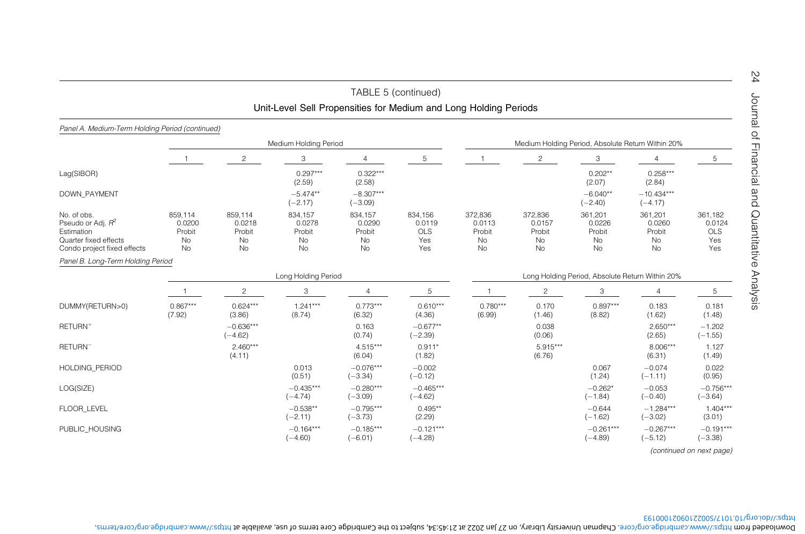|                                                                                                                    |                                                       |                                                |                                                | TABLE 5 (continued)<br>Unit-Level Sell Propensities for Medium and Long Holding Periods |                                               |                                                |                                                |                                                   |                                                |                                               |
|--------------------------------------------------------------------------------------------------------------------|-------------------------------------------------------|------------------------------------------------|------------------------------------------------|-----------------------------------------------------------------------------------------|-----------------------------------------------|------------------------------------------------|------------------------------------------------|---------------------------------------------------|------------------------------------------------|-----------------------------------------------|
| Panel A. Medium-Term Holding Period (continued)                                                                    |                                                       |                                                |                                                |                                                                                         |                                               |                                                |                                                |                                                   |                                                |                                               |
|                                                                                                                    |                                                       |                                                | Medium Holding Period                          |                                                                                         |                                               |                                                |                                                | Medium Holding Period, Absolute Return Within 20% |                                                |                                               |
|                                                                                                                    |                                                       | $\overline{2}$                                 | 3                                              | 4                                                                                       | 5                                             |                                                | $\overline{c}$                                 | 3                                                 | $\overline{4}$                                 | 5                                             |
| Lag(SIBOR)                                                                                                         |                                                       |                                                | $0.297***$<br>(2.59)                           | $0.322***$<br>(2.58)                                                                    |                                               |                                                |                                                | $0.202**$<br>(2.07)                               | $0.258***$<br>(2.84)                           |                                               |
| <b>DOWN PAYMENT</b>                                                                                                |                                                       |                                                | $-5.474**$<br>$(-2.17)$                        | $-8.307***$<br>$(-3.09)$                                                                |                                               |                                                |                                                | $-6.040**$<br>$(-2.40)$                           | $-10.434***$<br>$(-4.17)$                      |                                               |
| No. of obs.<br>Pseudo or Adj. R <sup>2</sup><br>Estimation<br>Quarter fixed effects<br>Condo project fixed effects | 859.114<br>0.0200<br>Probit<br><b>No</b><br><b>No</b> | 859,114<br>0.0218<br>Probit<br>No<br><b>No</b> | 834,157<br>0.0278<br>Probit<br>No<br><b>No</b> | 834,157<br>0.0290<br>Probit<br>No<br><b>No</b>                                          | 834,156<br>0.0119<br><b>OLS</b><br>Yes<br>Yes | 372,836<br>0.0113<br>Probit<br>No<br><b>No</b> | 372,836<br>0.0157<br>Probit<br>No<br><b>No</b> | 361,201<br>0.0226<br>Probit<br>No<br><b>No</b>    | 361,201<br>0.0260<br>Probit<br>No<br><b>No</b> | 361.182<br>0.0124<br><b>OLS</b><br>Yes<br>Yes |
| Panel B. Long-Term Holding Period                                                                                  |                                                       |                                                |                                                |                                                                                         |                                               |                                                |                                                |                                                   |                                                |                                               |
|                                                                                                                    |                                                       |                                                | Long Holding Period                            |                                                                                         |                                               |                                                |                                                | Long Holding Period, Absolute Return Within 20%   |                                                |                                               |
|                                                                                                                    |                                                       | $\overline{c}$                                 | 3                                              | $\overline{4}$                                                                          | 5                                             | $\overline{1}$                                 | $\overline{c}$                                 | 3                                                 | 4                                              | 5                                             |
| DUMMY(RETURN>0)                                                                                                    | $0.867***$<br>(7.92)                                  | $0.624***$<br>(3.86)                           | $1.241***$<br>(8.74)                           | $0.773***$<br>(6.32)                                                                    | $0.610***$<br>(4.36)                          | $0.780***$<br>(6.99)                           | 0.170<br>(1.46)                                | $0.897***$<br>(8.82)                              | 0.183<br>(1.62)                                | 0.181<br>(1.48)                               |
| RETURN <sup>+</sup>                                                                                                |                                                       | $-0.636***$<br>$(-4.62)$                       |                                                | 0.163<br>(0.74)                                                                         | $-0.677**$<br>$(-2.39)$                       |                                                | 0.038<br>(0.06)                                |                                                   | $2.650***$<br>(2.65)                           | $-1.202$<br>$(-1.55)$                         |
| RETURN <sup>-</sup>                                                                                                |                                                       | $2.460***$<br>(4.11)                           |                                                | $4.515***$<br>(6.04)                                                                    | $0.911*$<br>(1.82)                            |                                                | 5.915***<br>(6.76)                             |                                                   | 8.006***<br>(6.31)                             | 1.127<br>(1.49)                               |
| <b>HOLDING PERIOD</b>                                                                                              |                                                       |                                                | 0.013<br>(0.51)                                | $-0.076***$<br>$(-3.34)$                                                                | $-0.002$<br>$(-0.12)$                         |                                                |                                                | 0.067<br>(1.24)                                   | $-0.074$<br>$(-1.11)$                          | 0.022<br>(0.95)                               |
| LOG(SIZE)                                                                                                          |                                                       |                                                | $-0.435***$<br>$(-4.74)$                       | $-0.280***$<br>$(-3.09)$                                                                | $-0.465***$<br>$(-4.62)$                      |                                                |                                                | $-0.262*$<br>$(-1.84)$                            | $-0.053$<br>$(-0.40)$                          | $-0.756***$<br>$(-3.64)$                      |
| <b>FLOOR LEVEL</b>                                                                                                 |                                                       |                                                | $-0.538**$<br>$(-2.11)$                        | $-0.795***$<br>$(-3.73)$                                                                | $0.495**$<br>(2.29)                           |                                                |                                                | $-0.644$<br>$(-1.62)$                             | $-1.284***$<br>$(-3.02)$                       | $1.404***$<br>(3.01)                          |
| PUBLIC HOUSING                                                                                                     |                                                       |                                                | $-0.164***$<br>$(-4.60)$                       | $-0.185***$<br>$(-6.01)$                                                                | $-0.121***$<br>$(-4.28)$                      |                                                |                                                | $-0.261***$<br>$(-4.89)$                          | $-0.267***$<br>$(-5.12)$                       | $-0.191***$<br>$(-3.38)$                      |

https://doi.org/10.1017/S0022109021000193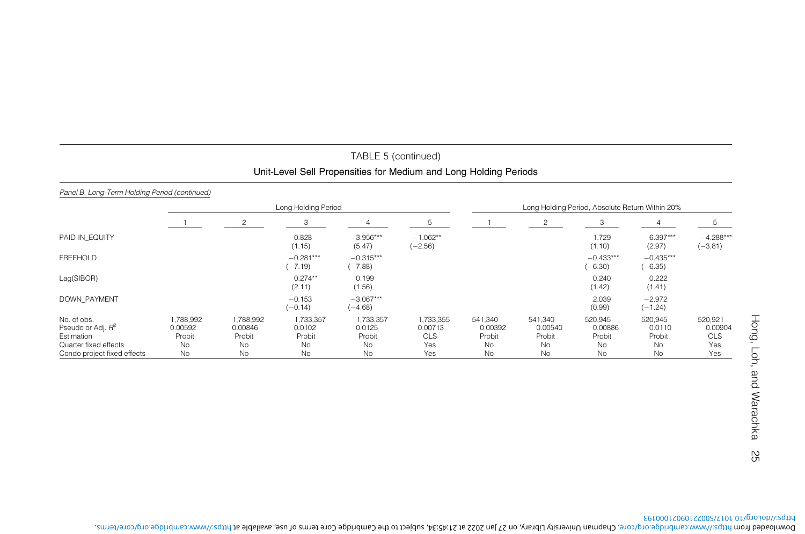# TABLE 5 (continued) Unit-Level Sell Propensities for Medium and Long Holding Periods

### Panel B. Long-Term Holding Period (continued)

|                                                                                                                    |                                            |                                                   | Long Holding Period                                     |                                           |                                                  | Long Holding Period, Absolute Return Within 20% |                                          |                                                        |                                                |                                         |  |
|--------------------------------------------------------------------------------------------------------------------|--------------------------------------------|---------------------------------------------------|---------------------------------------------------------|-------------------------------------------|--------------------------------------------------|-------------------------------------------------|------------------------------------------|--------------------------------------------------------|------------------------------------------------|-----------------------------------------|--|
|                                                                                                                    |                                            | 2                                                 | 3                                                       |                                           | 5                                                |                                                 | 2                                        | 3                                                      |                                                |                                         |  |
| PAID-IN EQUITY                                                                                                     |                                            |                                                   | 0.828<br>(1.15)                                         | $3.956***$<br>(5.47)                      | $-1.062**$<br>$(-2.56)$                          |                                                 |                                          | 1.729<br>(1.10)                                        | $6.397***$<br>(2.97)                           | $-4.288***$<br>$(-3.81)$                |  |
| <b>FREEHOLD</b>                                                                                                    |                                            |                                                   | $-0.281***$<br>$(-7.19)$                                | $-0.315***$<br>$(-7.88)$                  |                                                  |                                                 |                                          | $-0.433***$<br>$(-6.30)$                               | $-0.435***$<br>$(-6.35)$                       |                                         |  |
| Lag(SIBOR)                                                                                                         |                                            |                                                   | $0.274**$<br>(2.11)                                     | 0.199<br>(1.56)                           |                                                  |                                                 |                                          | 0.240<br>(1.42)                                        | 0.222<br>(1.41)                                |                                         |  |
| <b>DOWN PAYMENT</b>                                                                                                |                                            |                                                   | $-0.153$<br>$(-0.14)$                                   | $-3.067***$<br>$(-4.68)$                  |                                                  |                                                 |                                          | 2.039<br>(0.99)                                        | $-2.972$<br>$(-1.24)$                          |                                         |  |
| No. of obs.<br>Pseudo or Adj. R <sup>2</sup><br>Estimation<br>Quarter fixed effects<br>Condo project fixed effects | 1,788,992<br>0.00592<br>Probit<br>No<br>No | 1.788.992<br>0.00846<br>Probit<br><b>No</b><br>No | 1,733,357<br>0.0102<br>Probit<br><b>No</b><br><b>No</b> | 1,733,357<br>0.0125<br>Probit<br>No<br>No | 1,733,355<br>0.00713<br><b>OLS</b><br>Yes<br>Yes | 541.340<br>0.00392<br>Probit<br><b>No</b><br>No | 541.340<br>0.00540<br>Probit<br>No<br>No | 520.945<br>0.00886<br>Probit<br><b>No</b><br><b>No</b> | 520,945<br>0.0110<br>Probit<br><b>No</b><br>No | 520,921<br>0.00904<br>OLS<br>Yes<br>Yes |  |

https://doi.org/10.1017/S0022109021000193 . https://www.cambridge.org/core/terms , subject to the Cambridge Core terms of use, available at 27 Jan 2022 at 21:45:34 , on Chapman University Library . https://www.cambridge.org/core Downloaded from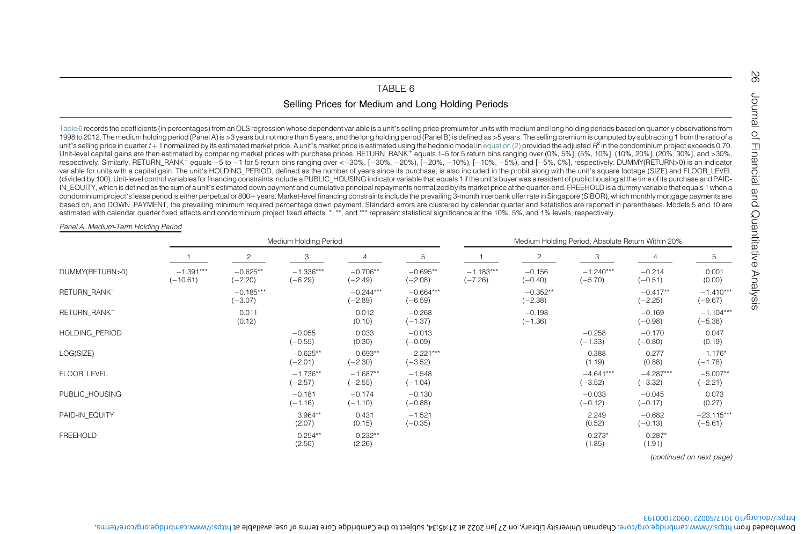## <span id="page-27-1"></span>TABLE 6

## Selling Prices for Medium and Long Holding Periods

<span id="page-27-0"></span>[Table](#page-27-1) 6 records the coefficients (in percentages) from an OLS regression whose dependent variable is <sup>a</sup> unit'<sup>s</sup> selling price premium for units with medium and long holding periods based on quarterly observations from 1998 to 2012. The medium holding period (Panel A) is >3 years but not more than 5 years, and the long holding period (Panel B) is defined as >5 years. The selling premium is computed by subtracting 1 from the ratio of <sup>a</sup> unit's selling price in quarter  $t + 1$  normalized by its estimated market price. A unit's market price is estimated using the hedonic model in [equation](#page-13-3) (2) provided the adjusted  $R^2$  in the condominium project exceeds 0. Unit-level capital gains are then estimated by comparing market prices with purchase prices. RETURN\_RANK<sup>+</sup> equals 1–5 for 5 return bins ranging over (0%, 5%], (5%, 10%], (10%, 20%], (20%, 30%], and >30%, and >30%, respectively. Similarly, RETURN\_RANK<sup>-</sup> equals -5 to -1 for 5 return bins ranging over <-30%, [-30%, -20%), [-20%, -10%), [-10%, -5%), and [-5%, 0%], respectively. DUMMY(RETURN>0) is an indicator variable for units with a capital gain. The unit's HOLDING PERIOD, defined as the number of years since its purchase, is also included in the probit along with the unit's square footage (SIZE) and FLOOR\_LEVEL (divided by 100). Unit-level control variables for financing constraints include a PUBLIC\_HOUSING indicator variable that equals 1 if the unit's buyer was a resident of public housing at the time of its purchase and PAID-IN EQUITY, which is defined as the sum of a unit's estimated down payment and cumulative principal repayments normalized by its market price at the quarter-end. FREEHOLD is a dummy variable that equals 1 when a condominium project's lease period is either perpetual or 800+ years. Market-level financing constraints include the prevailing 3-month interbank offer rate in Singapore (SIBOR), which monthly mortgage payments are based on, and DOWN\_PAYMENT, the prevailing minimum required percentage down payment. Standard errors are clustered by calendar quarter and t-statistics are reported in parentheses. Models 5 and 10 are estimated with calendar quarter fixed effects and condominium project fixed effects. \*, \*\*, and \*\*\* represent statistical significance at the 10%, 5%, and 1% levels, respectively.

#### Panel A. Medium-Term Holding Period

|                          |                           |                          | Medium Holding Period    |                         |                          | Medium Holding Period, Absolute Return Within 20% |                         |                          |                          |                           |  |
|--------------------------|---------------------------|--------------------------|--------------------------|-------------------------|--------------------------|---------------------------------------------------|-------------------------|--------------------------|--------------------------|---------------------------|--|
|                          |                           | 2                        | 3                        | 4                       | 5                        |                                                   | 2                       | 3                        | 4                        | 5                         |  |
| DUMMY(RETURN>0)          | $-1.391***$<br>$(-10.61)$ | $-0.625**$<br>$(-2.20)$  | $-1.336***$<br>$(-6.29)$ | $-0.706**$<br>$(-2.49)$ | $-0.695**$<br>$(-2.08)$  | $-1.183***$<br>$(-7.26)$                          | $-0.156$<br>$(-0.40)$   | $-1.240***$<br>$(-5.70)$ | $-0.214$<br>$(-0.51)$    | 0.001<br>(0.00)           |  |
| RETURN RANK+             |                           | $-0.185***$<br>$(-3.07)$ |                          | $-0.244***$<br>$-2.89$  | $-0.664***$<br>$(-6.59)$ |                                                   | $-0.352**$<br>$(-2.38)$ |                          | $-0.417**$<br>$(-2.25)$  | $-1.410***$<br>$(-9.67)$  |  |
| RETURN RANK <sup>-</sup> |                           | 0.011<br>(0.12)          |                          | 0.012<br>(0.10)         | $-0.268$<br>$(-1.37)$    |                                                   | $-0.198$<br>$(-1.36)$   |                          | $-0.169$<br>$(-0.98)$    | $-1.104***$<br>$(-5.36)$  |  |
| HOLDING PERIOD           |                           |                          | $-0.055$<br>$(-0.55)$    | 0.033<br>(0.30)         | $-0.013$<br>$(-0.09)$    |                                                   |                         | $-0.258$<br>$(-1.33)$    | $-0.170$<br>$(-0.80)$    | 0.047<br>(0.19)           |  |
| LOG(SIZE)                |                           |                          | $-0.625**$<br>$(-2.01)$  | $-0.693**$<br>$(-2.30)$ | $-2.221***$<br>$(-3.52)$ |                                                   |                         | 0.388<br>(1.19)          | 0.277<br>(0.88)          | $-1.176*$<br>$(-1.78)$    |  |
| FLOOR LEVEL              |                           |                          | $-1.736**$<br>$(-2.57)$  | $-1.687**$<br>$(-2.55)$ | $-1.548$<br>$(-1.04)$    |                                                   |                         | $-4.641***$<br>$(-3.52)$ | $-4.287***$<br>$(-3.32)$ | $-5.007**$<br>$(-2.21)$   |  |
| PUBLIC HOUSING           |                           |                          | $-0.181$<br>$(-1.16)$    | $-0.174$<br>$(-1.10)$   | $-0.130$<br>$(-0.88)$    |                                                   |                         | $-0.033$<br>$(-0.12)$    | $-0.045$<br>$(-0.17)$    | 0.073<br>(0.27)           |  |
| PAID-IN EQUITY           |                           |                          | $3.964**$<br>(2.07)      | 0.431<br>(0.15)         | $-1.521$<br>$(-0.35)$    |                                                   |                         | 2.249<br>(0.52)          | $-0.682$<br>$(-0.13)$    | $-23.115***$<br>$(-5.61)$ |  |
| FREEHOLD                 |                           |                          | $0.254**$<br>(2.50)      | $0.232**$<br>(2.26)     |                          |                                                   |                         | $0.273*$<br>(1.85)       | $0.287*$<br>(1.91)       |                           |  |

(continued on next page)

### https://doi.org/10.1017/S0022109021000193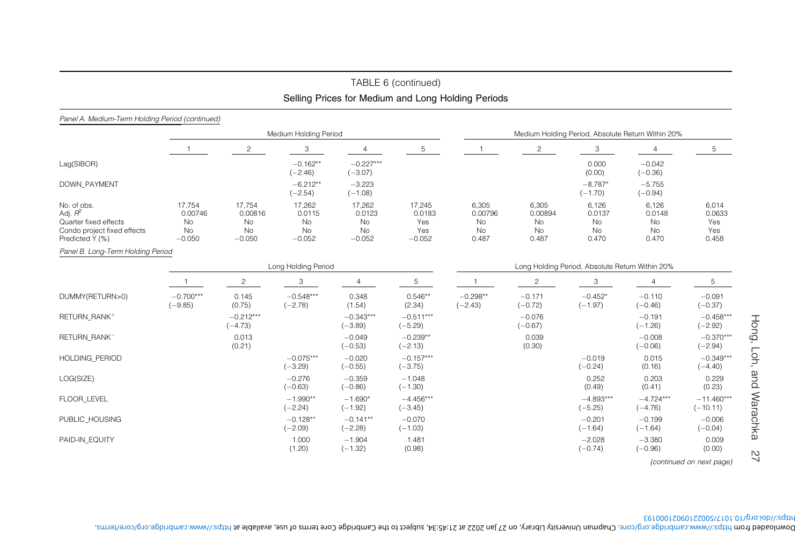# TABLE 6 (continued) Selling Prices for Medium and Long Holding Periods

### Panel A. Medium-Term Holding Period (continued)

|                                                                                                      |                                                  |                                                  | Medium Holding Period                    |                                          |                                            | Medium Holding Period, Absolute Return Within 20% |                                       |                                      |                                                 |                                        |  |  |  |
|------------------------------------------------------------------------------------------------------|--------------------------------------------------|--------------------------------------------------|------------------------------------------|------------------------------------------|--------------------------------------------|---------------------------------------------------|---------------------------------------|--------------------------------------|-------------------------------------------------|----------------------------------------|--|--|--|
|                                                                                                      |                                                  | 2                                                | 3                                        | 4                                        | 5                                          |                                                   | $\overline{2}$                        | 3                                    |                                                 | 5                                      |  |  |  |
| Lag(SIBOR)                                                                                           |                                                  |                                                  | $-0.162**$<br>$(-2.46)$                  | $-0.227***$<br>$(-3.07)$                 |                                            |                                                   |                                       | 0.000<br>(0.00)                      | $-0.042$<br>$(-0.36)$                           |                                        |  |  |  |
| <b>DOWN PAYMENT</b>                                                                                  |                                                  |                                                  | $-6.212**$<br>$(-2.54)$                  | $-3.223$<br>$(-1.08)$                    |                                            |                                                   |                                       | $-8.787*$<br>$(-1.70)$               | $-5.755$<br>$(-0.94)$                           |                                        |  |  |  |
| No. of obs.<br>Adj. $R^2$<br>Quarter fixed effects<br>Condo project fixed effects<br>Predicted Y (%) | 17,754<br>0.00746<br><b>No</b><br>No<br>$-0.050$ | 17,754<br>0.00816<br><b>No</b><br>No<br>$-0.050$ | 17,262<br>0.0115<br>No<br>No<br>$-0.052$ | 17,262<br>0.0123<br>No<br>No<br>$-0.052$ | 17,245<br>0.0183<br>Yes<br>Yes<br>$-0.052$ | 6,305<br>0.00796<br><b>No</b><br>No<br>0.487      | 6,305<br>0.00894<br>No<br>No<br>0.487 | 6,126<br>0.0137<br>No<br>No<br>0.470 | 6,126<br>0.0148<br>No<br>No<br>0.470            | 6,014<br>0.0633<br>Yes<br>Yes<br>0.458 |  |  |  |
| Panel B. Long-Term Holding Period                                                                    |                                                  |                                                  |                                          |                                          |                                            |                                                   |                                       |                                      |                                                 |                                        |  |  |  |
|                                                                                                      |                                                  |                                                  | Long Holding Period                      |                                          |                                            |                                                   |                                       |                                      |                                                 |                                        |  |  |  |
|                                                                                                      |                                                  | $\overline{c}$                                   | 3                                        | 4                                        | 5                                          |                                                   | $\overline{c}$                        | 3                                    | Long Holding Period, Absolute Return Within 20% |                                        |  |  |  |
| DUMMY(RETURN>0)                                                                                      | $-0.700***$<br>$(-9.85)$                         | 0.145<br>(0.75)                                  | $-0.548***$<br>$(-2.78)$                 | 0.348<br>(1.54)                          | $0.546**$<br>(2.34)                        | $-0.298**$<br>$(-2.43)$                           | $-0.171$<br>$(-0.72)$                 | $-0.452*$<br>$(-1.97)$               | $-0.110$<br>$(-0.46)$                           | $-0.091$<br>$(-0.37)$                  |  |  |  |
| RETURN RANK+                                                                                         |                                                  | $-0.212***$<br>$(-4.73)$                         |                                          | $-0.343***$<br>$(-3.89)$                 | $-0.511***$<br>$(-5.29)$                   |                                                   | $-0.076$<br>$(-0.67)$                 |                                      | $-0.191$<br>$(-1.26)$                           | $-0.458***$<br>$(-2.92)$               |  |  |  |
| RETURN RANK <sup>-</sup>                                                                             |                                                  | 0.013<br>(0.21)                                  |                                          | $-0.049$<br>$(-0.53)$                    | $-0.239**$<br>$(-2.13)$                    |                                                   | 0.039<br>(0.30)                       |                                      | $-0.008$<br>$(-0.06)$                           | $-0.370***$<br>$(-2.94)$               |  |  |  |
| <b>HOLDING PERIOD</b>                                                                                |                                                  |                                                  | $-0.075***$<br>$(-3.29)$                 | $-0.020$<br>$(-0.55)$                    | $-0.157***$<br>$(-3.75)$                   |                                                   |                                       | $-0.019$<br>$(-0.24)$                | 0.015<br>(0.16)                                 | $-0.349***$<br>$(-4.40)$               |  |  |  |
| LOG(SIZE)                                                                                            |                                                  |                                                  | $-0.276$<br>$(-0.63)$                    | $-0.359$<br>$(-0.86)$                    | $-1.048$<br>$(-1.30)$                      |                                                   |                                       | 0.252<br>(0.49)                      | 0.203<br>(0.41)                                 | 0.229<br>(0.23)                        |  |  |  |
| FLOOR LEVEL                                                                                          |                                                  |                                                  | $-1.990**$<br>$(-2.24)$                  | $-1.690*$<br>$(-1.92)$                   | $-4.456***$<br>$(-3.45)$                   |                                                   |                                       | $-4.893***$<br>$(-5.25)$             | $-4.724***$<br>$(-4.76)$                        | $-11.460***$<br>$(-10.11)$             |  |  |  |
| PUBLIC_HOUSING                                                                                       |                                                  |                                                  | $-0.128**$<br>$(-2.09)$                  | $-0.141**$<br>$(-2.28)$                  | $-0.070$<br>$(-1.03)$                      |                                                   |                                       | $-0.201$<br>$(-1.64)$                | $-0.199$<br>$(-1.64)$                           | $-0.006$<br>$(-0.04)$                  |  |  |  |
| PAID-IN EQUITY                                                                                       |                                                  |                                                  | 1.000<br>(1.20)                          | $-1.904$<br>$(-1.32)$                    | 1.481<br>(0.98)                            |                                                   |                                       | $-2.028$<br>$(-0.74)$                | $-3.380$<br>$(-0.96)$                           | 0.009<br>(0.00)                        |  |  |  |

Hong, Loh, and Warachka 27  $\overline{2}$ (continued on next page)

Hong, Loh, and Warachka

https://doi.org/10.1017/S0022109021000193 . https://www.cambridge.org/core/terms , subject to the Cambridge Core terms of use, available at 27 Jan 2022 at 21:45:34 , on Chapman University Library . https://www.cambridge.org/core Downloaded from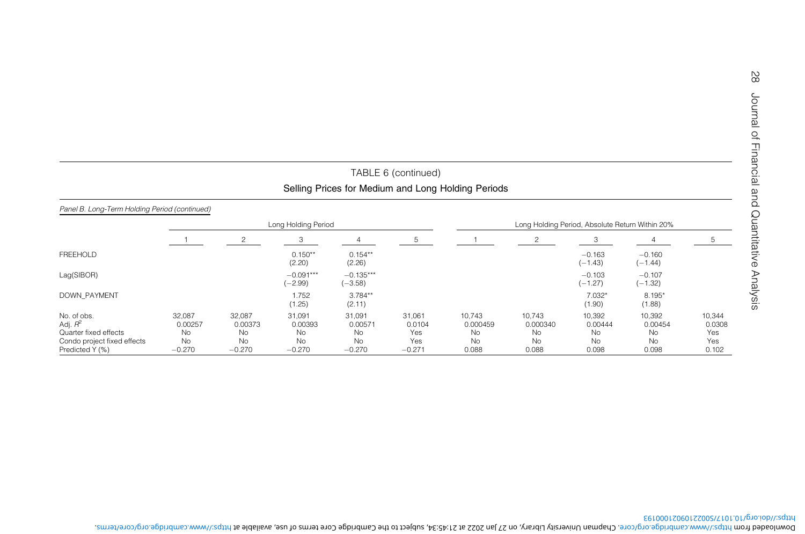|                                                                                                      |                                                  |                                                  |                                                         |                                             | TABLE 6 (continued)                        |                                                    |                                                |                                                      |                                                |                                         |
|------------------------------------------------------------------------------------------------------|--------------------------------------------------|--------------------------------------------------|---------------------------------------------------------|---------------------------------------------|--------------------------------------------|----------------------------------------------------|------------------------------------------------|------------------------------------------------------|------------------------------------------------|-----------------------------------------|
|                                                                                                      |                                                  |                                                  |                                                         |                                             |                                            | Selling Prices for Medium and Long Holding Periods |                                                |                                                      |                                                |                                         |
| Panel B. Long-Term Holding Period (continued)                                                        |                                                  |                                                  |                                                         |                                             |                                            |                                                    |                                                |                                                      |                                                |                                         |
|                                                                                                      |                                                  |                                                  | Long Holding Period                                     |                                             |                                            |                                                    |                                                | Long Holding Period, Absolute Return Within 20%      |                                                |                                         |
|                                                                                                      |                                                  | 2                                                | 3                                                       |                                             | ь                                          |                                                    |                                                | 3                                                    |                                                | 5                                       |
| <b>FREEHOLD</b>                                                                                      |                                                  |                                                  | $0.150**$<br>(2.20)                                     | $0.154**$<br>(2.26)                         |                                            |                                                    |                                                | $-0.163$<br>$(-1.43)$                                | $-0.160$<br>$(-1.44)$                          |                                         |
| Lag(SIBOR)                                                                                           |                                                  |                                                  | $-0.091***$<br>$(-2.99)$                                | $-0.135***$<br>$(-3.58)$                    |                                            |                                                    |                                                | $-0.103$<br>$(-1.27)$                                | $-0.107$<br>$(-1.32)$                          |                                         |
| <b>DOWN PAYMENT</b>                                                                                  |                                                  |                                                  | 1.752<br>(1.25)                                         | $3.784**$<br>(2.11)                         |                                            |                                                    |                                                | 7.032*<br>(1.90)                                     | 8.195*<br>(1.88)                               |                                         |
| No. of obs.<br>Adj. $R^2$<br>Quarter fixed effects<br>Condo project fixed effects<br>Predicted Y (%) | 32,087<br>0.00257<br>No<br><b>No</b><br>$-0.270$ | 32,087<br>0.00373<br><b>No</b><br>No<br>$-0.270$ | 31,091<br>0.00393<br><b>No</b><br><b>No</b><br>$-0.270$ | 31,091<br>0.00571<br>No.<br>No.<br>$-0.270$ | 31,061<br>0.0104<br>Yes<br>Yes<br>$-0.271$ | 10,743<br>0.000459<br>No<br>No.<br>0.088           | 10.743<br>0.000340<br><b>No</b><br>No<br>0.088 | 10,392<br>0.00444<br><b>No</b><br><b>No</b><br>0.098 | 10,392<br>0.00454<br>No.<br><b>No</b><br>0.098 | 10,344<br>0.0308<br>Yes<br>Yes<br>0.102 |

https://doi.org/10.1017/S0022109021000193 . https://www.cambridge.org/core/terms , subject to the Cambridge Core terms of use, available at 27 Jan 2022 at 21:45:34 , on Chapman University Library . https://www.cambridge.org/core Downloaded from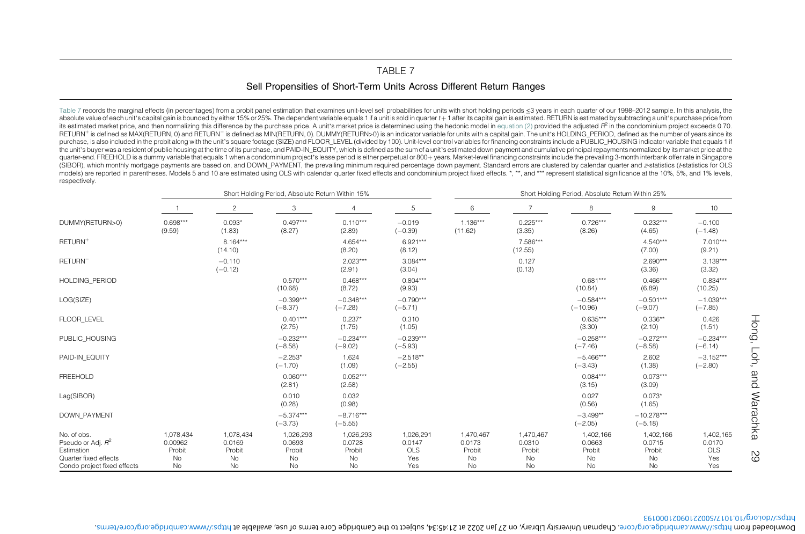## <span id="page-30-1"></span>TABLE 7Sell Propensities of Short-Term Units Across Different Return Ranges

<span id="page-30-0"></span>[Table](#page-30-1) 7 records the marginal effects (in percentages) from a probit panel estimation that examines unit-level sell probabilities for units with short holding periods ≤3 years in each quarter of our 1998–2012 sample. In th absolute value of each unit's capital gain is bounded by either 15% or 25%. The dependent variable equals 1 if a unit is sold in quarter  $t+1$  after its capital gain is estimated. RETURN is estimated by subtracting a unit' its estimated market price, and then normalizing this difference by the purchase price. A unit's market price is determined using the hedonic model in [equation](#page-13-3) (2) provided the adjusted  $R^2$  in the condominium project ex RETURN<sup>+</sup> is defined as MAX(RETURN, 0) and RETURN<sup>-</sup> is defined as MIN(RETURN, 0). DUMMY(RETURN>0) is an indicator variable for units with a capital gain. The unit's HOLDING\_PERIOD, defined as the number of years since its purchase, is also included in the probit along with the unit's square footage (SIZE) and FLOOR LEVEL (divided by 100). Unit-level control variables for financing constraints include a PUBLIC HOUSING indicator variable that the unit's buyer was a resident of public housing at the time of its purchase, and PAID-IN\_EQUITY, which is defined as the sum of a unit's estimated down payment and cumulative principal repayments normalized by its market quarter-end. FREEHOLD is a dummy variable that equals 1 when a condominium project's lease period is either perpetual or 800+ years. Market-level financing constraints include the prevailing 3-month interbank offer rate in (SIBOR), which monthly mortgage payments are based on, and DOWN\_PAYMENT, the prevailing minimum required percentage down payment. Standard errors are clustered by calendar quarter and <sup>z</sup>-statistics (t-statistics for OLS models) are reported in parentheses. Models 5 and 10 are estimated using OLS with calendar quarter fixed effects and condominium project fixed effects. \*, \*\*, and \*\*\* represent statistical significance at the 10%, 5%, and respectively.

|                                                                                                           |                                            |                                           | Short Holding Period, Absolute Return Within 15% |                                           |                                          | Short Holding Period, Absolute Return Within 25% |                                                  |                                           |                                           |                                          |  |
|-----------------------------------------------------------------------------------------------------------|--------------------------------------------|-------------------------------------------|--------------------------------------------------|-------------------------------------------|------------------------------------------|--------------------------------------------------|--------------------------------------------------|-------------------------------------------|-------------------------------------------|------------------------------------------|--|
|                                                                                                           |                                            | $\overline{c}$                            | 3                                                | $\overline{4}$                            | 5                                        | 6                                                | $\overline{7}$                                   | 8                                         | 9                                         | 10                                       |  |
| DUMMY(RETURN>0)                                                                                           | $0.698***$<br>(9.59)                       | $0.093*$<br>(1.83)                        | $0.497***$<br>(8.27)                             | $0.110***$<br>(2.89)                      | $-0.019$<br>$(-0.39)$                    | $1.136***$<br>(11.62)                            | $0.225***$<br>(3.35)                             | $0.726***$<br>(8.26)                      | $0.232***$<br>(4.65)                      | $-0.100$<br>$(-1.48)$                    |  |
| RETURN <sup>+</sup>                                                                                       |                                            | $8.164***$<br>(14.10)                     |                                                  | $4.654***$<br>(8.20)                      | $6.921***$<br>(8.12)                     |                                                  | 7.586***<br>(12.55)                              |                                           | $4.540***$<br>(7.00)                      | 7.010***<br>(9.21)                       |  |
| RETURN <sup>-</sup>                                                                                       |                                            | $-0.110$<br>$(-0.12)$                     |                                                  | $2.023***$<br>(2.91)                      | $3.084***$<br>(3.04)                     |                                                  | 0.127<br>(0.13)                                  |                                           | $2.690***$<br>(3.36)                      | $3.139***$<br>(3.32)                     |  |
| <b>HOLDING PERIOD</b>                                                                                     |                                            |                                           | $0.570***$<br>(10.68)                            | $0.468***$<br>(8.72)                      | $0.804***$<br>(9.93)                     |                                                  |                                                  | $0.681***$<br>(10.84)                     | $0.466***$<br>(6.89)                      | $0.834***$<br>(10.25)                    |  |
| LOG(SIZE)                                                                                                 |                                            |                                           | $-0.399***$<br>$(-8.37)$                         | $-0.348***$<br>$(-7.28)$                  | $-0.790***$<br>$(-5.71)$                 |                                                  |                                                  | $-0.584***$<br>$(-10.96)$                 | $-0.501***$<br>$(-9.07)$                  | $-1.039***$<br>$(-7.85)$                 |  |
| FLOOR LEVEL                                                                                               |                                            |                                           | $0.401***$<br>(2.75)                             | $0.237*$<br>(1.75)                        | 0.310<br>(1.05)                          |                                                  |                                                  | $0.635***$<br>(3.30)                      | $0.336**$<br>(2.10)                       | 0.426<br>(1.51)                          |  |
| PUBLIC HOUSING                                                                                            |                                            |                                           | $-0.232***$<br>$(-8.58)$                         | $-0.234***$<br>$(-9.02)$                  | $-0.239***$<br>$(-5.93)$                 |                                                  |                                                  | $-0.258***$<br>$(-7.46)$                  | $-0.272***$<br>$(-8.58)$                  | $-0.234***$<br>$(-6.14)$                 |  |
| PAID-IN EQUITY                                                                                            |                                            |                                           | $-2.253*$<br>$(-1.70)$                           | 1.624<br>(1.09)                           | $-2.518**$<br>$(-2.55)$                  |                                                  |                                                  | $-5.466***$<br>$(-3.43)$                  | 2.602<br>(1.38)                           | $-3.152***$<br>$(-2.80)$                 |  |
| <b>FREEHOLD</b>                                                                                           |                                            |                                           | $0.060***$<br>(2.81)                             | $0.052***$<br>(2.58)                      |                                          |                                                  |                                                  | $0.084***$<br>(3.15)                      | $0.073***$<br>(3.09)                      |                                          |  |
| Lag(SIBOR)                                                                                                |                                            |                                           | 0.010<br>(0.28)                                  | 0.032<br>(0.98)                           |                                          |                                                  |                                                  | 0.027<br>(0.56)                           | $0.073*$<br>(1.65)                        |                                          |  |
| <b>DOWN PAYMENT</b>                                                                                       |                                            |                                           | $-5.374***$<br>$(-3.73)$                         | $-8.716***$<br>$(-5.55)$                  |                                          |                                                  |                                                  | $-3.499**$<br>$(-2.05)$                   | $-10.278***$<br>$(-5.18)$                 |                                          |  |
| No. of obs.<br>Pseudo or Adj. $R^2$<br>Estimation<br>Quarter fixed effects<br>Condo project fixed effects | 1,078,434<br>0.00962<br>Probit<br>No<br>No | 1,078,434<br>0.0169<br>Probit<br>No<br>No | 1,026,293<br>0.0693<br>Probit<br>No<br>No        | 1,026,293<br>0.0728<br>Probit<br>No<br>No | 1,026,291<br>0.0147<br>OLS<br>Yes<br>Yes | 1,470,467<br>0.0173<br>Probit<br>No<br>No        | 1,470,467<br>0.0310<br>Probit<br>No<br><b>No</b> | 1,402,166<br>0.0663<br>Probit<br>No<br>No | 1,402,166<br>0.0715<br>Probit<br>No<br>No | 1,402,165<br>0.0170<br>OLS<br>Yes<br>Yes |  |

https://doi.org/10.1017/S0022109021000193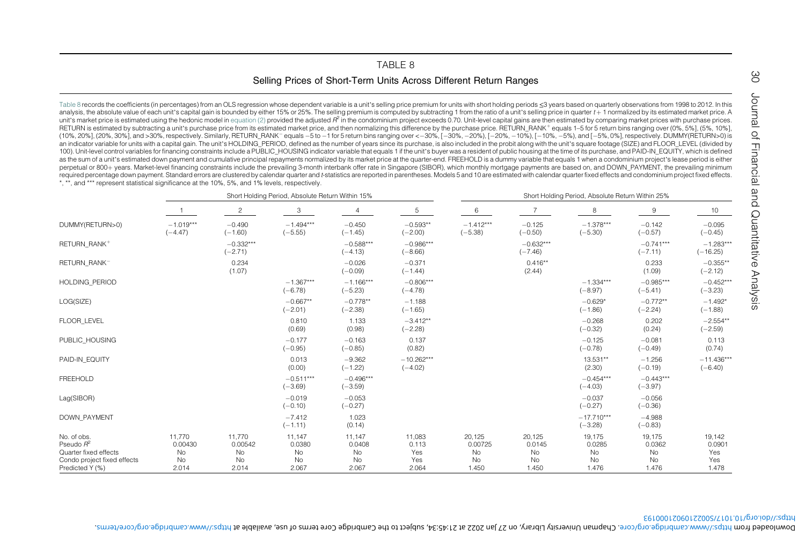## <span id="page-31-1"></span>TABLE 8Selling Prices of Short-Term Units Across Different Return Ranges

<span id="page-31-0"></span>[Table](#page-31-1) 8 records the coefficients (in percentages) from an OLS regression whose dependent variable is a unit's selling price premium for units with short holding periods ≤3 years based on quarterly observations from 1998 t analysis, the absolute value of each unit's capital gain is bounded by either 15% or 25%. The selling premium is computed by subtracting 1 from the ratio of a unit's selling price in quarter t+1 normalized by its estimated unit's market price is estimated using the hedonic model in [equation](#page-13-3) (2) provided the adjusted  $R^2$  in the condominium project exceeds 0.70. Unit-level capital gains are then estimated by comparing market prices with purc RETURN is estimated by subtracting a unit's purchase price from its estimated market price, and then normalizing this difference by the purchase price. RETURN RANK<sup>+</sup> equals 1-5 for 5 return bins ranging over (0%, 5%), (5% (10%, 20%), (20%, 30%), and >30%, respectively. Similarly, RETURN\_RANK<sup>-</sup> equals –5 to –1 for 5 return bins ranging over <–30%, [–30%, –20%, ]–20%, –10%), [–10%, –5%), and [–5%, 0%], respectively. DUMMY(RETURN>0) is an indicator variable for units with a capital gain. The unit's HOLDING PERIOD, defined as the number of years since its purchase, is also included in the probit along with the unit's square footage (SIZE) and FLOOR LEVEL 100). Unit-level control variables for financing constraints include a PUBLIC HOUSING indicator variable that equals 1 if the unit's buyer was a resident of public housing at the time of its purchase, and PAID-IN EQUITY, w as the sum of a unit's estimated down payment and cumulative principal repayments normalized by its market price at the quarter-end. FREEHOLD is a dummy variable that equals 1 when a condominium project's lease period is e perpetual or 800+ years. Market-level financing constraints include the prevailing 3-month interbank offer rate in Singapore (SIBOR), which monthly mortgage payments are based on, and DOWN\_PAYMENT, the prevailing minimum required percentage down payment. Standard errors are clustered by calendar quarter and t-statistics are reported in parentheses. Models 5 and 10 are estimated with calendar quarter fixed effects and condominium project fi \*, \*\*, and \*\*\* represent statistical significance at the 10%, 5%, and 1% levels, respectively.

|                                                                                                        |                                        |                                        | Short Holding Period, Absolute Return Within 15% |                                       |                                        | Short Holding Period, Absolute Return Within 25% |                                       |                                       |                                       |                                         |  |
|--------------------------------------------------------------------------------------------------------|----------------------------------------|----------------------------------------|--------------------------------------------------|---------------------------------------|----------------------------------------|--------------------------------------------------|---------------------------------------|---------------------------------------|---------------------------------------|-----------------------------------------|--|
|                                                                                                        |                                        | $\overline{c}$                         | 3                                                | $\overline{4}$                        | 5                                      | 6                                                |                                       | 8                                     | 9                                     | 10                                      |  |
| DUMMY(RETURN>0)                                                                                        | $-1.019***$<br>$(-4.47)$               | $-0.490$<br>$(-1.60)$                  | $-1.494***$<br>$(-5.55)$                         | $-0.450$<br>$(-1.45)$                 | $-0.593**$<br>$(-2.00)$                | $-1.412***$<br>$(-5.38)$                         | $-0.125$<br>$(-0.50)$                 | $-1.378***$<br>$(-5.30)$              | $-0.142$<br>$(-0.57)$                 | $-0.095$<br>$(-0.45)$                   |  |
| RETURN RANK+                                                                                           |                                        | $-0.332***$<br>$(-2.71)$               |                                                  | $-0.588***$<br>$(-4.13)$              | $-0.986***$<br>$(-8.66)$               |                                                  | $-0.632***$<br>$(-7.46)$              |                                       | $-0.741***$<br>$(-7.11)$              | $-1.283***$<br>$(-16.25)$               |  |
| RETURN RANK-                                                                                           |                                        | 0.234<br>(1.07)                        |                                                  | $-0.026$<br>$(-0.09)$                 | $-0.371$<br>$(-1.44)$                  |                                                  | $0.416**$<br>(2.44)                   |                                       | 0.233<br>(1.09)                       | $-0.355**$<br>$(-2.12)$                 |  |
| HOLDING PERIOD                                                                                         |                                        |                                        | $-1.367***$<br>$(-6.78)$                         | $-1.166***$<br>$(-5.23)$              | $-0.806***$<br>$(-4.78)$               |                                                  |                                       | $-1.334***$<br>$(-8.97)$              | $-0.985***$<br>$(-5.41)$              | $-0.452***$<br>$(-3.23)$                |  |
| LOG(SIZE)                                                                                              |                                        |                                        | $-0.667**$<br>$(-2.01)$                          | $-0.778**$<br>$(-2.38)$               | $-1.188$<br>$(-1.65)$                  |                                                  |                                       | $-0.629*$<br>$(-1.86)$                | $-0.772**$<br>$(-2.24)$               | $-1.492*$<br>$(-1.88)$                  |  |
| FLOOR LEVEL                                                                                            |                                        |                                        | 0.810<br>(0.69)                                  | 1.133<br>(0.98)                       | $-3.412**$<br>$(-2.28)$                |                                                  |                                       | $-0.268$<br>$(-0.32)$                 | 0.202<br>(0.24)                       | $-2.554**$<br>$(-2.59)$                 |  |
| PUBLIC_HOUSING                                                                                         |                                        |                                        | $-0.177$<br>$(-0.95)$                            | $-0.163$<br>$(-0.85)$                 | 0.137<br>(0.82)                        |                                                  |                                       | $-0.125$<br>$(-0.78)$                 | $-0.081$<br>$(-0.49)$                 | 0.113<br>(0.74)                         |  |
| PAID-IN EQUITY                                                                                         |                                        |                                        | 0.013<br>(0.00)                                  | $-9.362$<br>$(-1.22)$                 | $-10.262***$<br>$(-4.02)$              |                                                  |                                       | 13.531**<br>(2.30)                    | $-1.256$<br>$(-0.19)$                 | $-11.436***$<br>$(-6.40)$               |  |
| <b>FREEHOLD</b>                                                                                        |                                        |                                        | $-0.511***$<br>$(-3.69)$                         | $-0.496***$<br>$(-3.59)$              |                                        |                                                  |                                       | $-0.454***$<br>$(-4.03)$              | $-0.443***$<br>$(-3.97)$              |                                         |  |
| Lag(SIBOR)                                                                                             |                                        |                                        | $-0.019$<br>$(-0.10)$                            | $-0.053$<br>$(-0.27)$                 |                                        |                                                  |                                       | $-0.037$<br>$(-0.27)$                 | $-0.056$<br>$(-0.36)$                 |                                         |  |
| <b>DOWN PAYMENT</b>                                                                                    |                                        |                                        | $-7.412$<br>$(-1.11)$                            | 1.023<br>(0.14)                       |                                        |                                                  |                                       | $-17.710***$<br>$(-3.28)$             | $-4.988$<br>$(-0.83)$                 |                                         |  |
| No. of obs.<br>Pseudo $R^2$<br>Quarter fixed effects<br>Condo project fixed effects<br>Predicted Y (%) | 11.770<br>0.00430<br>No<br>No<br>2.014 | 11.770<br>0.00542<br>No<br>No<br>2.014 | 11.147<br>0.0380<br>No<br>No<br>2.067            | 11,147<br>0.0408<br>No<br>No<br>2.067 | 11,083<br>0.113<br>Yes<br>Yes<br>2.064 | 20,125<br>0.00725<br>No<br>No<br>1.450           | 20,125<br>0.0145<br>No<br>No<br>1.450 | 19,175<br>0.0285<br>No<br>No<br>1.476 | 19,175<br>0.0362<br>No<br>No<br>1.476 | 19,142<br>0.0901<br>Yes<br>Yes<br>1.478 |  |

https://doi.org/10.1017/S0022109021000193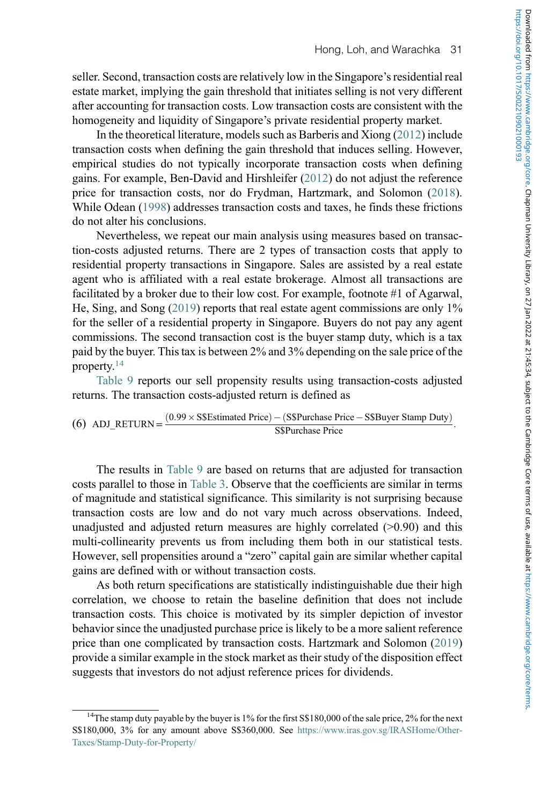seller. Second, transaction costs are relatively low in the Singapore's residential real estate market, implying the gain threshold that initiates selling is not very different after accounting for transaction costs. Low transaction costs are consistent with the homogeneity and liquidity of Singapore's private residential property market.

In the theoretical literature, models such as Barberis and Xiong (2012) include transaction costs when defining the gain threshold that induces selling. However, empirical studies do not typically incorporate transaction costs when defining gains. For example, Ben-David and Hirshleifer (2012) do not adjust the reference price for transaction costs, nor do Frydman, Hartzmark, and Solomon (2018). While Odean (1998) addresses transaction costs and taxes, he finds these frictions do not alter his conclusions.

Nevertheless, we repeat our main analysis using measures based on transaction-costs adjusted returns. There are 2 types of transaction costs that apply to residential property transactions in Singapore. Sales are assisted by a real estate agent who is affiliated with a real estate brokerage. Almost all transactions are facilitated by a broker due to their low cost. For example, footnote #1 of Agarwal, He, Sing, and Song (2019) reports that real estate agent commissions are only 1% for the seller of a residential property in Singapore. Buyers do not pay any agent commissions. The second transaction cost is the buyer stamp duty, which is a tax paid by the buyer. This tax is between 2% and 3% depending on the sale price of the property.[14](#page-32-0)

[Table 9](#page-33-0) reports our sell propensity results using transaction-costs adjusted returns. The transaction costs-adjusted return is defined as

(6) ADJ\_RETURN = 
$$
\frac{(0.99 \times SSEstimated Price) - (S\$Purchase Price - S\$Buyer Stamp Duty)}{S\$Purchase Price}
$$
.

The results in [Table 9](#page-33-0) are based on returns that are adjusted for transaction costs parallel to those in [Table 3.](#page-18-0) Observe that the coefficients are similar in terms of magnitude and statistical significance. This similarity is not surprising because transaction costs are low and do not vary much across observations. Indeed, unadjusted and adjusted return measures are highly correlated  $(>0.90)$  and this multi-collinearity prevents us from including them both in our statistical tests. However, sell propensities around a "zero" capital gain are similar whether capital gains are defined with or without transaction costs.

As both return specifications are statistically indistinguishable due their high correlation, we choose to retain the baseline definition that does not include transaction costs. This choice is motivated by its simpler depiction of investor behavior since the unadjusted purchase price is likely to be a more salient reference price than one complicated by transaction costs. Hartzmark and Solomon (2019) provide a similar example in the stock market as their study of the disposition effect suggests that investors do not adjust reference prices for dividends.

<span id="page-32-0"></span><sup>&</sup>lt;sup>14</sup>The stamp duty payable by the buyer is 1% for the first S\$180,000 of the sale price, 2% for the next S\$180,000, 3% for any amount above S\$360,000. See [https://www.iras.gov.sg/IRASHome/Other-](https://www.iras.gov.sg/IRASHome/Other-Taxes/Stamp-Duty-for-Property/)[Taxes/Stamp-Duty-for-Property/](https://www.iras.gov.sg/IRASHome/Other-Taxes/Stamp-Duty-for-Property/)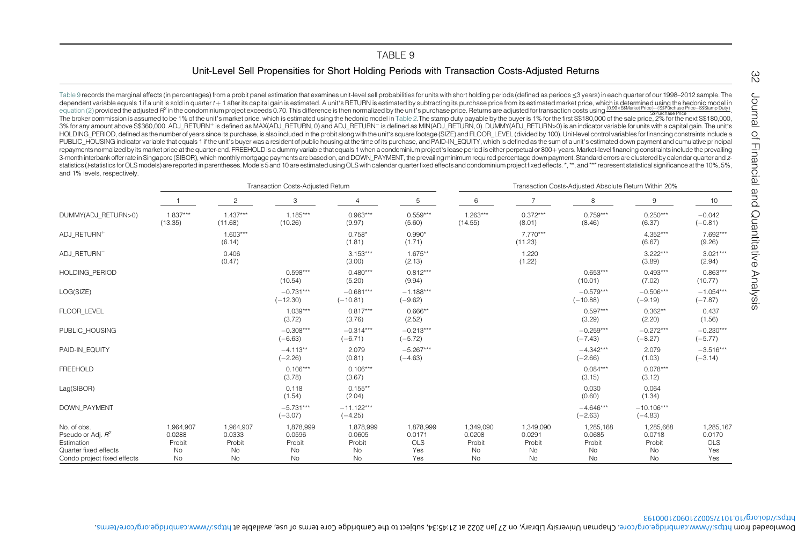## Unit-Level Sell Propensities for Short Holding Periods with Transaction Costs-Adjusted Returns

<span id="page-33-0"></span>[Table](#page-33-1) 9 records the marginal effects (in percentages) from a probit panel estimation that examines unit-level sell probabilities for units with short holding periods (defined as periods ≤3 years) in each quarter of our 19 dependent variable equals 1 if a unit is sold in quarter t+ 1 after its capital gain is estimated. A unit's RETURN is estimated by subtracting its purchase price from its estimated market price, which is determined using or the provided in the commission is assumed to be 1% of the unit's market price, which is estimated using the hedonic model in [Table](#page-13-4) 2.The stamp duty payable by the buyers 1% for the first S\$180,000 of the sale price, 2% 3% for any amount above S\$360,000. ADJ\_RETURN<sup>+</sup> is defined as MAX(ADJ\_RETURN, 0) and ADJ\_RETURN<sup>-</sup> is defined as MIN(ADJ\_RETURN, 0). DUMMY(ADJ\_RETURN>0) is an indicator variable for units with a capital gain. The unit's HOLDING\_PERIOD, defined as the number of years since its purchase, is also included in the probit along with the unit's square footage (SIZE) and FLOOR\_LEVEL (divided by 100). Unit-level control variables for financing con PUBLIC HOUSING indicator variable that equals 1 if the unit's buyer was a resident of public housing at the time of its purchase, and PAID-IN EQUITY, which is defined as the sum of a unit's estimated down payment and cumul repayments normalized by its market price at the quarter-end. FREEHOLD is a dummy variable that equals 1 when a condominium project's lease period is either perpetual or 800+ years. Market-level financing constraints inclu 3-month interbank offer rate in Singapore (SIBOR), which monthly mortgage payments are based on, and DOWN PAYMENT, the prevailing minimum required percentage down payment. Standard errors are clustered by calendar quarter statistics (*I*-statistics for OLS models) are reported in parentheses. Models 5 and 10 are estimated using OLS with calendar quarter fixed effects and condominium project fixed effects. \*.\*\*, and \*\*\* represent statistical and 1% levels, respectively.

|                                                                                                                    | Transaction Costs-Adjusted Return         |                                           |                                           |                                                  |                                          |                                           | Transaction Costs-Adjusted Absolute Return Within 20% |                                                  |                                                  |                                          |  |  |
|--------------------------------------------------------------------------------------------------------------------|-------------------------------------------|-------------------------------------------|-------------------------------------------|--------------------------------------------------|------------------------------------------|-------------------------------------------|-------------------------------------------------------|--------------------------------------------------|--------------------------------------------------|------------------------------------------|--|--|
|                                                                                                                    |                                           | $\overline{c}$                            | 3                                         | 4                                                | 5                                        | 6                                         |                                                       | 8                                                | 9                                                | 10                                       |  |  |
| DUMMY(ADJ RETURN>0)                                                                                                | $1.837***$<br>(13.35)                     | $1.437***$<br>(11.68)                     | $1.185***$<br>(10.26)                     | $0.963***$<br>(9.97)                             | $0.559***$<br>(5.60)                     | $1.263***$<br>(14.55)                     | $0.372***$<br>(8.01)                                  | $0.759***$<br>(8.46)                             | $0.250***$<br>(6.37)                             | $-0.042$<br>$(-0.81)$                    |  |  |
| ADJ RETURN+                                                                                                        |                                           | $1.603***$<br>(6.14)                      |                                           | $0.758*$<br>(1.81)                               | $0.990*$<br>(1.71)                       |                                           | 7.770***<br>(11.23)                                   |                                                  | 4.352***<br>(6.67)                               | 7.692***<br>(9.26)                       |  |  |
| ADJ RETURNT                                                                                                        |                                           | 0.406<br>(0.47)                           |                                           | $3.153***$<br>(3.00)                             | $1.675**$<br>(2.13)                      |                                           | 1.220<br>(1.22)                                       |                                                  | $3.222***$<br>(3.89)                             | $3.021***$<br>(2.94)                     |  |  |
| <b>HOLDING PERIOD</b>                                                                                              |                                           |                                           | $0.598***$<br>(10.54)                     | $0.480***$<br>(5.20)                             | $0.812***$<br>(9.94)                     |                                           |                                                       | $0.653***$<br>(10.01)                            | $0.493***$<br>(7.02)                             | $0.863***$<br>(10.77)                    |  |  |
| LOG(SIZE)                                                                                                          |                                           |                                           | $-0.731***$<br>$(-12.30)$                 | $-0.681***$<br>$(-10.81)$                        | $-1.188***$<br>$(-9.62)$                 |                                           |                                                       | $-0.579***$<br>$(-10.88)$                        | $-0.506***$<br>$(-9.19)$                         | $-1.054***$<br>$(-7.87)$                 |  |  |
| FLOOR LEVEL                                                                                                        |                                           |                                           | $1.039***$<br>(3.72)                      | $0.817***$<br>(3.76)                             | $0.666**$<br>(2.52)                      |                                           |                                                       | $0.597***$<br>(3.29)                             | $0.362**$<br>(2.20)                              | 0.437<br>(1.56)                          |  |  |
| PUBLIC HOUSING                                                                                                     |                                           |                                           | $-0.308***$<br>$(-6.63)$                  | $-0.314***$<br>$(-6.71)$                         | $-0.213***$<br>$(-5.72)$                 |                                           |                                                       | $-0.259***$<br>$(-7.43)$                         | $-0.272***$<br>$(-8.27)$                         | $-0.230***$<br>$(-5.77)$                 |  |  |
| PAID-IN EQUITY                                                                                                     |                                           |                                           | $-4.113**$<br>$(-2.26)$                   | 2.079<br>(0.81)                                  | $-5.267***$<br>$(-4.63)$                 |                                           |                                                       | $-4.342***$<br>$(-2.66)$                         | 2.079<br>(1.03)                                  | $-3.516***$<br>$(-3.14)$                 |  |  |
| <b>FREEHOLD</b>                                                                                                    |                                           |                                           | $0.106***$<br>(3.78)                      | $0.106***$<br>(3.67)                             |                                          |                                           |                                                       | $0.084***$<br>(3.15)                             | $0.078***$<br>(3.12)                             |                                          |  |  |
| Lag(SIBOR)                                                                                                         |                                           |                                           | 0.118<br>(1.54)                           | $0.155***$<br>(2.04)                             |                                          |                                           |                                                       | 0.030<br>(0.60)                                  | 0.064<br>(1.34)                                  |                                          |  |  |
| <b>DOWN PAYMENT</b>                                                                                                |                                           |                                           | $-5.731***$<br>$(-3.07)$                  | $-11.122***$<br>$(-4.25)$                        |                                          |                                           |                                                       | $-4.646***$<br>$(-2.63)$                         | $-10.106***$<br>$(-4.83)$                        |                                          |  |  |
| No. of obs.<br>Pseudo or Adj. R <sup>2</sup><br>Estimation<br>Quarter fixed effects<br>Condo project fixed effects | 1,964,907<br>0.0288<br>Probit<br>No<br>No | 1,964,907<br>0.0333<br>Probit<br>No<br>No | 1,878,999<br>0.0596<br>Probit<br>No<br>No | 1,878,999<br>0.0605<br>Probit<br>No<br><b>No</b> | 1,878,999<br>0.0171<br>OLS<br>Yes<br>Yes | 1,349,090<br>0.0208<br>Probit<br>No<br>No | 1,349,090<br>0.0291<br>Probit<br>No<br>No             | 1,285,168<br>0.0685<br>Probit<br>No<br><b>No</b> | 1,285,668<br>0.0718<br>Probit<br>No<br><b>No</b> | 1,285,167<br>0.0170<br>OLS<br>Yes<br>Yes |  |  |

<span id="page-33-1"></span>https://doi.org/10.1017/S0022109021000193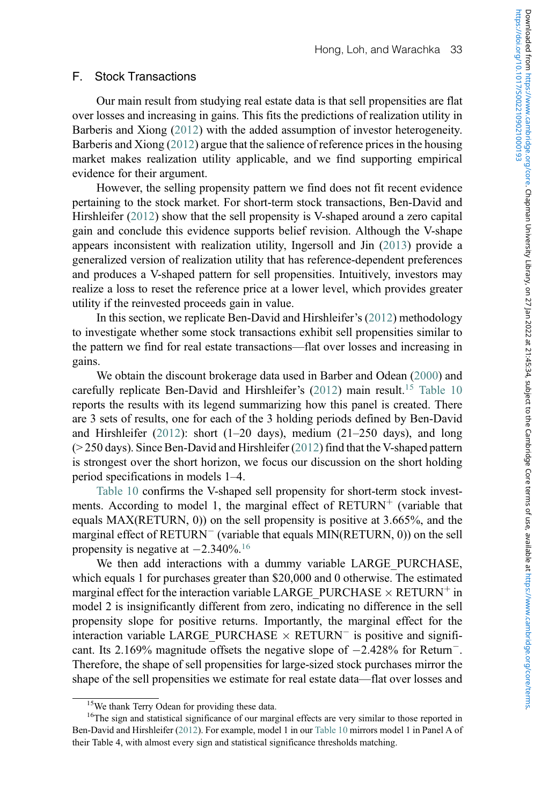## F. Stock Transactions

Our main result from studying real estate data is that sell propensities are flat over losses and increasing in gains. This fits the predictions of realization utility in Barberis and Xiong (2012) with the added assumption of investor heterogeneity. Barberis and Xiong (2012) argue that the salience of reference prices in the housing market makes realization utility applicable, and we find supporting empirical evidence for their argument.

However, the selling propensity pattern we find does not fit recent evidence pertaining to the stock market. For short-term stock transactions, Ben-David and Hirshleifer (2012) show that the sell propensity is V-shaped around a zero capital gain and conclude this evidence supports belief revision. Although the V-shape appears inconsistent with realization utility, Ingersoll and Jin (2013) provide a generalized version of realization utility that has reference-dependent preferences and produces a V-shaped pattern for sell propensities. Intuitively, investors may realize a loss to reset the reference price at a lower level, which provides greater utility if the reinvested proceeds gain in value.

In this section, we replicate Ben-David and Hirshleifer's (2012) methodology to investigate whether some stock transactions exhibit sell propensities similar to the pattern we find for real estate transactions—flat over losses and increasing in gains.

We obtain the discount brokerage data used in Barber and Odean (2000) and carefully replicate Ben-David and Hirshleifer's (2012) main result.<sup>[15](#page-34-0)</sup> [Table 10](#page-35-0) reports the results with its legend summarizing how this panel is created. There are 3 sets of results, one for each of the 3 holding periods defined by Ben-David and Hirshleifer (2012): short (1–20 days), medium (21–250 days), and long (> 250 days). Since Ben-David and Hirshleifer (2012) find that the V-shaped pattern is strongest over the short horizon, we focus our discussion on the short holding period specifications in models 1–4.

[Table 10](#page-35-0) confirms the V-shaped sell propensity for short-term stock investments. According to model 1, the marginal effect of  $RETURN<sup>+</sup>$  (variable that equals MAX(RETURN, 0)) on the sell propensity is positive at 3.665%, and the marginal effect of RETURN<sup>-</sup> (variable that equals MIN(RETURN, 0)) on the sell propensity is negative at  $-2.340\%$ .<sup>[16](#page-34-1)</sup>

We then add interactions with a dummy variable LARGE\_PURCHASE, which equals 1 for purchases greater than \$20,000 and 0 otherwise. The estimated marginal effect for the interaction variable LARGE\_PURCHASE  $\times$  RETURN<sup>+</sup> in model 2 is insignificantly different from zero, indicating no difference in the sell propensity slope for positive returns. Importantly, the marginal effect for the interaction variable LARGE\_PURCHASE  $\times$  RETURN<sup>-</sup> is positive and significant. Its 2.169% magnitude offsets the negative slope of  $-2.428%$  for Return<sup>-</sup>. Therefore, the shape of sell propensities for large-sized stock purchases mirror the shape of the sell propensities we estimate for real estate data—flat over losses and

<sup>&</sup>lt;sup>15</sup>We thank Terry Odean for providing these data.

<span id="page-34-1"></span><span id="page-34-0"></span><sup>&</sup>lt;sup>16</sup>The sign and statistical significance of our marginal effects are very similar to those reported in Ben-David and Hirshleifer (2012). For example, model 1 in our [Table 10](#page-35-0) mirrors model 1 in Panel A of their Table 4, with almost every sign and statistical significance thresholds matching.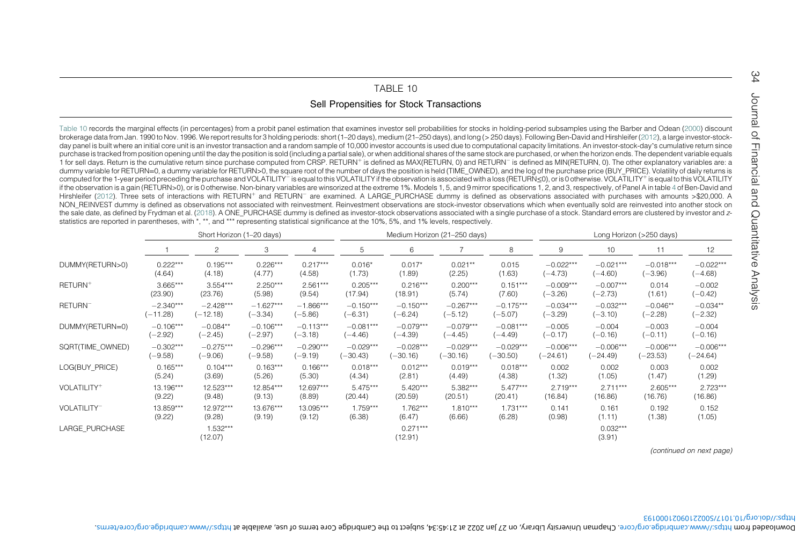## TABLE 10

## Sell Propensities for Stock Transactions

<span id="page-35-0"></span>[Table](#page-35-1) 10 records the marginal effects (in percentages) from a probit panel estimation that examines investor sell probabilities for stocks in holding-period subsamples using the Barber and Odean (2000) discount brokerage data from Jan. 1990 to Nov. 1996. We report results for 3 holding periods: short (1–20 days), medium (21–250 days), and long (> 250 days). Following Ben-David and Hirshleifer (2012), <sup>a</sup> large investor-stockday panel is built where an initial core unit is an investor transaction and a random sample of 10,000 investor accounts is used due to computational capacity limitations. An investor-stock-day's cumulative return since purchase is tracked from position opening until the day the position is sold (including a partial sale), or when additional shares of the same stock are purchased, or when the horizon ends. The dependent variable equals 1 for sell days. Return is the cumulative return since purchase computed from CRSP. RETURN<sup>+</sup> is defined as MAX(RETURN, 0) and RETURN<sup>-</sup> is defined as MIN(RETURN, 0). The other explanatory variables are: a dummy variable for RETURN=0, <sup>a</sup> dummy variable for RETURN>0, the square root of the number of days the position is held (TIME\_OWNED), and the log of the purchase price (BUY\_PRICE). Volatility of daily returns is computed for the 1-year period preceding the purchase and VOLATILITY⊤ is equal to this VOLATILITY if the observation is associated with a loss (RETURN≤0), or is 0 otherwise. VOLATILITY† is equal to this VOLATILITY if the observation is <sup>a</sup> gain (RETURN>0), or is 0 otherwise. Non-binary variables are winsorized at the extreme 1%. Models 1, 5, and 9 mirror specifications 1, 2, and 3, respectively, of Panel A in table [4](#page-22-1) of Ben-David and Hirshleifer (2012). Three sets of interactions with RETURN<sup>+</sup> and RETURN<sup>-</sup> are examined. A LARGE\_PURCHASE dummy is defined as observations associated with purchases with amounts >\$20,000. A NON\_REINVEST dummy is defined as observations not associated with reinvestment. Reinvestment observations are stock-investor observations which when eventually sold are reinvested into another stock on the sale date, as defined by Frydman et al. (2018). A ONE PURCHASE dummy is defined as investor-stock observations associated with a single purchase of a stock. Standard errors are clustered by investor and zstatistics are reported in parentheses, with \*, \*\*, and \*\*\* representing statistical significance at the 10%, 5%, and 1% levels, respectively.

|                         | Short Horizon (1-20 days) |                       |             |                |             | Medium Horizon (21-250 days) |             |             |             | Long Horizon (>250 days) |             |             |  |
|-------------------------|---------------------------|-----------------------|-------------|----------------|-------------|------------------------------|-------------|-------------|-------------|--------------------------|-------------|-------------|--|
|                         |                           | 2                     | 3           | $\overline{4}$ | 5           | 6                            |             | 8           | 9           | 10                       | 11          | 12          |  |
| DUMMY(RETURN>0)         | $0.222***$                | $0.195***$            | $0.226***$  | $0.217***$     | $0.016*$    | $0.017*$                     | $0.021**$   | 0.015       | $-0.022***$ | $-0.021***$              | $-0.018***$ | $-0.022***$ |  |
|                         | (4.64)                    | (4.18)                | (4.77)      | (4.58)         | (1.73)      | (1.89)                       | (2.25)      | (1.63)      | $(-4.73)$   | $(-4.60)$                | $(-3.96)$   | $(-4.68)$   |  |
| RETURN <sup>+</sup>     | $3.665***$                | $3.554***$            | $2.250***$  | $2.561***$     | $0.205***$  | $0.216***$                   | $0.200***$  | $0.151***$  | $-0.009***$ | $-0.007***$              | 0.014       | $-0.002$    |  |
|                         | (23.90)                   | (23.76)               | (5.98)      | (9.54)         | (17.94)     | (18.91)                      | (5.74)      | (7.60)      | $(-3.26)$   | $(-2.73)$                | (1.61)      | $(-0.42)$   |  |
| RETURN <sup>-</sup>     | $-2.340***$               | $-2.428***$           | $-1.627***$ | $-1.866***$    | $-0.150***$ | $-0.150***$                  | $-0.267***$ | $-0.175***$ | $-0.034***$ | $-0.032***$              | $-0.046**$  | $-0.034**$  |  |
|                         | $(-11.28)$                | $(-12.18)$            | $(-3.34)$   | $(-5.86)$      | $(-6.31)$   | $(-6.24)$                    | $(-5.12)$   | $(-5.07)$   | $(-3.29)$   | $(-3.10)$                | $(-2.28)$   | $(-2.32)$   |  |
| DUMMY(RETURN=0)         | $-0.106***$               | $-0.084**$            | $-0.106***$ | $-0.113***$    | $-0.081***$ | $-0.079***$                  | $-0.079***$ | $-0.081***$ | $-0.005$    | $-0.004$                 | $-0.003$    | $-0.004$    |  |
|                         | $(-2.92)$                 | $(-2.45)$             | $(-2.97)$   | $(-3.18)$      | $(-4.46)$   | $(-4.39)$                    | $(-4.45)$   | $(-4.49)$   | $(-0.17)$   | $(-0.16)$                | $(-0.11)$   | $(-0.16)$   |  |
| SQRT(TIME_OWNED)        | $-0.302***$               | $-0.275***$           | $-0.296***$ | $-0.290***$    | $-0.029***$ | $-0.028***$                  | $-0.029***$ | $-0.029***$ | $-0.006***$ | $-0.006***$              | $-0.006***$ | $-0.006***$ |  |
|                         | $(-9.58)$                 | $(-9.06)$             | $(-9.58)$   | $(-9.19)$      | $(-30.43)$  | $(-30.16)$                   | $(-30.16)$  | $(-30.50)$  | $(-24.61)$  | $(-24.49)$               | $(-23.53)$  | $(-24.64)$  |  |
| LOG(BUY PRICE)          | $0.165***$                | $0.104***$            | $0.163***$  | $0.166***$     | $0.018***$  | $0.012***$                   | $0.019***$  | $0.018***$  | 0.002       | 0.002                    | 0.003       | 0.002       |  |
|                         | (5.24)                    | (3.69)                | (5.26)      | (5.30)         | (4.34)      | (2.81)                       | (4.49)      | (4.38)      | (1.32)      | (1.05)                   | (1.47)      | (1.29)      |  |
| VOLATILITY <sup>+</sup> | 13.196***                 | 12.523***             | 12.854***   | 12.697***      | $5.475***$  | $5.420***$                   | 5.382***    | $5.477***$  | $2.719***$  | $2.711***$               | $2.605***$  | $2.723***$  |  |
|                         | (9.22)                    | (9.48)                | (9.13)      | (8.89)         | (20.44)     | (20.59)                      | (20.51)     | (20.41)     | (16.84)     | (16.86)                  | (16.76)     | (16.86)     |  |
| VOLATILITY <sup>-</sup> | 13.859***                 | 12.972***             | 13.676***   | 13.095***      | $1.759***$  | $1.762***$                   | $1.810***$  | $1.731***$  | 0.141       | 0.161                    | 0.192       | 0.152       |  |
|                         | (9.22)                    | (9.28)                | (9.19)      | (9.12)         | (6.38)      | (6.47)                       | (6.66)      | (6.28)      | (0.98)      | (1.11)                   | (1.38)      | (1.05)      |  |
| LARGE PURCHASE          |                           | $1.532***$<br>(12.07) |             |                |             | $0.271***$<br>(12.91)        |             |             |             | $0.032***$<br>(3.91)     |             |             |  |

(continued on next page)

<span id="page-35-1"></span>54

### https://doi.org/10.1017/S0022109021000193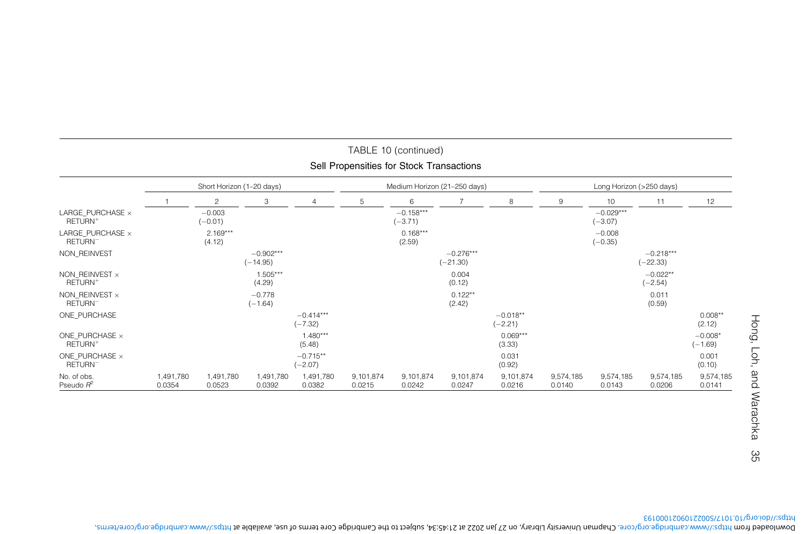|                                                | Short Horizon (1-20 days) |                       |                           |                          |                     | Medium Horizon (21-250 days) |                           |                         |                     | Long Horizon (>250 days) |                           |                        |  |
|------------------------------------------------|---------------------------|-----------------------|---------------------------|--------------------------|---------------------|------------------------------|---------------------------|-------------------------|---------------------|--------------------------|---------------------------|------------------------|--|
|                                                |                           | $\overline{c}$        | 3                         | 4                        | 5                   | 6                            | 7                         | 8                       | 9                   | 10                       | 11                        | 12                     |  |
| LARGE PURCHASE $\times$<br>RETURN <sup>+</sup> |                           | $-0.003$<br>$(-0.01)$ |                           |                          |                     | $-0.158***$<br>$(-3.71)$     |                           |                         |                     | $-0.029***$<br>$(-3.07)$ |                           |                        |  |
| LARGE PURCHASE ×<br>RETURN <sup>-</sup>        |                           | $2.169***$<br>(4.12)  |                           |                          |                     | $0.168***$<br>(2.59)         |                           |                         |                     | $-0.008$<br>$(-0.35)$    |                           |                        |  |
| NON REINVEST                                   |                           |                       | $-0.902***$<br>$(-14.95)$ |                          |                     |                              | $-0.276***$<br>$(-21.30)$ |                         |                     |                          | $-0.218***$<br>$(-22.33)$ |                        |  |
| NON REINVEST $\times$<br>RETURN <sup>+</sup>   |                           |                       | 1.505***<br>(4.29)        |                          |                     |                              | 0.004<br>(0.12)           |                         |                     |                          | $-0.022**$<br>$(-2.54)$   |                        |  |
| NON REINVEST $\times$<br>RETURN <sup>-</sup>   |                           |                       | $-0.778$<br>$(-1.64)$     |                          |                     |                              | $0.122**$<br>(2.42)       |                         |                     |                          | 0.011<br>(0.59)           |                        |  |
| ONE PURCHASE                                   |                           |                       |                           | $-0.414***$<br>$(-7.32)$ |                     |                              |                           | $-0.018**$<br>$(-2.21)$ |                     |                          |                           | $0.008**$<br>(2.12)    |  |
| ONE PURCHASE $\times$<br>RETURN <sup>+</sup>   |                           |                       |                           | $1.480***$<br>(5.48)     |                     |                              |                           | $0.069***$<br>(3.33)    |                     |                          |                           | $-0.008*$<br>$(-1.69)$ |  |
| ONE PURCHASE $\times$<br>RETURN <sup>-</sup>   |                           |                       |                           | $-0.715**$<br>$(-2.07)$  |                     |                              |                           | 0.031<br>(0.92)         |                     |                          |                           | 0.001<br>(0.10)        |  |
| No. of obs.<br>Pseudo $R^2$                    | 1,491,780<br>0.0354       | 1,491,780<br>0.0523   | 1,491,780<br>0.0392       | 1,491,780<br>0.0382      | 9,101,874<br>0.0215 | 9,101,874<br>0.0242          | 9,101,874<br>0.0247       | 9,101,874<br>0.0216     | 9,574,185<br>0.0140 | 9,574,185<br>0.0143      | 9,574,185<br>0.0206       | 9,574,185<br>0.0141    |  |

# TABLE 10 (continued) Sell Propensities for Stock Transactions

Hong, Loh, and Warachka Hong, Loh, and Warachka 35 35

https://doi.org/10.1017/S0022109021000193 . https://www.cambridge.org/core/terms , subject to the Cambridge Core terms of use, available at 27 Jan 2022 at 21:45:34 , on Chapman University Library . https://www.cambridge.org/core Downloaded from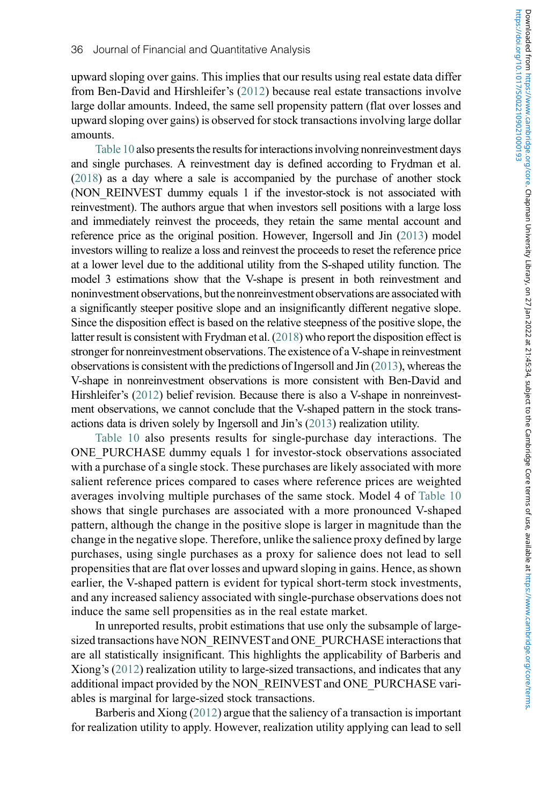upward sloping over gains. This implies that our results using real estate data differ from Ben-David and Hirshleifer's (2012) because real estate transactions involve large dollar amounts. Indeed, the same sell propensity pattern (flat over losses and upward sloping over gains) is observed for stock transactions involving large dollar amounts.

[Table 10](#page-35-0) also presents the results for interactions involving nonreinvestment days and single purchases. A reinvestment day is defined according to Frydman et al. (2018) as a day where a sale is accompanied by the purchase of another stock (NON\_REINVEST dummy equals 1 if the investor-stock is not associated with reinvestment). The authors argue that when investors sell positions with a large loss and immediately reinvest the proceeds, they retain the same mental account and reference price as the original position. However, Ingersoll and Jin (2013) model investors willing to realize a loss and reinvest the proceeds to reset the reference price at a lower level due to the additional utility from the S-shaped utility function. The model 3 estimations show that the V-shape is present in both reinvestment and noninvestment observations, but the nonreinvestment observations are associated with a significantly steeper positive slope and an insignificantly different negative slope. Since the disposition effect is based on the relative steepness of the positive slope, the latter result is consistent with Frydman et al. (2018) who report the disposition effect is stronger for nonreinvestment observations. The existence of a V-shape in reinvestment observations is consistent with the predictions of Ingersoll and Jin (2013), whereas the V-shape in nonreinvestment observations is more consistent with Ben-David and Hirshleifer's (2012) belief revision. Because there is also a V-shape in nonreinvestment observations, we cannot conclude that the V-shaped pattern in the stock transactions data is driven solely by Ingersoll and Jin's (2013) realization utility.

[Table 10](#page-35-0) also presents results for single-purchase day interactions. The ONE\_PURCHASE dummy equals 1 for investor-stock observations associated with a purchase of a single stock. These purchases are likely associated with more salient reference prices compared to cases where reference prices are weighted averages involving multiple purchases of the same stock. Model 4 of [Table 10](#page-35-0) shows that single purchases are associated with a more pronounced V-shaped pattern, although the change in the positive slope is larger in magnitude than the change in the negative slope. Therefore, unlike the salience proxy defined by large purchases, using single purchases as a proxy for salience does not lead to sell propensities that are flat over losses and upward sloping in gains. Hence, as shown earlier, the V-shaped pattern is evident for typical short-term stock investments, and any increased saliency associated with single-purchase observations does not induce the same sell propensities as in the real estate market.

In unreported results, probit estimations that use only the subsample of largesized transactions have NON\_REINVEST and ONE\_PURCHASE interactions that are all statistically insignificant. This highlights the applicability of Barberis and Xiong's (2012) realization utility to large-sized transactions, and indicates that any additional impact provided by the NON\_REINVEST and ONE\_PURCHASE variables is marginal for large-sized stock transactions.

Barberis and Xiong (2012) argue that the saliency of a transaction is important for realization utility to apply. However, realization utility applying can lead to sell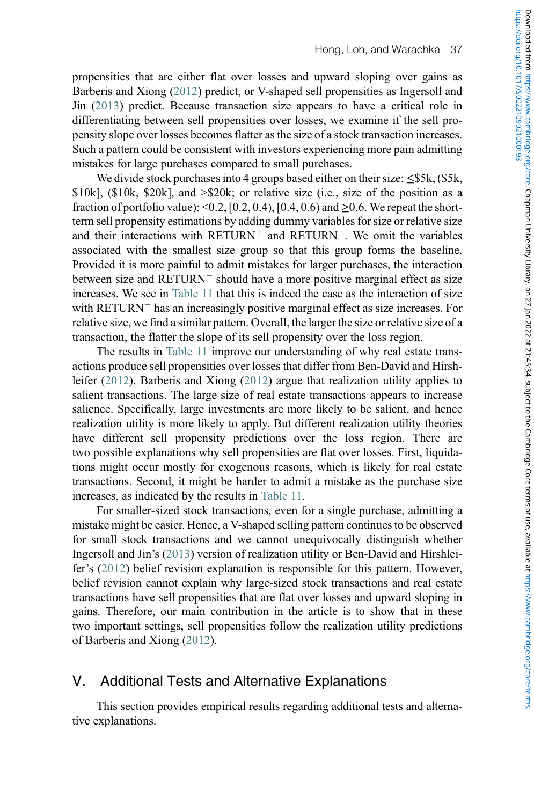propensities that are either flat over losses and upward sloping over gains as Barberis and Xiong (2012) predict, or V-shaped sell propensities as Ingersoll and Jin (2013) predict. Because transaction size appears to have a critical role in differentiating between sell propensities over losses, we examine if the sell propensity slope over losses becomes flatter as the size of a stock transaction increases. Such a pattern could be consistent with investors experiencing more pain admitting mistakes for large purchases compared to small purchases.

We divide stock purchases into 4 groups based either on their size:  $\leq$ \$5k, (\$5k, \$10k], (\$10k, \$20k], and >\$20k; or relative size (i.e., size of the position as a fraction of portfolio value):  $\leq 0.2$ , [0.2, 0.4), [0.4, 0.6) and  $\geq 0.6$ . We repeat the shortterm sell propensity estimations by adding dummy variables for size or relative size and their interactions with  $RETURN^+$  and  $RETURN^-$ . We omit the variables associated with the smallest size group so that this group forms the baseline. Provided it is more painful to admit mistakes for larger purchases, the interaction between size and RETURN<sup>-</sup> should have a more positive marginal effect as size increases. We see in [Table 11](#page-39-0) that this is indeed the case as the interaction of size with RETURN<sup>-</sup> has an increasingly positive marginal effect as size increases. For relative size, we find a similar pattern. Overall, the larger the size or relative size of a transaction, the flatter the slope of its sell propensity over the loss region.

The results in [Table 11](#page-39-0) improve our understanding of why real estate transactions produce sell propensities over losses that differ from Ben-David and Hirshleifer (2012). Barberis and Xiong (2012) argue that realization utility applies to salient transactions. The large size of real estate transactions appears to increase salience. Specifically, large investments are more likely to be salient, and hence realization utility is more likely to apply. But different realization utility theories have different sell propensity predictions over the loss region. There are two possible explanations why sell propensities are flat over losses. First, liquidations might occur mostly for exogenous reasons, which is likely for real estate transactions. Second, it might be harder to admit a mistake as the purchase size increases, as indicated by the results in [Table 11](#page-39-0).

For smaller-sized stock transactions, even for a single purchase, admitting a mistake might be easier. Hence, a V-shaped selling pattern continues to be observed for small stock transactions and we cannot unequivocally distinguish whether Ingersoll and Jin's (2013) version of realization utility or Ben-David and Hirshleifer's (2012) belief revision explanation is responsible for this pattern. However, belief revision cannot explain why large-sized stock transactions and real estate transactions have sell propensities that are flat over losses and upward sloping in gains. Therefore, our main contribution in the article is to show that in these two important settings, sell propensities follow the realization utility predictions of Barberis and Xiong (2012).

# <span id="page-38-0"></span>V. Additional Tests and Alternative Explanations

This section provides empirical results regarding additional tests and alternative explanations.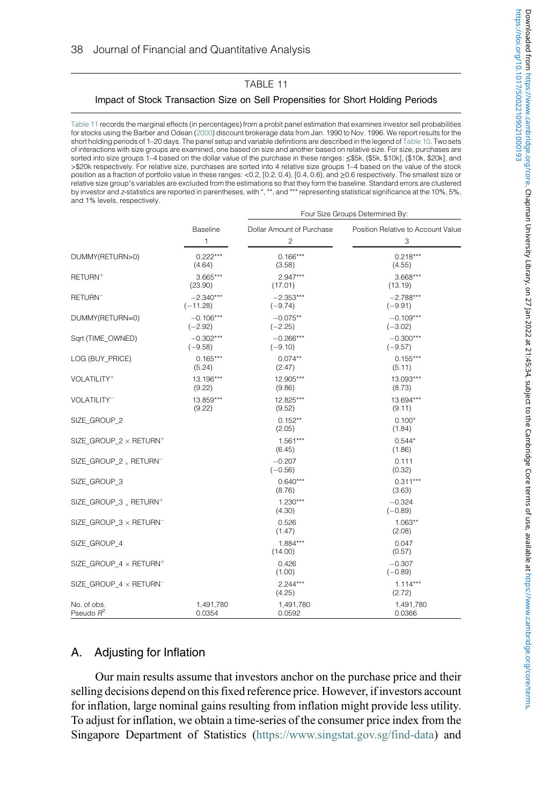## TABLE 11 Impact of Stock Transaction Size on Sell Propensities for Short Holding Periods

<span id="page-39-0"></span>[Table 11](#page-39-0) records the marginal effects (in percentages) from a probit panel estimation that examines investor sell probabilities for stocks using the Barber and Odean (2000) discount brokerage data from Jan. 1990 to Nov. 1996. We report results for the short holding periods of 1–20 days. The panel setup and variable definitions are described in the legend of [Table 10.](#page-35-0) Two sets of interactions with size groups are examined, one based on size and another based on relative size. For size, purchases are sorted into size groups 1–4 based on the dollar value of the purchase in these ranges: ≤\$5k, (\$5k, \$10k], (\$10k, \$20k], and >\$20k respectively. For relative size, purchases are sorted into 4 relative size groups 1–4 based on the value of the stock position as a fraction of portfolio value in these ranges: <0.2, [0.2, 0.4), [0.4, 0.6), and ≥0.6 respectively. The smallest size or relative size group's variables are excluded from the estimations so that they form the baseline. Standard errors are clustered<br>by investor and z-statistics are reported in parentheses, with \*, \*\*, and \*\*\* representing sta and 1% levels, respectively.

|                                               |             | Four Size Groups Determined By: |                                    |  |  |  |  |
|-----------------------------------------------|-------------|---------------------------------|------------------------------------|--|--|--|--|
|                                               | Baseline    | Dollar Amount of Purchase       | Position Relative to Account Value |  |  |  |  |
|                                               | 1           | $\overline{c}$                  | 3                                  |  |  |  |  |
| DUMMY(RETURN>0)                               | $0.222***$  | $0.166***$                      | $0.218***$                         |  |  |  |  |
|                                               | (4.64)      | (3.58)                          | (4.55)                             |  |  |  |  |
| RETURN <sup>+</sup>                           | $3.665***$  | $2.947***$                      | $3.668***$                         |  |  |  |  |
|                                               | (23.90)     | (17.01)                         | (13.19)                            |  |  |  |  |
| RETURN <sup>-</sup>                           | $-2.340***$ | $-2.353***$                     | $-2.788***$                        |  |  |  |  |
|                                               | $(-11.28)$  | $(-9.74)$                       | $(-9.91)$                          |  |  |  |  |
| DUMMY(RETURN=0)                               | $-0.106***$ | $-0.075**$                      | $-0.109***$                        |  |  |  |  |
|                                               | $(-2.92)$   | $(-2.25)$                       | $(-3.02)$                          |  |  |  |  |
| Sart (TIME OWNED)                             | $-0.302***$ | $-0.266***$                     | $-0.300***$                        |  |  |  |  |
|                                               | $(-9.58)$   | $(-9.10)$                       | $(-9.57)$                          |  |  |  |  |
| LOG (BUY PRICE)                               | $0.165***$  | $0.074**$                       | $0.155***$                         |  |  |  |  |
|                                               | (5.24)      | (2.47)                          | (5.11)                             |  |  |  |  |
| VOLATILITY <sup>+</sup>                       | 13.196***   | 12.905***                       | 13.093***                          |  |  |  |  |
|                                               | (9.22)      | (9.86)                          | (8.73)                             |  |  |  |  |
| VOLATILITY <sup>-</sup>                       | 13.859***   | 12.825***                       | 13.694***                          |  |  |  |  |
|                                               | (9.22)      | (9.52)                          | (9.11)                             |  |  |  |  |
| SIZE GROUP 2                                  |             | $0.152**$<br>(2.05)             | $0.100*$<br>(1.84)                 |  |  |  |  |
| SIZE GROUP 2 x RETURN <sup>+</sup>            |             | $1.561***$<br>(6.45)            | $0.544*$<br>(1.86)                 |  |  |  |  |
| SIZE GROUP 2 & RETURNT                        |             | $-0.207$<br>$(-0.56)$           | 0.111<br>(0.32)                    |  |  |  |  |
| SIZE GROUP 3                                  |             | $0.640***$<br>(8.76)            | $0.311***$<br>(3.63)               |  |  |  |  |
| SIZE_GROUP_3 <sub>x</sub> RETURN <sup>+</sup> |             | $1.230***$<br>(4.30)            | $-0.324$<br>$(-0.89)$              |  |  |  |  |
| SIZE GROUP 3 x RETURNT                        |             | 0.526<br>(1.47)                 | $1.063**$<br>(2.08)                |  |  |  |  |
| SIZE GROUP 4                                  |             | $1.884***$<br>(14.00)           | 0.047<br>(0.57)                    |  |  |  |  |
| SIZE GROUP 4 x RETURN <sup>+</sup>            |             | 0.426<br>(1.00)                 | $-0.307$<br>$(-0.89)$              |  |  |  |  |
| SIZE GROUP 4 x RETURN-                        |             | $2.244***$<br>(4.25)            | $1.114***$<br>(2.72)               |  |  |  |  |
| No. of obs.                                   | 1,491,780   | 1,491,780                       | 1,491,780                          |  |  |  |  |
| Pseudo R <sup>2</sup>                         | 0.0354      | 0.0592                          | 0.0366                             |  |  |  |  |

## A. Adjusting for Inflation

Our main results assume that investors anchor on the purchase price and their selling decisions depend on this fixed reference price. However, if investors account for inflation, large nominal gains resulting from inflation might provide less utility. To adjust for inflation, we obtain a time-series of the consumer price index from the Singapore Department of Statistics [\(https://www.singstat.gov.sg/find-data](https://www.singstat.gov.sg/find-data)) and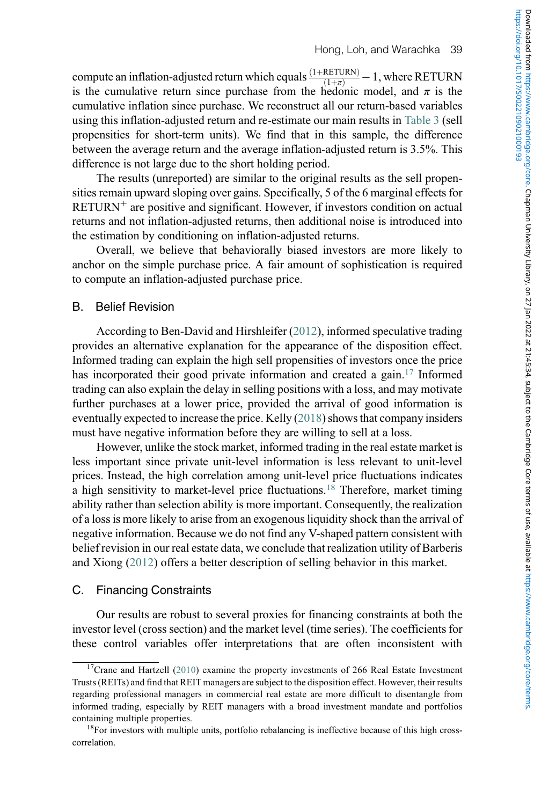compute an inflation-adjusted return which equals  $\frac{(1+REUIN)}{(1+\pi)}$  $-1$ , where RETURN is the cumulative return since purchase from the hedonic model, and  $\pi$  is the cumulative inflation since purchase. We reconstruct all our return-based variables using this inflation-adjusted return and re-estimate our main results in [Table 3](#page-18-0) (sell propensities for short-term units). We find that in this sample, the difference between the average return and the average inflation-adjusted return is 3.5%. This difference is not large due to the short holding period.

The results (unreported) are similar to the original results as the sell propensities remain upward sloping over gains. Specifically, 5 of the 6 marginal effects for  $RETURN<sup>+</sup>$  are positive and significant. However, if investors condition on actual returns and not inflation-adjusted returns, then additional noise is introduced into the estimation by conditioning on inflation-adjusted returns.

Overall, we believe that behaviorally biased investors are more likely to anchor on the simple purchase price. A fair amount of sophistication is required to compute an inflation-adjusted purchase price.

## B. Belief Revision

According to Ben-David and Hirshleifer (2012), informed speculative trading provides an alternative explanation for the appearance of the disposition effect. Informed trading can explain the high sell propensities of investors once the price has incorporated their good private information and created a gain.<sup>[17](#page-40-0)</sup> Informed trading can also explain the delay in selling positions with a loss, and may motivate further purchases at a lower price, provided the arrival of good information is eventually expected to increase the price. Kelly (2018) shows that company insiders must have negative information before they are willing to sell at a loss.

However, unlike the stock market, informed trading in the real estate market is less important since private unit-level information is less relevant to unit-level prices. Instead, the high correlation among unit-level price fluctuations indicates a high sensitivity to market-level price fluctuations.<sup>[18](#page-40-1)</sup> Therefore, market timing ability rather than selection ability is more important. Consequently, the realization of a loss is more likely to arise from an exogenous liquidity shock than the arrival of negative information. Because we do not find any V-shaped pattern consistent with belief revision in our real estate data, we conclude that realization utility of Barberis and Xiong (2012) offers a better description of selling behavior in this market.

## C. Financing Constraints

Our results are robust to several proxies for financing constraints at both the investor level (cross section) and the market level (time series). The coefficients for these control variables offer interpretations that are often inconsistent with

<span id="page-40-0"></span> $17$ Crane and Hartzell (2010) examine the property investments of 266 Real Estate Investment Trusts (REITs) and find that REIT managers are subject to the disposition effect. However, their results regarding professional managers in commercial real estate are more difficult to disentangle from informed trading, especially by REIT managers with a broad investment mandate and portfolios

<span id="page-40-1"></span>containing multiple properties.<br><sup>18</sup>For investors with multiple units, portfolio rebalancing is ineffective because of this high crosscorrelation.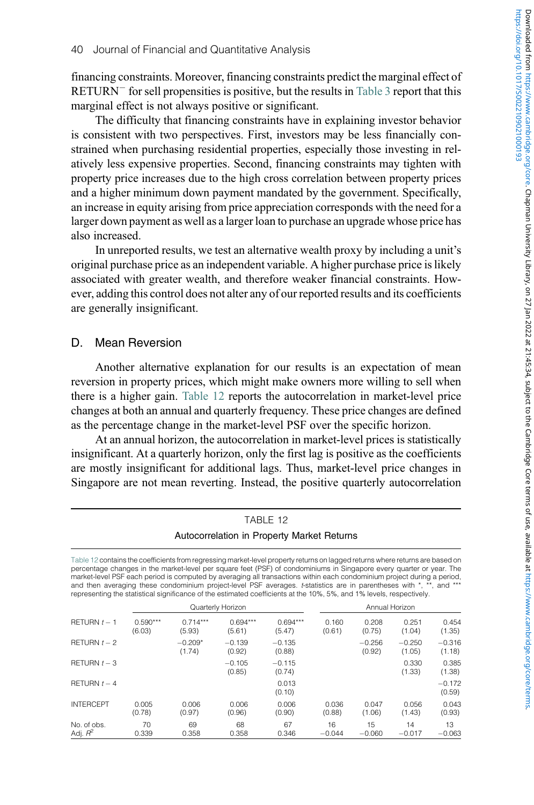financing constraints. Moreover, financing constraints predict the marginal effect of RETURN<sup>-</sup> for sell propensities is positive, but the results in [Table 3](#page-18-0) report that this marginal effect is not always positive or significant.

The difficulty that financing constraints have in explaining investor behavior is consistent with two perspectives. First, investors may be less financially constrained when purchasing residential properties, especially those investing in relatively less expensive properties. Second, financing constraints may tighten with property price increases due to the high cross correlation between property prices and a higher minimum down payment mandated by the government. Specifically, an increase in equity arising from price appreciation corresponds with the need for a larger down payment as well as a larger loan to purchase an upgrade whose price has also increased.

In unreported results, we test an alternative wealth proxy by including a unit's original purchase price as an independent variable. A higher purchase price is likely associated with greater wealth, and therefore weaker financial constraints. However, adding this control does not alter any of our reported results and its coefficients are generally insignificant.

## D. Mean Reversion

Another alternative explanation for our results is an expectation of mean reversion in property prices, which might make owners more willing to sell when there is a higher gain. [Table 12](#page-41-0) reports the autocorrelation in market-level price changes at both an annual and quarterly frequency. These price changes are defined as the percentage change in the market-level PSF over the specific horizon.

At an annual horizon, the autocorrelation in market-level prices is statistically insignificant. At a quarterly horizon, only the first lag is positive as the coefficients are mostly insignificant for additional lags. Thus, market-level price changes in Singapore are not mean reverting. Instead, the positive quarterly autocorrelation

<span id="page-41-0"></span>

|                                                                                                                                                                                                                                                                                                                                                                                                                                                                                                                                                                                                                                  |                      |                      |                      | IABLE 12                                   |                 |                    |                    |                    |  |  |
|----------------------------------------------------------------------------------------------------------------------------------------------------------------------------------------------------------------------------------------------------------------------------------------------------------------------------------------------------------------------------------------------------------------------------------------------------------------------------------------------------------------------------------------------------------------------------------------------------------------------------------|----------------------|----------------------|----------------------|--------------------------------------------|-----------------|--------------------|--------------------|--------------------|--|--|
|                                                                                                                                                                                                                                                                                                                                                                                                                                                                                                                                                                                                                                  |                      |                      |                      | Autocorrelation in Property Market Returns |                 |                    |                    |                    |  |  |
| Table 12 contains the coefficients from regressing market-level property returns on lagged returns where returns are based on<br>percentage changes in the market-level per square feet (PSF) of condominiums in Singapore every quarter or year. The<br>market-level PSF each period is computed by averaging all transactions within each condominium project during a period,<br>and then averaging these condominium project-level PSF averages. t-statistics are in parentheses with *, **, and ***<br>representing the statistical significance of the estimated coefficients at the 10%, 5%, and 1% levels, respectively. |                      |                      |                      |                                            |                 |                    |                    |                    |  |  |
|                                                                                                                                                                                                                                                                                                                                                                                                                                                                                                                                                                                                                                  |                      |                      | Quarterly Horizon    |                                            | Annual Horizon  |                    |                    |                    |  |  |
| RETURN $t - 1$                                                                                                                                                                                                                                                                                                                                                                                                                                                                                                                                                                                                                   | $0.590***$<br>(6.03) | $0.714***$<br>(5.93) | $0.694***$<br>(5.61) | $0.694***$<br>(5.47)                       | 0.160<br>(0.61) | 0.208<br>(0.75)    | 0.251<br>(1.04)    | 0.454<br>(1.35)    |  |  |
| RETURN $t - 2$                                                                                                                                                                                                                                                                                                                                                                                                                                                                                                                                                                                                                   |                      | $-0.209*$<br>(1.74)  | $-0.139$<br>(0.92)   | $-0.135$<br>(0.88)                         |                 | $-0.256$<br>(0.92) | $-0.250$<br>(1.05) | $-0.316$<br>(1.18) |  |  |
| RETURN $t-3$                                                                                                                                                                                                                                                                                                                                                                                                                                                                                                                                                                                                                     |                      |                      | $-0.105$<br>(0.85)   | $-0.115$<br>(0.74)                         |                 |                    | 0.330<br>(1.33)    | 0.385<br>(1.38)    |  |  |
| RETURN $t - 4$                                                                                                                                                                                                                                                                                                                                                                                                                                                                                                                                                                                                                   |                      |                      |                      | 0.013<br>(0.10)                            |                 |                    |                    | $-0.172$<br>(0.59) |  |  |
| <b>INTERCEPT</b>                                                                                                                                                                                                                                                                                                                                                                                                                                                                                                                                                                                                                 | 0.005<br>(0.78)      | 0.006<br>(0.97)      | 0.006<br>(0.96)      | 0.006<br>(0.90)                            | 0.036<br>(0.88) | 0.047<br>(1.06)    | 0.056<br>(1.43)    | 0.043<br>(0.93)    |  |  |
| No. of obs.<br>Adj. $R^2$                                                                                                                                                                                                                                                                                                                                                                                                                                                                                                                                                                                                        | 70<br>0.339          | 69<br>0.358          | 68<br>0.358          | 67<br>0.346                                | 16<br>$-0.044$  | 15<br>$-0.060$     | 14<br>$-0.017$     | 13<br>$-0.063$     |  |  |

TABLE 12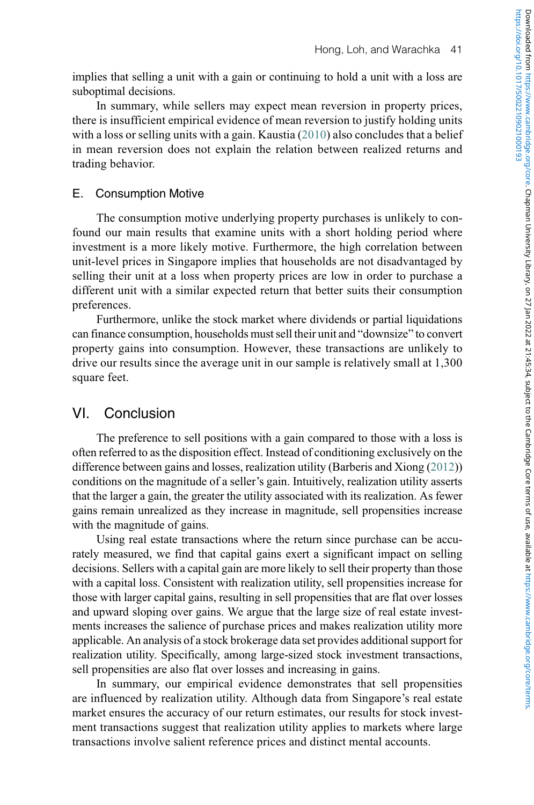implies that selling a unit with a gain or continuing to hold a unit with a loss are suboptimal decisions.

In summary, while sellers may expect mean reversion in property prices, there is insufficient empirical evidence of mean reversion to justify holding units with a loss or selling units with a gain. Kaustia  $(2010)$  also concludes that a belief in mean reversion does not explain the relation between realized returns and trading behavior.

## E. Consumption Motive

The consumption motive underlying property purchases is unlikely to confound our main results that examine units with a short holding period where investment is a more likely motive. Furthermore, the high correlation between unit-level prices in Singapore implies that households are not disadvantaged by selling their unit at a loss when property prices are low in order to purchase a different unit with a similar expected return that better suits their consumption preferences.

Furthermore, unlike the stock market where dividends or partial liquidations can finance consumption, households must sell their unit and "downsize" to convert property gains into consumption. However, these transactions are unlikely to drive our results since the average unit in our sample is relatively small at 1,300 square feet.

# <span id="page-42-0"></span>VI. Conclusion

The preference to sell positions with a gain compared to those with a loss is often referred to as the disposition effect. Instead of conditioning exclusively on the difference between gains and losses, realization utility (Barberis and Xiong (2012)) conditions on the magnitude of a seller's gain. Intuitively, realization utility asserts that the larger a gain, the greater the utility associated with its realization. As fewer gains remain unrealized as they increase in magnitude, sell propensities increase with the magnitude of gains.

Using real estate transactions where the return since purchase can be accurately measured, we find that capital gains exert a significant impact on selling decisions. Sellers with a capital gain are more likely to sell their property than those with a capital loss. Consistent with realization utility, sell propensities increase for those with larger capital gains, resulting in sell propensities that are flat over losses and upward sloping over gains. We argue that the large size of real estate investments increases the salience of purchase prices and makes realization utility more applicable. An analysis of a stock brokerage data set provides additional support for realization utility. Specifically, among large-sized stock investment transactions, sell propensities are also flat over losses and increasing in gains.

In summary, our empirical evidence demonstrates that sell propensities are influenced by realization utility. Although data from Singapore's real estate market ensures the accuracy of our return estimates, our results for stock investment transactions suggest that realization utility applies to markets where large transactions involve salient reference prices and distinct mental accounts.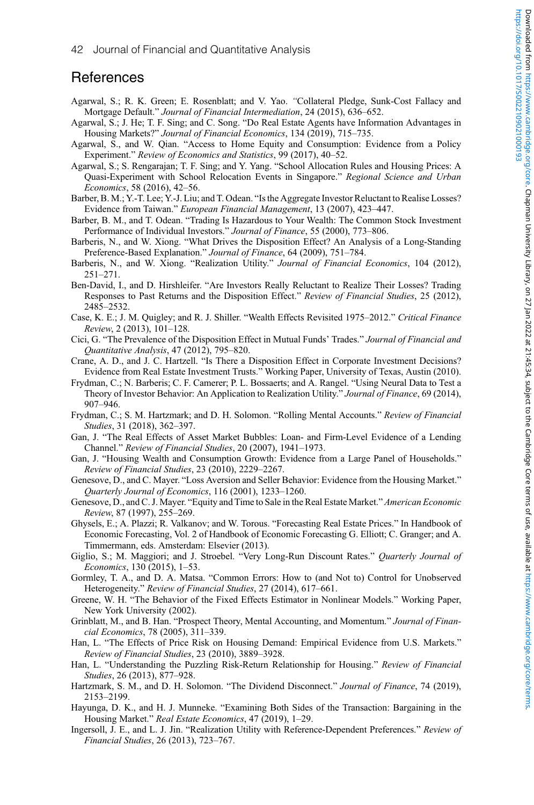https://doi.org/10.1017/S0022109021000193

## **References**

- Agarwal, S.; R. K. Green; E. Rosenblatt; and V. Yao. "Collateral Pledge, Sunk-Cost Fallacy and Mortgage Default." Journal of Financial Intermediation, 24 (2015), 636–652.
- Agarwal, S.; J. He; T. F. Sing; and C. Song. "Do Real Estate Agents have Information Advantages in Housing Markets?" Journal of Financial Economics, 134 (2019), 715–735.
- Agarwal, S., and W. Qian. "Access to Home Equity and Consumption: Evidence from a Policy Experiment." Review of Economics and Statistics, 99 (2017), 40–52.
- Agarwal, S.; S. Rengarajan; T. F. Sing; and Y. Yang. "School Allocation Rules and Housing Prices: A Quasi-Experiment with School Relocation Events in Singapore." Regional Science and Urban Economics, 58 (2016), 42–56.
- Barber, B. M.; Y.-T. Lee; Y.-J. Liu; and T. Odean. "Is the Aggregate Investor Reluctant to Realise Losses? Evidence from Taiwan." European Financial Management, 13 (2007), 423–447.
- Barber, B. M., and T. Odean. "Trading Is Hazardous to Your Wealth: The Common Stock Investment Performance of Individual Investors." Journal of Finance, 55 (2000), 773–806.
- Barberis, N., and W. Xiong. "What Drives the Disposition Effect? An Analysis of a Long-Standing Preference-Based Explanation." Journal of Finance, 64 (2009), 751–784.
- Barberis, N., and W. Xiong. "Realization Utility." Journal of Financial Economics, 104 (2012), 251–271.
- Ben-David, I., and D. Hirshleifer. "Are Investors Really Reluctant to Realize Their Losses? Trading Responses to Past Returns and the Disposition Effect." Review of Financial Studies, 25 (2012), 2485–2532.
- Case, K. E.; J. M. Quigley; and R. J. Shiller. "Wealth Effects Revisited 1975–2012." Critical Finance Review, 2 (2013), 101–128.
- Cici, G. "The Prevalence of the Disposition Effect in Mutual Funds' Trades." Journal of Financial and Quantitative Analysis, 47 (2012), 795–820.
- Crane, A. D., and J. C. Hartzell. "Is There a Disposition Effect in Corporate Investment Decisions? Evidence from Real Estate Investment Trusts." Working Paper, University of Texas, Austin (2010).
- Frydman, C.; N. Barberis; C. F. Camerer; P. L. Bossaerts; and A. Rangel. "Using Neural Data to Test a Theory of Investor Behavior: An Application to Realization Utility." Journal of Finance, 69 (2014), 907–946.
- Frydman, C.; S. M. Hartzmark; and D. H. Solomon. "Rolling Mental Accounts." Review of Financial Studies, 31 (2018), 362–397.
- Gan, J. "The Real Effects of Asset Market Bubbles: Loan- and Firm-Level Evidence of a Lending Channel." Review of Financial Studies, 20 (2007), 1941–1973.
- Gan, J. "Housing Wealth and Consumption Growth: Evidence from a Large Panel of Households." Review of Financial Studies, 23 (2010), 2229–2267.
- Genesove, D., and C. Mayer. "Loss Aversion and Seller Behavior: Evidence from the Housing Market." Quarterly Journal of Economics, 116 (2001), 1233–1260.
- Genesove, D., and C. J. Mayer. "Equity and Time to Sale in the Real Estate Market." American Economic Review, 87 (1997), 255–269.
- Ghysels, E.; A. Plazzi; R. Valkanov; and W. Torous. "Forecasting Real Estate Prices." In Handbook of Economic Forecasting, Vol. 2 of Handbook of Economic Forecasting G. Elliott; C. Granger; and A. Timmermann, eds. Amsterdam: Elsevier (2013).
- Giglio, S.; M. Maggiori; and J. Stroebel. "Very Long-Run Discount Rates." Quarterly Journal of Economics, 130 (2015), 1–53.
- Gormley, T. A., and D. A. Matsa. "Common Errors: How to (and Not to) Control for Unobserved Heterogeneity." Review of Financial Studies, 27 (2014), 617–661.
- Greene, W. H. "The Behavior of the Fixed Effects Estimator in Nonlinear Models." Working Paper, New York University (2002).
- Grinblatt, M., and B. Han. "Prospect Theory, Mental Accounting, and Momentum." Journal of Financial Economics, 78 (2005), 311–339.
- Han, L. "The Effects of Price Risk on Housing Demand: Empirical Evidence from U.S. Markets." Review of Financial Studies, 23 (2010), 3889–3928.
- Han, L. "Understanding the Puzzling Risk-Return Relationship for Housing." Review of Financial Studies, 26 (2013), 877–928.
- Hartzmark, S. M., and D. H. Solomon. "The Dividend Disconnect." Journal of Finance, 74 (2019), 2153–2199.
- Hayunga, D. K., and H. J. Munneke. "Examining Both Sides of the Transaction: Bargaining in the Housing Market." Real Estate Economics, 47 (2019), 1–29.
- Ingersoll, J. E., and L. J. Jin. "Realization Utility with Reference-Dependent Preferences." Review of Financial Studies, 26 (2013), 723–767.